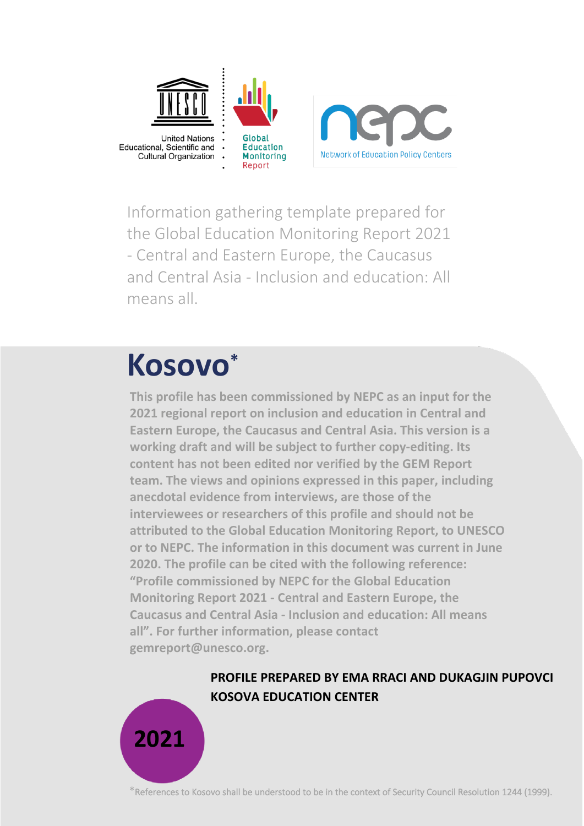

Information gathering template prepared for the Global Education Monitoring Report 2021 - Central and Eastern Europe, the Caucasus and Central Asia - Inclusion and education: All means all.

# **Kosovo\***

**This profile has been commissioned by NEPC as an input for the 2021 regional report on inclusion and education in Central and Eastern Europe, the Caucasus and Central Asia. This version is a working draft and will be subject to further copy-editing. Its content has not been edited nor verified by the GEM Report team. The views and opinions expressed in this paper, including anecdotal evidence from interviews, are those of the interviewees or researchers of this profile and should not be attributed to the Global Education Monitoring Report, to UNESCO or to NEPC. The information in this document was current in June 2020. The profile can be cited with the following reference: "Profile commissioned by NEPC for the Global Education Monitoring Report 2021 - Central and Eastern Europe, the Caucasus and Central Asia - Inclusion and education: All means all". For further information, please contact gemreport@unesco.org.**

### **PROFILE PREPARED BY EMA RRACI AND DUKAGJIN PUPOVCI KOSOVA EDUCATION CENTER**



 $*$ References to Kosovo shall be understood to be in the context of Security Council Resolution 1244 (1999).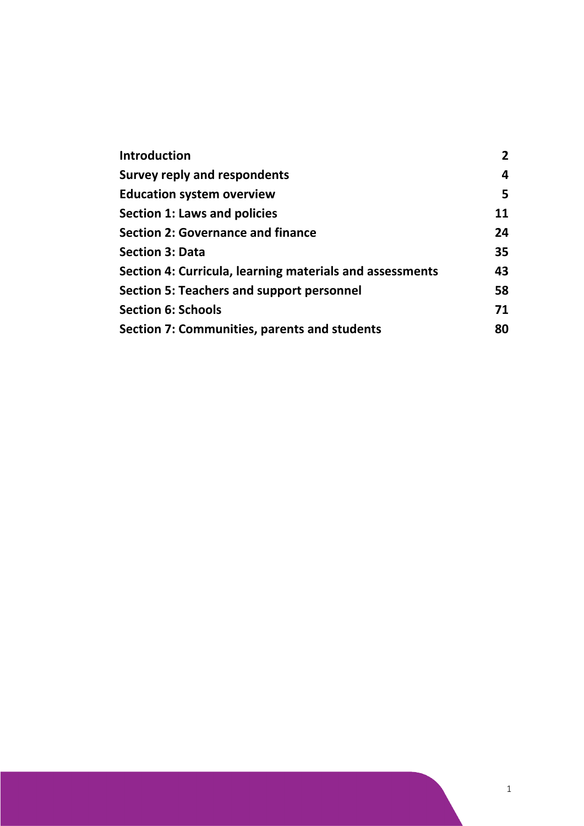| Introduction                                             | $\overline{2}$ |
|----------------------------------------------------------|----------------|
| <b>Survey reply and respondents</b>                      | 4              |
| <b>Education system overview</b>                         | 5              |
| Section 1: Laws and policies                             | 11             |
| <b>Section 2: Governance and finance</b>                 | 24             |
| <b>Section 3: Data</b>                                   | 35             |
| Section 4: Curricula, learning materials and assessments | 43             |
| Section 5: Teachers and support personnel                | 58             |
| <b>Section 6: Schools</b>                                | 71             |
| Section 7: Communities, parents and students             | 80             |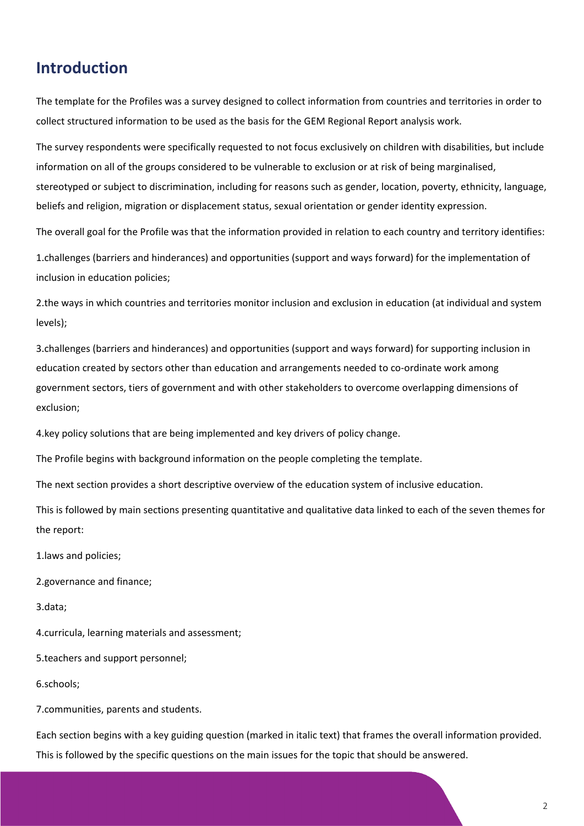# <span id="page-2-0"></span>**Introduction**

The template for the Profiles was a survey designed to collect information from countries and territories in order to collect structured information to be used as the basis for the GEM Regional Report analysis work.

The survey respondents were specifically requested to not focus exclusively on children with disabilities, but include information on all of the groups considered to be vulnerable to exclusion or at risk of being marginalised, stereotyped or subject to discrimination, including for reasons such as gender, location, poverty, ethnicity, language, beliefs and religion, migration or displacement status, sexual orientation or gender identity expression.

The overall goal for the Profile was that the information provided in relation to each country and territory identifies:

1.challenges (barriers and hinderances) and opportunities (support and ways forward) for the implementation of inclusion in education policies;

2.the ways in which countries and territories monitor inclusion and exclusion in education (at individual and system levels);

3.challenges (barriers and hinderances) and opportunities (support and ways forward) for supporting inclusion in education created by sectors other than education and arrangements needed to co-ordinate work among government sectors, tiers of government and with other stakeholders to overcome overlapping dimensions of exclusion;

4.key policy solutions that are being implemented and key drivers of policy change.

The Profile begins with background information on the people completing the template.

The next section provides a short descriptive overview of the education system of inclusive education.

This is followed by main sections presenting quantitative and qualitative data linked to each of the seven themes for the report:

1.laws and policies;

2.governance and finance;

3.data;

4.curricula, learning materials and assessment;

5.teachers and support personnel;

6.schools;

7.communities, parents and students.

Each section begins with a key guiding question (marked in italic text) that frames the overall information provided. This is followed by the specific questions on the main issues for the topic that should be answered.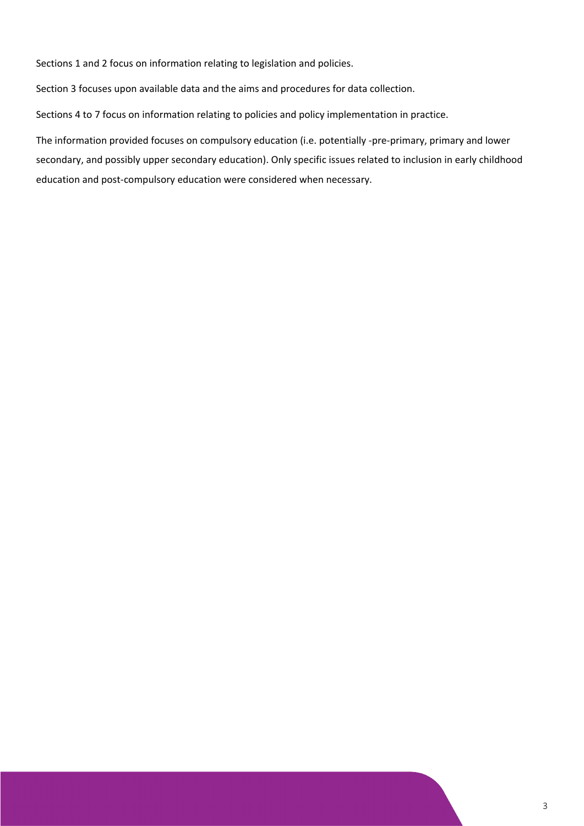Sections 1 and 2 focus on information relating to legislation and policies.

Section 3 focuses upon available data and the aims and procedures for data collection.

Sections 4 to 7 focus on information relating to policies and policy implementation in practice.

The information provided focuses on compulsory education (i.e. potentially -pre-primary, primary and lower secondary, and possibly upper secondary education). Only specific issues related to inclusion in early childhood education and post-compulsory education were considered when necessary.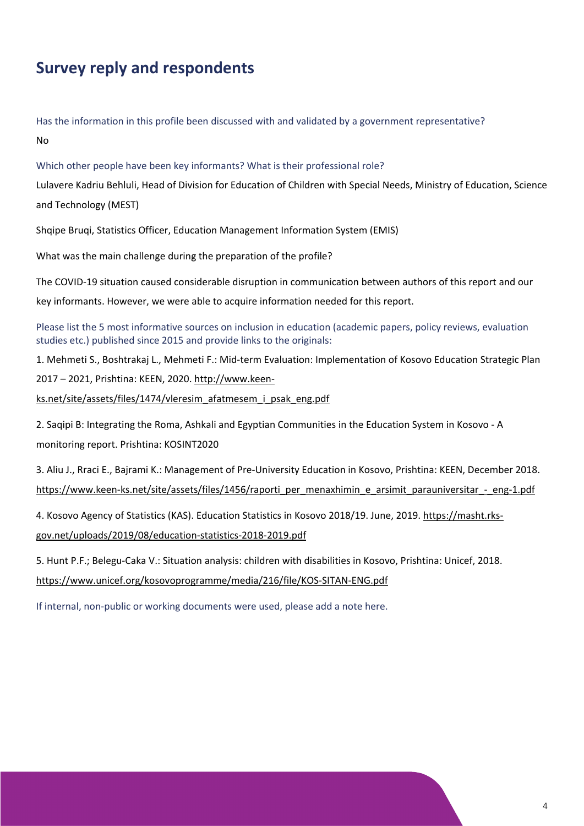# <span id="page-4-0"></span>**Survey reply and respondents**

Has the information in this profile been discussed with and validated by a government representative? No

Which other people have been key informants? What is their professional role?

Lulavere Kadriu Behluli, Head of Division for Education of Children with Special Needs, Ministry of Education, Science and Technology (MEST)

Shqipe Bruqi, Statistics Officer, Education Management Information System (EMIS)

What was the main challenge during the preparation of the profile?

The COVID-19 situation caused considerable disruption in communication between authors of this report and our

key informants. However, we were able to acquire information needed for this report.

Please list the 5 most informative sources on inclusion in education (academic papers, policy reviews, evaluation studies etc.) published since 2015 and provide links to the originals:

1. Mehmeti S., Boshtrakaj L., Mehmeti F.: Mid-term Evaluation: Implementation of Kosovo Education Strategic Plan

2017 – 2021, Prishtina: KEEN, 2020. [http://www.keen-](http://www.keen-ks.net/site/assets/files/1474/vleresim_afatmesem_i_psak_eng.pdf)

[ks.net/site/assets/files/1474/vleresim\\_afatmesem\\_i\\_psak\\_eng.pdf](http://www.keen-ks.net/site/assets/files/1474/vleresim_afatmesem_i_psak_eng.pdf)

2. Saqipi B: Integrating the Roma, Ashkali and Egyptian Communities in the Education System in Kosovo - A monitoring report. Prishtina: KOSINT2020

3. Aliu J., Rraci E., Bajrami K.: Management of Pre-University Education in Kosovo, Prishtina: KEEN, December 2018. [https://www.keen-ks.net/site/assets/files/1456/raporti\\_per\\_menaxhimin\\_e\\_arsimit\\_parauniversitar\\_-\\_eng-1.pdf](https://www.keen-ks.net/site/assets/files/1456/raporti_per_menaxhimin_e_arsimit_parauniversitar_-_eng-1.pdf)

4. Kosovo Agency of Statistics (KAS). Education Statistics in Kosovo 2018/19. June, 2019[. https://masht.rks](https://masht.rks-gov.net/uploads/2019/08/education-statistics-2018-2019.pdf)[gov.net/uploads/2019/08/education-statistics-2018-2019.pdf](https://masht.rks-gov.net/uploads/2019/08/education-statistics-2018-2019.pdf)

5. Hunt P.F.; Belegu-Caka V.: Situation analysis: children with disabilities in Kosovo, Prishtina: Unicef, 2018. <https://www.unicef.org/kosovoprogramme/media/216/file/KOS-SITAN-ENG.pdf>

If internal, non-public or working documents were used, please add a note here.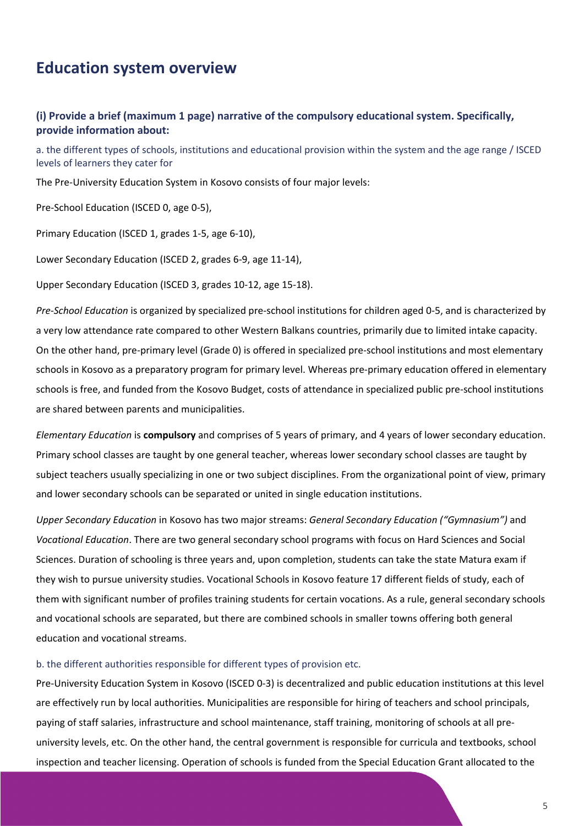# <span id="page-5-0"></span>**Education system overview**

### **(i) Provide a brief (maximum 1 page) narrative of the compulsory educational system. Specifically, provide information about:**

a. the different types of schools, institutions and educational provision within the system and the age range / ISCED levels of learners they cater for

The Pre-University Education System in Kosovo consists of four major levels:

Pre-School Education (ISCED 0, age 0-5),

Primary Education (ISCED 1, grades 1-5, age 6-10),

Lower Secondary Education (ISCED 2, grades 6-9, age 11-14),

Upper Secondary Education (ISCED 3, grades 10-12, age 15-18).

*Pre-School Education* is organized by specialized pre-school institutions for children aged 0-5, and is characterized by a very low attendance rate compared to other Western Balkans countries, primarily due to limited intake capacity. On the other hand, pre-primary level (Grade 0) is offered in specialized pre-school institutions and most elementary schools in Kosovo as a preparatory program for primary level. Whereas pre-primary education offered in elementary schools is free, and funded from the Kosovo Budget, costs of attendance in specialized public pre-school institutions are shared between parents and municipalities.

*Elementary Education* is **compulsory** and comprises of 5 years of primary, and 4 years of lower secondary education. Primary school classes are taught by one general teacher, whereas lower secondary school classes are taught by subject teachers usually specializing in one or two subject disciplines. From the organizational point of view, primary and lower secondary schools can be separated or united in single education institutions.

*Upper Secondary Education* in Kosovo has two major streams: *General Secondary Education ("Gymnasium")* and *Vocational Education*. There are two general secondary school programs with focus on Hard Sciences and Social Sciences. Duration of schooling is three years and, upon completion, students can take the state Matura exam if they wish to pursue university studies. Vocational Schools in Kosovo feature 17 different fields of study, each of them with significant number of profiles training students for certain vocations. As a rule, general secondary schools and vocational schools are separated, but there are combined schools in smaller towns offering both general education and vocational streams.

#### b. the different authorities responsible for different types of provision etc.

Pre-University Education System in Kosovo (ISCED 0-3) is decentralized and public education institutions at this level are effectively run by local authorities. Municipalities are responsible for hiring of teachers and school principals, paying of staff salaries, infrastructure and school maintenance, staff training, monitoring of schools at all preuniversity levels, etc. On the other hand, the central government is responsible for curricula and textbooks, school inspection and teacher licensing. Operation of schools is funded from the Special Education Grant allocated to the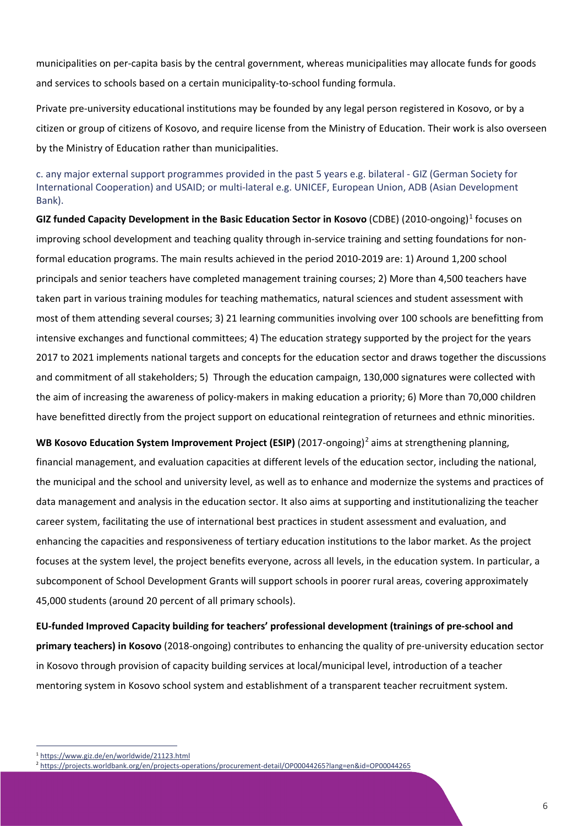municipalities on per-capita basis by the central government, whereas municipalities may allocate funds for goods and services to schools based on a certain municipality-to-school funding formula.

Private pre-university educational institutions may be founded by any legal person registered in Kosovo, or by a citizen or group of citizens of Kosovo, and require license from the Ministry of Education. Their work is also overseen by the Ministry of Education rather than municipalities.

c. any major external support programmes provided in the past 5 years e.g. bilateral - GIZ (German Society for International Cooperation) and USAID; or multi-lateral e.g. UNICEF, European Union, ADB (Asian Development Bank).

**GIZ funded Capacity Development in the Basic Education Sector in Kosovo** (CDBE) (2010-ongoing)[1](#page-6-0) focuses on improving school development and teaching quality through in-service training and setting foundations for nonformal education programs. The main results achieved in the period 2010-2019 are: 1) Around 1,200 school principals and senior teachers have completed management training courses; 2) More than 4,500 teachers have taken part in various training modules for teaching mathematics, natural sciences and student assessment with most of them attending several courses; 3) 21 learning communities involving over 100 schools are benefitting from intensive exchanges and functional committees; 4) The education strategy supported by the project for the years 2017 to 2021 implements national targets and concepts for the education sector and draws together the discussions and commitment of all stakeholders; 5) Through the education campaign, 130,000 signatures were collected with the aim of increasing the awareness of policy-makers in making education a priority; 6) More than 70,000 children have benefitted directly from the project support on educational reintegration of returnees and ethnic minorities.

**WB Kosovo Education System Improvement Project (ESIP)** ([2](#page-6-1)017-ongoing)<sup>2</sup> aims at strengthening planning, financial management, and evaluation capacities at different levels of the education sector, including the national, the municipal and the school and university level, as well as to enhance and modernize the systems and practices of data management and analysis in the education sector. It also aims at supporting and institutionalizing the teacher career system, facilitating the use of international best practices in student assessment and evaluation, and enhancing the capacities and responsiveness of tertiary education institutions to the labor market. As the project focuses at the system level, the project benefits everyone, across all levels, in the education system. In particular, a subcomponent of School Development Grants will support schools in poorer rural areas, covering approximately 45,000 students (around 20 percent of all primary schools).

**EU-funded Improved Capacity building for teachers' professional development (trainings of pre-school and primary teachers) in Kosovo** (2018-ongoing) contributes to enhancing the quality of pre-university education sector in Kosovo through provision of capacity building services at local/municipal level, introduction of a teacher mentoring system in Kosovo school system and establishment of a transparent teacher recruitment system.

<span id="page-6-0"></span><sup>1</sup> <https://www.giz.de/en/worldwide/21123.html>

<span id="page-6-1"></span><sup>2</sup> <https://projects.worldbank.org/en/projects-operations/procurement-detail/OP00044265?lang=en&id=OP00044265>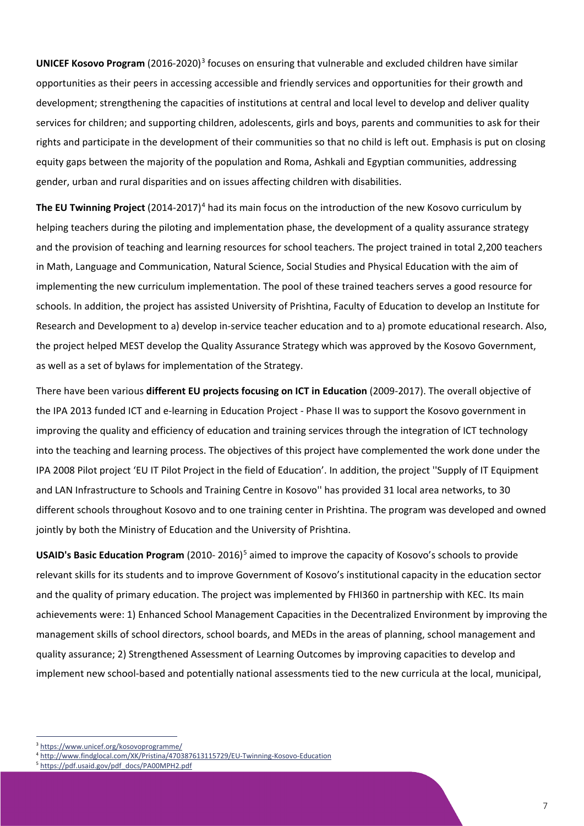**UNICEF Kosovo Program** (2016-2020)<sup>[3](#page-7-0)</sup> focuses on ensuring that vulnerable and excluded children have similar opportunities as their peers in accessing accessible and friendly services and opportunities for their growth and development; strengthening the capacities of institutions at central and local level to develop and deliver quality services for children; and supporting children, adolescents, girls and boys, parents and communities to ask for their rights and participate in the development of their communities so that no child is left out. Emphasis is put on closing equity gaps between the majority of the population and Roma, Ashkali and Egyptian communities, addressing gender, urban and rural disparities and on issues affecting children with disabilities.

The EU Twinning Project (201[4](#page-7-1)-2017)<sup>4</sup> had its main focus on the introduction of the new Kosovo curriculum by helping teachers during the piloting and implementation phase, the development of a quality assurance strategy and the provision of teaching and learning resources for school teachers. The project trained in total 2,200 teachers in Math, Language and Communication, Natural Science, Social Studies and Physical Education with the aim of implementing the new curriculum implementation. The pool of these trained teachers serves a good resource for schools. In addition, the project has assisted University of Prishtina, Faculty of Education to develop an Institute for Research and Development to a) develop in-service teacher education and to a) promote educational research. Also, the project helped MEST develop the Quality Assurance Strategy which was approved by the Kosovo Government, as well as a set of bylaws for implementation of the Strategy.

There have been various **different EU projects focusing on ICT in Education** (2009-2017). The overall objective of the IPA 2013 funded ICT and e-learning in Education Project - Phase II was to support the Kosovo government in improving the quality and efficiency of education and training services through the integration of ICT technology into the teaching and learning process. The objectives of this project have complemented the work done under the IPA 2008 Pilot project 'EU IT Pilot Project in the field of Education'. In addition, the project ''Supply of IT Equipment and LAN Infrastructure to Schools and Training Centre in Kosovo'' has provided 31 local area networks, to 30 different schools throughout Kosovo and to one training center in Prishtina. The program was developed and owned jointly by both the Ministry of Education and the University of Prishtina.

**USAID's Basic Education Program** (2010- 2016)[5](#page-7-2) aimed to improve the capacity of Kosovo's schools to provide relevant skills for its students and to improve Government of Kosovo's institutional capacity in the education sector and the quality of primary education. The project was implemented by FHI360 in partnership with KEC. Its main achievements were: 1) Enhanced School Management Capacities in the Decentralized Environment by improving the management skills of school directors, school boards, and MEDs in the areas of planning, school management and quality assurance; 2) Strengthened Assessment of Learning Outcomes by improving capacities to develop and implement new school-based and potentially national assessments tied to the new curricula at the local, municipal,

<span id="page-7-0"></span><sup>3</sup> <https://www.unicef.org/kosovoprogramme/>

<span id="page-7-1"></span><sup>4</sup> <http://www.findglocal.com/XK/Pristina/470387613115729/EU-Twinning-Kosovo-Education>

<span id="page-7-2"></span><sup>5</sup> [https://pdf.usaid.gov/pdf\\_docs/PA00MPH2.pdf](https://pdf.usaid.gov/pdf_docs/PA00MPH2.pdf)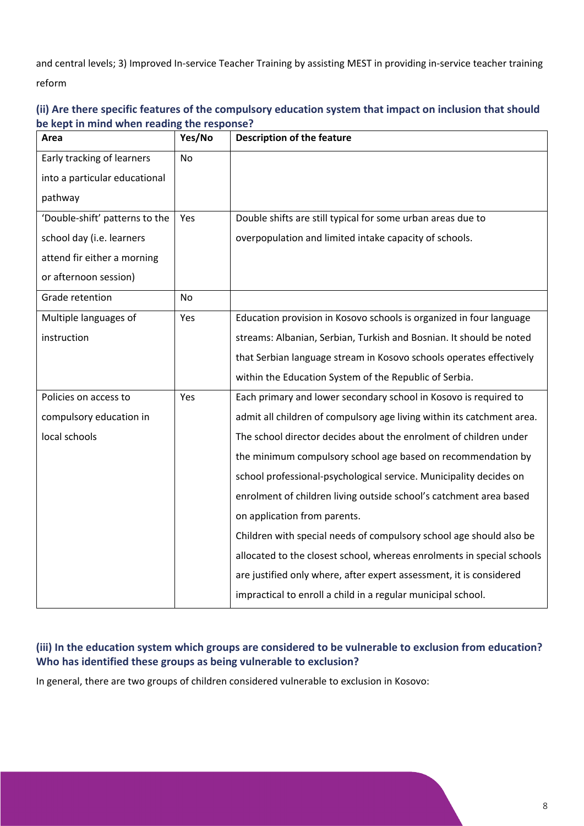and central levels; 3) Improved In-service Teacher Training by assisting MEST in providing in-service teacher training reform

| Area                           | Yes/No    | <b>Description of the feature</b>                                      |
|--------------------------------|-----------|------------------------------------------------------------------------|
| Early tracking of learners     | <b>No</b> |                                                                        |
| into a particular educational  |           |                                                                        |
| pathway                        |           |                                                                        |
| 'Double-shift' patterns to the | Yes       | Double shifts are still typical for some urban areas due to            |
| school day (i.e. learners      |           | overpopulation and limited intake capacity of schools.                 |
| attend fir either a morning    |           |                                                                        |
| or afternoon session)          |           |                                                                        |
| Grade retention                | No        |                                                                        |
| Multiple languages of          | Yes       | Education provision in Kosovo schools is organized in four language    |
| instruction                    |           | streams: Albanian, Serbian, Turkish and Bosnian. It should be noted    |
|                                |           | that Serbian language stream in Kosovo schools operates effectively    |
|                                |           | within the Education System of the Republic of Serbia.                 |
| Policies on access to          | Yes       | Each primary and lower secondary school in Kosovo is required to       |
| compulsory education in        |           | admit all children of compulsory age living within its catchment area. |
| local schools                  |           | The school director decides about the enrolment of children under      |
|                                |           | the minimum compulsory school age based on recommendation by           |
|                                |           | school professional-psychological service. Municipality decides on     |
|                                |           | enrolment of children living outside school's catchment area based     |
|                                |           | on application from parents.                                           |
|                                |           | Children with special needs of compulsory school age should also be    |
|                                |           | allocated to the closest school, whereas enrolments in special schools |
|                                |           | are justified only where, after expert assessment, it is considered    |
|                                |           | impractical to enroll a child in a regular municipal school.           |

### **(ii) Are there specific features of the compulsory education system that impact on inclusion that should be kept in mind when reading the response?**

### **(iii) In the education system which groups are considered to be vulnerable to exclusion from education? Who has identified these groups as being vulnerable to exclusion?**

In general, there are two groups of children considered vulnerable to exclusion in Kosovo: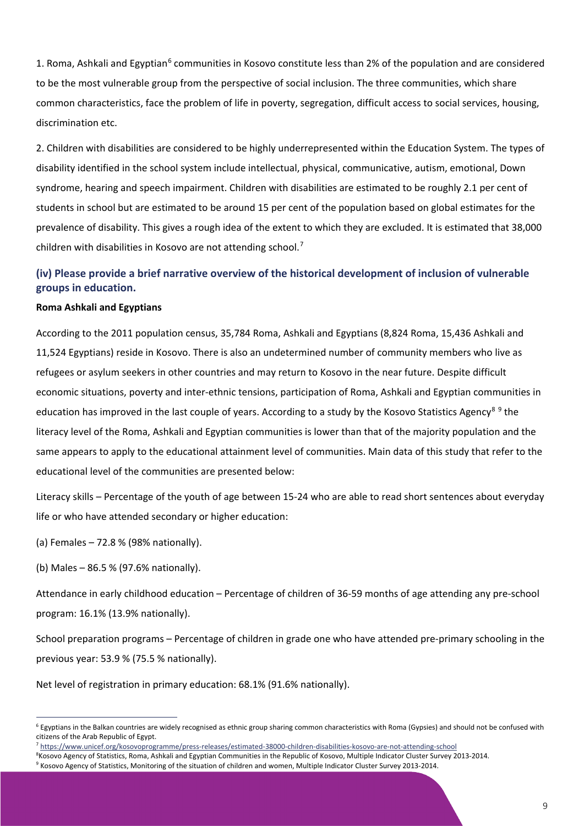1. Roma, Ashkali and Egyptian<sup>[6](#page-9-0)</sup> communities in Kosovo constitute less than 2% of the population and are considered to be the most vulnerable group from the perspective of social inclusion. The three communities, which share common characteristics, face the problem of life in poverty, segregation, difficult access to social services, housing, discrimination etc.

2. Children with disabilities are considered to be highly underrepresented within the Education System. The types of disability identified in the school system include intellectual, physical, communicative, autism, emotional, Down syndrome, hearing and speech impairment. Children with disabilities are estimated to be roughly 2.1 per cent of students in school but are estimated to be around 15 per cent of the population based on global estimates for the prevalence of disability. This gives a rough idea of the extent to which they are excluded. It is estimated that 38,000 children with disabilities in Kosovo are not attending school.[7](#page-9-1)

### **(iv) Please provide a brief narrative overview of the historical development of inclusion of vulnerable groups in education.**

#### **Roma Ashkali and Egyptians**

According to the 2011 population census, 35,784 Roma, Ashkali and Egyptians (8,824 Roma, 15,436 Ashkali and 11,524 Egyptians) reside in Kosovo. There is also an undetermined number of community members who live as refugees or asylum seekers in other countries and may return to Kosovo in the near future. Despite difficult economic situations, poverty and inter-ethnic tensions, participation of Roma, Ashkali and Egyptian communities in education has improved in the last couple of years. According to a study by the Kosovo Statistics Agency<sup>[8](#page-9-2)[9](#page-9-3)</sup> the literacy level of the Roma, Ashkali and Egyptian communities is lower than that of the majority population and the same appears to apply to the educational attainment level of communities. Main data of this study that refer to the educational level of the communities are presented below:

Literacy skills – Percentage of the youth of age between 15-24 who are able to read short sentences about everyday life or who have attended secondary or higher education:

(a) Females – 72.8 % (98% nationally).

(b) Males – 86.5 % (97.6% nationally).

Attendance in early childhood education – Percentage of children of 36-59 months of age attending any pre-school program: 16.1% (13.9% nationally).

School preparation programs – Percentage of children in grade one who have attended pre-primary schooling in the previous year: 53.9 % (75.5 % nationally).

Net level of registration in primary education: 68.1% (91.6% nationally).

<span id="page-9-0"></span> $6$  Egyptians in the Balkan countries are widely recognised as ethnic group sharing common characteristics with Roma (Gypsies) and should not be confused with citizens of the Arab Republic of Egypt.

<span id="page-9-1"></span><sup>7</sup> <https://www.unicef.org/kosovoprogramme/press-releases/estimated-38000-children-disabilities-kosovo-are-not-attending-school>

<span id="page-9-3"></span><span id="page-9-2"></span><sup>8</sup> Kosovo Agency of Statistics, Roma, Ashkali and Egyptian Communities in the Republic of Kosovo, Multiple Indicator Cluster Survey 2013-2014. <sup>9</sup> Kosovo Agency of Statistics, Monitoring of the situation of children and women, Multiple Indicator Cluster Survey 2013-2014.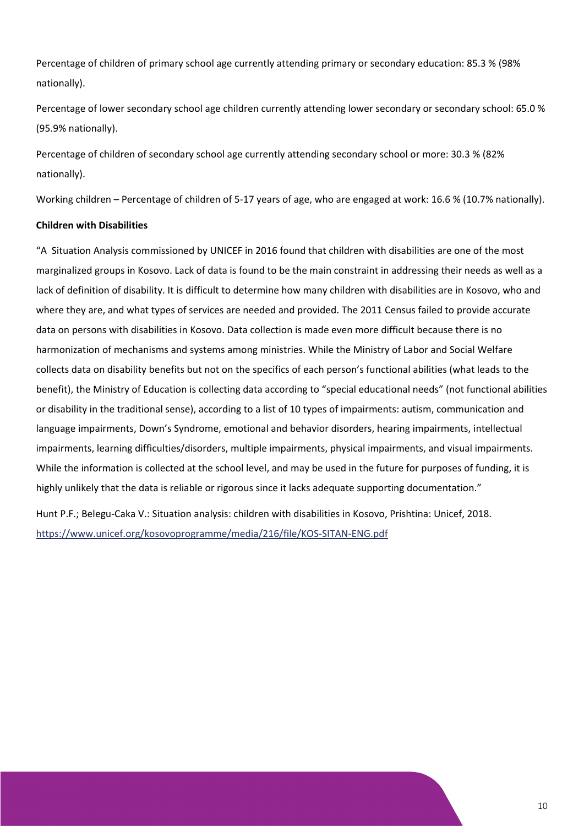Percentage of children of primary school age currently attending primary or secondary education: 85.3 % (98% nationally).

Percentage of lower secondary school age children currently attending lower secondary or secondary school: 65.0 % (95.9% nationally).

Percentage of children of secondary school age currently attending secondary school or more: 30.3 % (82% nationally).

Working children – Percentage of children of 5-17 years of age, who are engaged at work: 16.6 % (10.7% nationally).

#### **Children with Disabilities**

"A Situation Analysis commissioned by UNICEF in 2016 found that children with disabilities are one of the most marginalized groups in Kosovo. Lack of data is found to be the main constraint in addressing their needs as well as a lack of definition of disability. It is difficult to determine how many children with disabilities are in Kosovo, who and where they are, and what types of services are needed and provided. The 2011 Census failed to provide accurate data on persons with disabilities in Kosovo. Data collection is made even more difficult because there is no harmonization of mechanisms and systems among ministries. While the Ministry of Labor and Social Welfare collects data on disability benefits but not on the specifics of each person's functional abilities (what leads to the benefit), the Ministry of Education is collecting data according to "special educational needs" (not functional abilities or disability in the traditional sense), according to a list of 10 types of impairments: autism, communication and language impairments, Down's Syndrome, emotional and behavior disorders, hearing impairments, intellectual impairments, learning difficulties/disorders, multiple impairments, physical impairments, and visual impairments. While the information is collected at the school level, and may be used in the future for purposes of funding, it is highly unlikely that the data is reliable or rigorous since it lacks adequate supporting documentation."

Hunt P.F.; Belegu-Caka V.: Situation analysis: children with disabilities in Kosovo, Prishtina: Unicef, 2018. <https://www.unicef.org/kosovoprogramme/media/216/file/KOS-SITAN-ENG.pdf>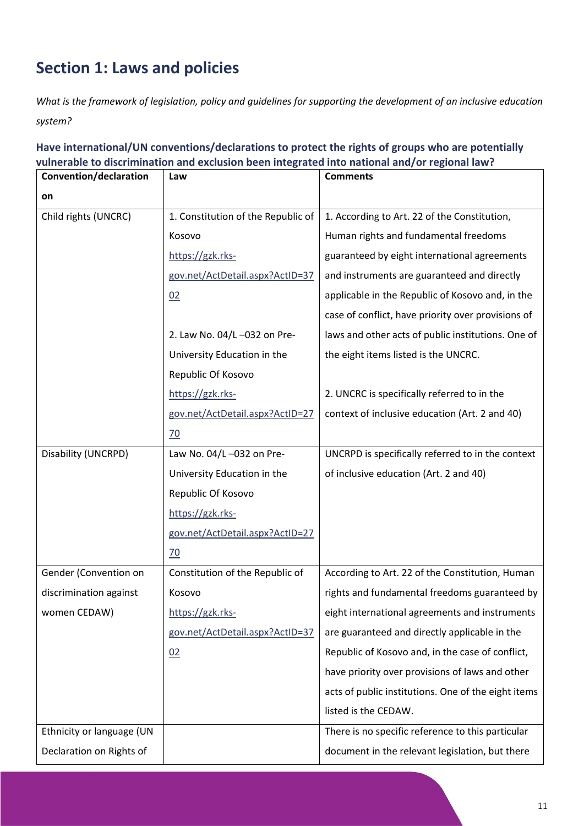# <span id="page-11-0"></span>**Section 1: Laws and policies**

*What is the framework of legislation, policy and guidelines for supporting the development of an inclusive education system?*

**Have international/UN conventions/declarations to protect the rights of groups who are potentially vulnerable to discrimination and exclusion been integrated into national and/or regional law?**

| Convention/declaration    | Law                                | <b>Comments</b>                                     |
|---------------------------|------------------------------------|-----------------------------------------------------|
| on                        |                                    |                                                     |
| Child rights (UNCRC)      | 1. Constitution of the Republic of | 1. According to Art. 22 of the Constitution,        |
|                           | Kosovo                             | Human rights and fundamental freedoms               |
|                           | https://gzk.rks-                   | guaranteed by eight international agreements        |
|                           | gov.net/ActDetail.aspx?ActID=37    | and instruments are guaranteed and directly         |
|                           | 02                                 | applicable in the Republic of Kosovo and, in the    |
|                           |                                    | case of conflict, have priority over provisions of  |
|                           | 2. Law No. 04/L-032 on Pre-        | laws and other acts of public institutions. One of  |
|                           | University Education in the        | the eight items listed is the UNCRC.                |
|                           | Republic Of Kosovo                 |                                                     |
|                           | https://gzk.rks-                   | 2. UNCRC is specifically referred to in the         |
|                           | gov.net/ActDetail.aspx?ActID=27    | context of inclusive education (Art. 2 and 40)      |
|                           | $\frac{70}{2}$                     |                                                     |
| Disability (UNCRPD)       | Law No. 04/L-032 on Pre-           | UNCRPD is specifically referred to in the context   |
|                           | University Education in the        | of inclusive education (Art. 2 and 40)              |
|                           | Republic Of Kosovo                 |                                                     |
|                           | https://gzk.rks-                   |                                                     |
|                           | gov.net/ActDetail.aspx?ActID=27    |                                                     |
|                           | $\overline{70}$                    |                                                     |
| Gender (Convention on     | Constitution of the Republic of    | According to Art. 22 of the Constitution, Human     |
| discrimination against    | Kosovo                             | rights and fundamental freedoms guaranteed by       |
| women CEDAW)              | https://gzk.rks-                   | eight international agreements and instruments      |
|                           | gov.net/ActDetail.aspx?ActID=37    | are guaranteed and directly applicable in the       |
|                           | 02                                 | Republic of Kosovo and, in the case of conflict,    |
|                           |                                    | have priority over provisions of laws and other     |
|                           |                                    | acts of public institutions. One of the eight items |
|                           |                                    | listed is the CEDAW.                                |
| Ethnicity or language (UN |                                    | There is no specific reference to this particular   |
| Declaration on Rights of  |                                    | document in the relevant legislation, but there     |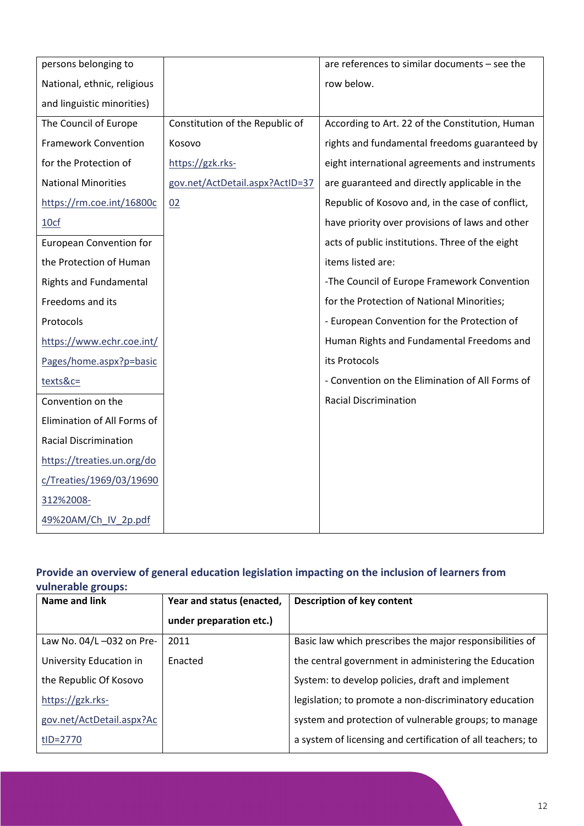| persons belonging to           |                                 | are references to similar documents - see the    |
|--------------------------------|---------------------------------|--------------------------------------------------|
| National, ethnic, religious    |                                 | row below.                                       |
| and linguistic minorities)     |                                 |                                                  |
| The Council of Europe          | Constitution of the Republic of | According to Art. 22 of the Constitution, Human  |
| <b>Framework Convention</b>    | Kosovo                          | rights and fundamental freedoms guaranteed by    |
| for the Protection of          | https://gzk.rks-                | eight international agreements and instruments   |
| <b>National Minorities</b>     | gov.net/ActDetail.aspx?ActID=37 | are guaranteed and directly applicable in the    |
| https://rm.coe.int/16800c      | 02                              | Republic of Kosovo and, in the case of conflict, |
| 10cf                           |                                 | have priority over provisions of laws and other  |
| <b>European Convention for</b> |                                 | acts of public institutions. Three of the eight  |
| the Protection of Human        |                                 | items listed are:                                |
| <b>Rights and Fundamental</b>  |                                 | -The Council of Europe Framework Convention      |
| Freedoms and its               |                                 | for the Protection of National Minorities;       |
| Protocols                      |                                 | - European Convention for the Protection of      |
| https://www.echr.coe.int/      |                                 | Human Rights and Fundamental Freedoms and        |
| Pages/home.aspx?p=basic        |                                 | its Protocols                                    |
| texts&c=                       |                                 | - Convention on the Elimination of All Forms of  |
| Convention on the              |                                 | <b>Racial Discrimination</b>                     |
| Elimination of All Forms of    |                                 |                                                  |
| <b>Racial Discrimination</b>   |                                 |                                                  |
| https://treaties.un.org/do     |                                 |                                                  |
| c/Treaties/1969/03/19690       |                                 |                                                  |
| 312%2008-                      |                                 |                                                  |
| 49%20AM/Ch IV 2p.pdf           |                                 |                                                  |

### **Provide an overview of general education legislation impacting on the inclusion of learners from vulnerable groups:**

| Name and link             | Year and status (enacted, | <b>Description of key content</b>                           |
|---------------------------|---------------------------|-------------------------------------------------------------|
|                           | under preparation etc.)   |                                                             |
| Law No. 04/L-032 on Pre-  | 2011                      | Basic law which prescribes the major responsibilities of    |
| University Education in   | Enacted                   | the central government in administering the Education       |
| the Republic Of Kosovo    |                           | System: to develop policies, draft and implement            |
| https://gzk.rks-          |                           | legislation; to promote a non-discriminatory education      |
| gov.net/ActDetail.aspx?Ac |                           | system and protection of vulnerable groups; to manage       |
| tID=2770                  |                           | a system of licensing and certification of all teachers; to |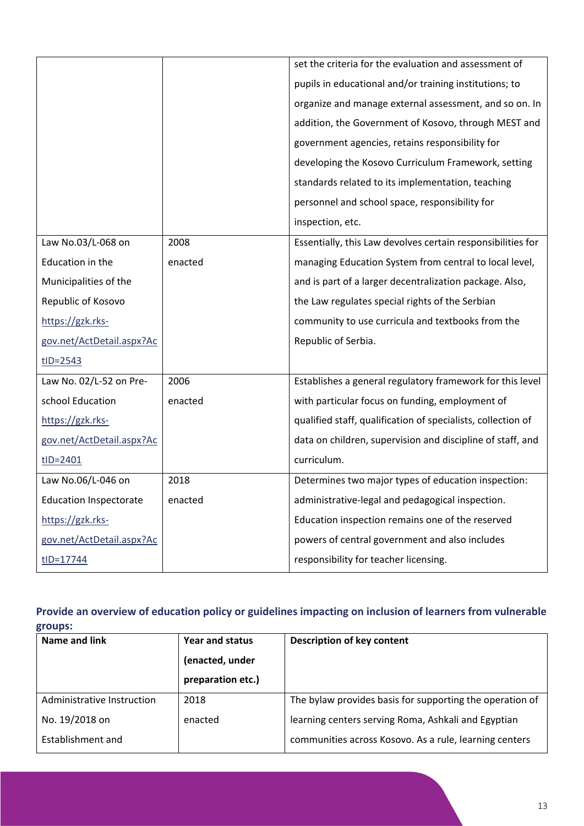|                               |         | set the criteria for the evaluation and assessment of        |
|-------------------------------|---------|--------------------------------------------------------------|
|                               |         | pupils in educational and/or training institutions; to       |
|                               |         | organize and manage external assessment, and so on. In       |
|                               |         | addition, the Government of Kosovo, through MEST and         |
|                               |         | government agencies, retains responsibility for              |
|                               |         | developing the Kosovo Curriculum Framework, setting          |
|                               |         | standards related to its implementation, teaching            |
|                               |         | personnel and school space, responsibility for               |
|                               |         | inspection, etc.                                             |
| Law No.03/L-068 on            | 2008    | Essentially, this Law devolves certain responsibilities for  |
| Education in the              | enacted | managing Education System from central to local level,       |
| Municipalities of the         |         | and is part of a larger decentralization package. Also,      |
| Republic of Kosovo            |         | the Law regulates special rights of the Serbian              |
| https://gzk.rks-              |         | community to use curricula and textbooks from the            |
| gov.net/ActDetail.aspx?Ac     |         | Republic of Serbia.                                          |
| $tID = 2543$                  |         |                                                              |
| Law No. 02/L-52 on Pre-       | 2006    | Establishes a general regulatory framework for this level    |
| school Education              | enacted | with particular focus on funding, employment of              |
| https://gzk.rks-              |         | qualified staff, qualification of specialists, collection of |
| gov.net/ActDetail.aspx?Ac     |         | data on children, supervision and discipline of staff, and   |
| $tID = 2401$                  |         | curriculum.                                                  |
| Law No.06/L-046 on            | 2018    | Determines two major types of education inspection:          |
| <b>Education Inspectorate</b> | enacted | administrative-legal and pedagogical inspection.             |
| https://gzk.rks-              |         | Education inspection remains one of the reserved             |
| gov.net/ActDetail.aspx?Ac     |         | powers of central government and also includes               |
| tID=17744                     |         | responsibility for teacher licensing.                        |

### **Provide an overview of education policy or guidelines impacting on inclusion of learners from vulnerable groups:**

| Name and link              | Year and status   | Description of key content                               |
|----------------------------|-------------------|----------------------------------------------------------|
|                            | (enacted, under   |                                                          |
|                            | preparation etc.) |                                                          |
| Administrative Instruction | 2018              | The bylaw provides basis for supporting the operation of |
| No. 19/2018 on             | enacted           | learning centers serving Roma, Ashkali and Egyptian      |
| Establishment and          |                   | communities across Kosovo. As a rule, learning centers   |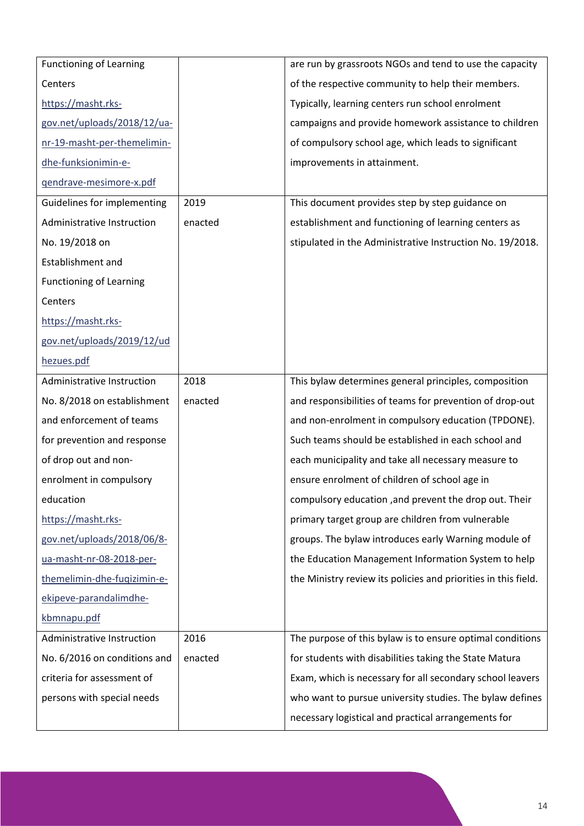| <b>Functioning of Learning</b> |         | are run by grassroots NGOs and tend to use the capacity        |
|--------------------------------|---------|----------------------------------------------------------------|
| Centers                        |         | of the respective community to help their members.             |
| https://masht.rks-             |         | Typically, learning centers run school enrolment               |
| gov.net/uploads/2018/12/ua-    |         | campaigns and provide homework assistance to children          |
| nr-19-masht-per-themelimin-    |         | of compulsory school age, which leads to significant           |
| dhe-funksionimin-e-            |         | improvements in attainment.                                    |
| qendrave-mesimore-x.pdf        |         |                                                                |
| Guidelines for implementing    | 2019    | This document provides step by step guidance on                |
| Administrative Instruction     | enacted | establishment and functioning of learning centers as           |
| No. 19/2018 on                 |         | stipulated in the Administrative Instruction No. 19/2018.      |
| <b>Establishment and</b>       |         |                                                                |
| <b>Functioning of Learning</b> |         |                                                                |
| Centers                        |         |                                                                |
| https://masht.rks-             |         |                                                                |
| gov.net/uploads/2019/12/ud     |         |                                                                |
| hezues.pdf                     |         |                                                                |
| Administrative Instruction     | 2018    | This bylaw determines general principles, composition          |
| No. 8/2018 on establishment    | enacted | and responsibilities of teams for prevention of drop-out       |
| and enforcement of teams       |         | and non-enrolment in compulsory education (TPDONE).            |
| for prevention and response    |         | Such teams should be established in each school and            |
| of drop out and non-           |         | each municipality and take all necessary measure to            |
| enrolment in compulsory        |         | ensure enrolment of children of school age in                  |
| education                      |         | compulsory education, and prevent the drop out. Their          |
| https://masht.rks-             |         | primary target group are children from vulnerable              |
| gov.net/uploads/2018/06/8-     |         | groups. The bylaw introduces early Warning module of           |
| ua-masht-nr-08-2018-per-       |         | the Education Management Information System to help            |
| themelimin-dhe-fuqizimin-e-    |         | the Ministry review its policies and priorities in this field. |
| ekipeve-parandalimdhe-         |         |                                                                |
| kbmnapu.pdf                    |         |                                                                |
| Administrative Instruction     | 2016    | The purpose of this bylaw is to ensure optimal conditions      |
| No. 6/2016 on conditions and   | enacted | for students with disabilities taking the State Matura         |
| criteria for assessment of     |         | Exam, which is necessary for all secondary school leavers      |
| persons with special needs     |         | who want to pursue university studies. The bylaw defines       |
|                                |         | necessary logistical and practical arrangements for            |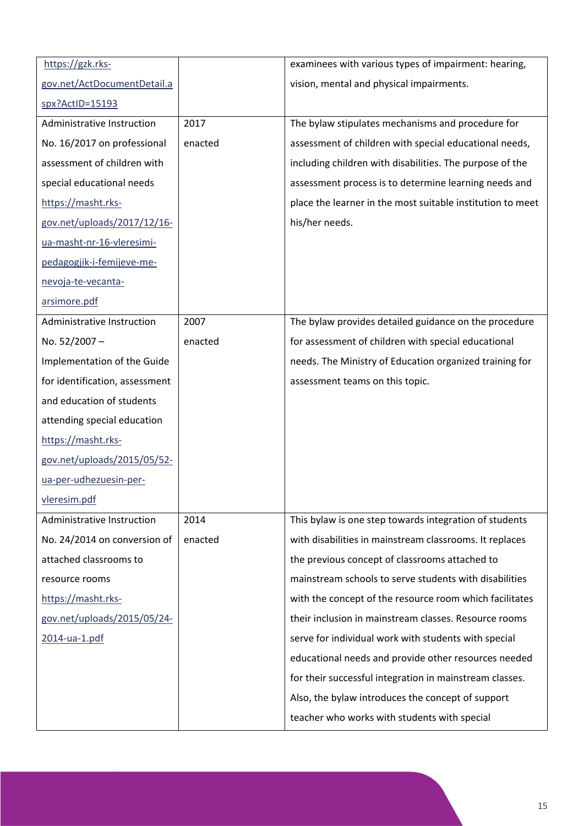| https://gzk.rks-               |         | examinees with various types of impairment: hearing,       |
|--------------------------------|---------|------------------------------------------------------------|
| gov.net/ActDocumentDetail.a    |         | vision, mental and physical impairments.                   |
| spx?ActID=15193                |         |                                                            |
| Administrative Instruction     | 2017    | The bylaw stipulates mechanisms and procedure for          |
| No. 16/2017 on professional    | enacted | assessment of children with special educational needs,     |
| assessment of children with    |         | including children with disabilities. The purpose of the   |
| special educational needs      |         | assessment process is to determine learning needs and      |
| https://masht.rks-             |         | place the learner in the most suitable institution to meet |
| gov.net/uploads/2017/12/16-    |         | his/her needs.                                             |
| ua-masht-nr-16-vleresimi-      |         |                                                            |
| pedagogjik-i-femijeve-me-      |         |                                                            |
| nevoja-te-vecanta-             |         |                                                            |
| arsimore.pdf                   |         |                                                            |
| Administrative Instruction     | 2007    | The bylaw provides detailed guidance on the procedure      |
| No. 52/2007-                   | enacted | for assessment of children with special educational        |
| Implementation of the Guide    |         | needs. The Ministry of Education organized training for    |
| for identification, assessment |         | assessment teams on this topic.                            |
| and education of students      |         |                                                            |
| attending special education    |         |                                                            |
| https://masht.rks-             |         |                                                            |
| gov.net/uploads/2015/05/52-    |         |                                                            |
| ua-per-udhezuesin-per-         |         |                                                            |
| vleresim.pdf                   |         |                                                            |
| Administrative Instruction     | 2014    | This bylaw is one step towards integration of students     |
| No. 24/2014 on conversion of   | enacted | with disabilities in mainstream classrooms. It replaces    |
| attached classrooms to         |         | the previous concept of classrooms attached to             |
| resource rooms                 |         | mainstream schools to serve students with disabilities     |
| https://masht.rks-             |         | with the concept of the resource room which facilitates    |
| gov.net/uploads/2015/05/24-    |         | their inclusion in mainstream classes. Resource rooms      |
| 2014-ua-1.pdf                  |         | serve for individual work with students with special       |
|                                |         | educational needs and provide other resources needed       |
|                                |         | for their successful integration in mainstream classes.    |
|                                |         | Also, the bylaw introduces the concept of support          |
|                                |         | teacher who works with students with special               |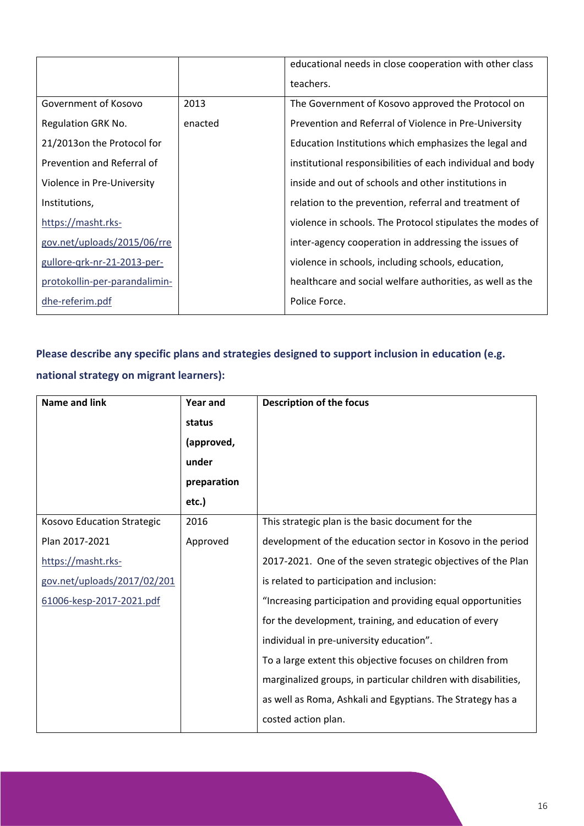|                               |         | educational needs in close cooperation with other class    |
|-------------------------------|---------|------------------------------------------------------------|
|                               |         | teachers.                                                  |
| Government of Kosovo          | 2013    | The Government of Kosovo approved the Protocol on          |
| Regulation GRK No.            | enacted | Prevention and Referral of Violence in Pre-University      |
| 21/2013on the Protocol for    |         | Education Institutions which emphasizes the legal and      |
| Prevention and Referral of    |         | institutional responsibilities of each individual and body |
| Violence in Pre-University    |         | inside and out of schools and other institutions in        |
| Institutions,                 |         | relation to the prevention, referral and treatment of      |
| https://masht.rks-            |         | violence in schools. The Protocol stipulates the modes of  |
| gov.net/uploads/2015/06/rre   |         | inter-agency cooperation in addressing the issues of       |
| gullore-grk-nr-21-2013-per-   |         | violence in schools, including schools, education,         |
| protokollin-per-parandalimin- |         | healthcare and social welfare authorities, as well as the  |
| dhe-referim.pdf               |         | Police Force.                                              |

# **Please describe any specific plans and strategies designed to support inclusion in education (e.g.**

### **national strategy on migrant learners):**

| Name and link               | <b>Year and</b> | <b>Description of the focus</b>                                |
|-----------------------------|-----------------|----------------------------------------------------------------|
|                             | status          |                                                                |
|                             | (approved,      |                                                                |
|                             | under           |                                                                |
|                             | preparation     |                                                                |
|                             | etc.)           |                                                                |
| Kosovo Education Strategic  | 2016            | This strategic plan is the basic document for the              |
| Plan 2017-2021              | Approved        | development of the education sector in Kosovo in the period    |
| https://masht.rks-          |                 | 2017-2021. One of the seven strategic objectives of the Plan   |
| gov.net/uploads/2017/02/201 |                 | is related to participation and inclusion:                     |
| 61006-kesp-2017-2021.pdf    |                 | "Increasing participation and providing equal opportunities    |
|                             |                 | for the development, training, and education of every          |
|                             |                 | individual in pre-university education".                       |
|                             |                 | To a large extent this objective focuses on children from      |
|                             |                 | marginalized groups, in particular children with disabilities, |
|                             |                 | as well as Roma, Ashkali and Egyptians. The Strategy has a     |
|                             |                 | costed action plan.                                            |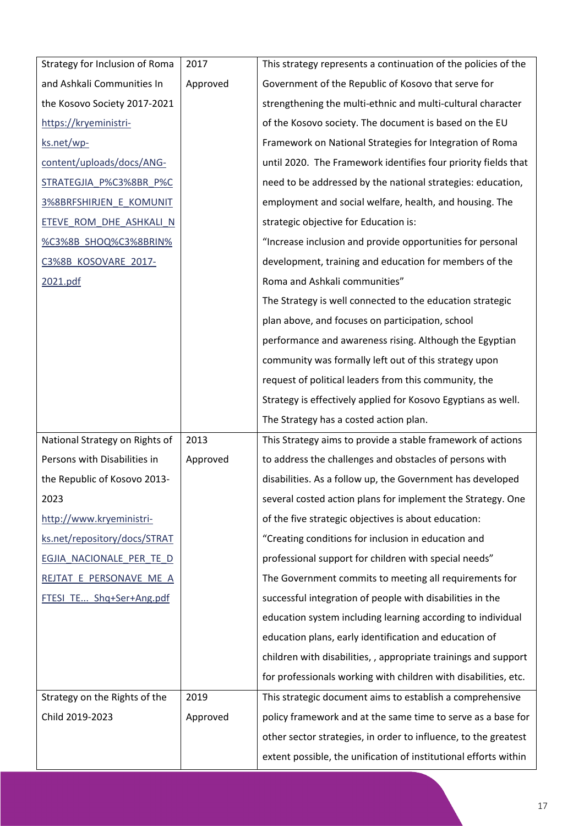| Strategy for Inclusion of Roma  | 2017     | This strategy represents a continuation of the policies of the  |
|---------------------------------|----------|-----------------------------------------------------------------|
| and Ashkali Communities In      | Approved | Government of the Republic of Kosovo that serve for             |
| the Kosovo Society 2017-2021    |          | strengthening the multi-ethnic and multi-cultural character     |
| https://kryeministri-           |          | of the Kosovo society. The document is based on the EU          |
| ks.net/wp-                      |          | Framework on National Strategies for Integration of Roma        |
| content/uploads/docs/ANG-       |          | until 2020. The Framework identifies four priority fields that  |
| STRATEGJIA_P%C3%8BR_P%C         |          | need to be addressed by the national strategies: education,     |
| 3%8BRFSHIRJEN_E_KOMUNIT         |          | employment and social welfare, health, and housing. The         |
| <u>ETEVE ROM DHE ASHKALI N</u>  |          | strategic objective for Education is:                           |
| <u>%C3%8B_SHOQ%C3%8BRIN%</u>    |          | "Increase inclusion and provide opportunities for personal      |
| C3%8B_KOSOVARE_2017-            |          | development, training and education for members of the          |
| 2021.pdf                        |          | Roma and Ashkali communities"                                   |
|                                 |          | The Strategy is well connected to the education strategic       |
|                                 |          | plan above, and focuses on participation, school                |
|                                 |          | performance and awareness rising. Although the Egyptian         |
|                                 |          | community was formally left out of this strategy upon           |
|                                 |          | request of political leaders from this community, the           |
|                                 |          | Strategy is effectively applied for Kosovo Egyptians as well.   |
|                                 |          |                                                                 |
|                                 |          | The Strategy has a costed action plan.                          |
| National Strategy on Rights of  | 2013     | This Strategy aims to provide a stable framework of actions     |
| Persons with Disabilities in    | Approved | to address the challenges and obstacles of persons with         |
| the Republic of Kosovo 2013-    |          | disabilities. As a follow up, the Government has developed      |
| 2023                            |          | several costed action plans for implement the Strategy. One     |
| http://www.kryeministri-        |          | of the five strategic objectives is about education:            |
| ks.net/repository/docs/STRAT    |          | "Creating conditions for inclusion in education and             |
| <u>EGJIA NACIONALE PER TE D</u> |          | professional support for children with special needs"           |
| REJTAT_E_PERSONAVE_ME_A         |          | The Government commits to meeting all requirements for          |
| FTESI_TE_Shq+Ser+Ang.pdf        |          | successful integration of people with disabilities in the       |
|                                 |          | education system including learning according to individual     |
|                                 |          | education plans, early identification and education of          |
|                                 |          | children with disabilities, , appropriate trainings and support |
|                                 |          | for professionals working with children with disabilities, etc. |
| Strategy on the Rights of the   | 2019     | This strategic document aims to establish a comprehensive       |
| Child 2019-2023                 | Approved | policy framework and at the same time to serve as a base for    |
|                                 |          | other sector strategies, in order to influence, to the greatest |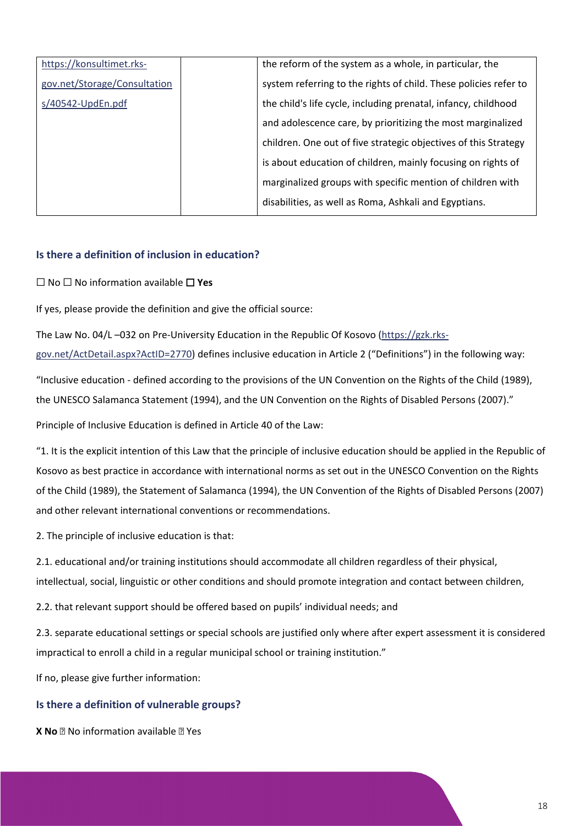| https://konsultimet.rks-     | the reform of the system as a whole, in particular, the          |
|------------------------------|------------------------------------------------------------------|
| gov.net/Storage/Consultation | system referring to the rights of child. These policies refer to |
| s/40542-UpdEn.pdf            | the child's life cycle, including prenatal, infancy, childhood   |
|                              | and adolescence care, by prioritizing the most marginalized      |
|                              | children. One out of five strategic objectives of this Strategy  |
|                              | is about education of children, mainly focusing on rights of     |
|                              | marginalized groups with specific mention of children with       |
|                              | disabilities, as well as Roma, Ashkali and Egyptians.            |

### **Is there a definition of inclusion in education?**

⬜ No ⬜ No information available ⬜ **Yes**

If yes, please provide the definition and give the official source:

The Law No. 04/L –032 on Pre-University Education in the Republic Of Kosovo [\(https://gzk.rks-](https://gzk.rks-gov.net/ActDetail.aspx?ActID=2770)

[gov.net/ActDetail.aspx?ActID=2770\)](https://gzk.rks-gov.net/ActDetail.aspx?ActID=2770) defines inclusive education in Article 2 ("Definitions") in the following way:

"Inclusive education - defined according to the provisions of the UN Convention on the Rights of the Child (1989), the UNESCO Salamanca Statement (1994), and the UN Convention on the Rights of Disabled Persons (2007)."

Principle of Inclusive Education is defined in Article 40 of the Law:

"1. It is the explicit intention of this Law that the principle of inclusive education should be applied in the Republic of Kosovo as best practice in accordance with international norms as set out in the UNESCO Convention on the Rights of the Child (1989), the Statement of Salamanca (1994), the UN Convention of the Rights of Disabled Persons (2007) and other relevant international conventions or recommendations.

2. The principle of inclusive education is that:

2.1. educational and/or training institutions should accommodate all children regardless of their physical, intellectual, social, linguistic or other conditions and should promote integration and contact between children,

2.2. that relevant support should be offered based on pupils' individual needs; and

2.3. separate educational settings or special schools are justified only where after expert assessment it is considered impractical to enroll a child in a regular municipal school or training institution."

If no, please give further information:

#### **Is there a definition of vulnerable groups?**

**X No No** information available **No** Yes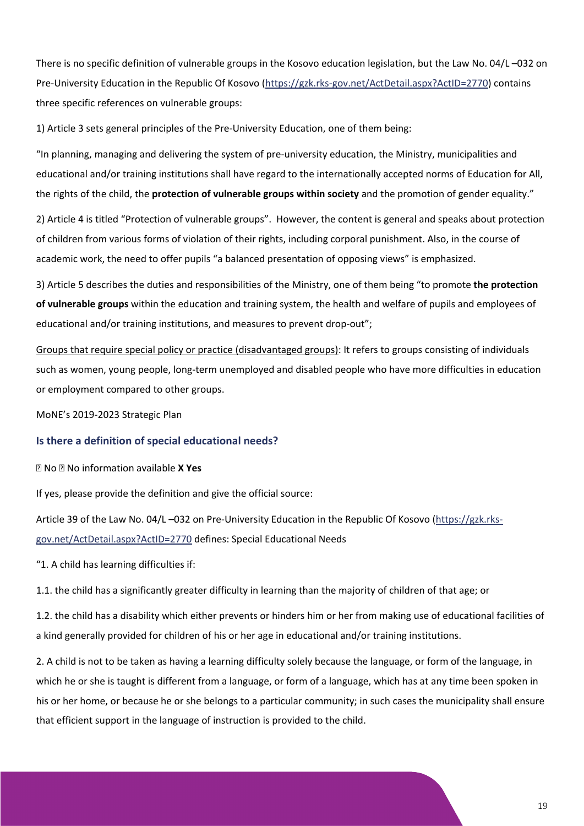There is no specific definition of vulnerable groups in the Kosovo education legislation, but the Law No. 04/L –032 on Pre-University Education in the Republic Of Kosovo [\(https://gzk.rks-gov.net/ActDetail.aspx?ActID=2770\)](https://gzk.rks-gov.net/ActDetail.aspx?ActID=2770) contains three specific references on vulnerable groups:

1) Article 3 sets general principles of the Pre-University Education, one of them being:

"In planning, managing and delivering the system of pre-university education, the Ministry, municipalities and educational and/or training institutions shall have regard to the internationally accepted norms of Education for All, the rights of the child, the **protection of vulnerable groups within society** and the promotion of gender equality."

2) Article 4 is titled "Protection of vulnerable groups". However, the content is general and speaks about protection of children from various forms of violation of their rights, including corporal punishment. Also, in the course of academic work, the need to offer pupils "a balanced presentation of opposing views" is emphasized.

3) Article 5 describes the duties and responsibilities of the Ministry, one of them being "to promote **the protection of vulnerable groups** within the education and training system, the health and welfare of pupils and employees of educational and/or training institutions, and measures to prevent drop-out";

[Groups that require special policy or practice \(disadvantaged groups\):](https://www.meb.gov.tr/stratejik_plan/) It refers to groups consisting of individuals such as women, young people, long-term unemployed and disabled people who have more difficulties in education or employment compared to other groups.

MoNE's 2019-2023 Strategic Plan

#### **Is there a definition of special educational needs?**

No No information available **X Yes**

If yes, please provide the definition and give the official source:

Article 39 of the Law No. 04/L –032 on Pre-University Education in the Republic Of Kosovo [\(https://gzk.rks](https://gzk.rks-gov.net/ActDetail.aspx?ActID=2770)[gov.net/ActDetail.aspx?ActID=2770](https://gzk.rks-gov.net/ActDetail.aspx?ActID=2770) defines: Special Educational Needs

"1. A child has learning difficulties if:

1.1. the child has a significantly greater difficulty in learning than the majority of children of that age; or

1.2. the child has a disability which either prevents or hinders him or her from making use of educational facilities of a kind generally provided for children of his or her age in educational and/or training institutions.

2. A child is not to be taken as having a learning difficulty solely because the language, or form of the language, in which he or she is taught is different from a language, or form of a language, which has at any time been spoken in his or her home, or because he or she belongs to a particular community; in such cases the municipality shall ensure that efficient support in the language of instruction is provided to the child.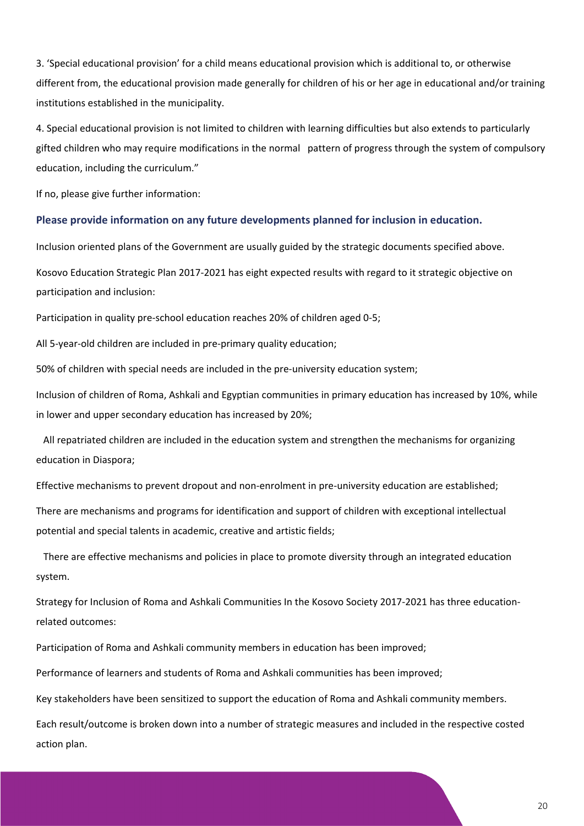3. 'Special educational provision' for a child means educational provision which is additional to, or otherwise different from, the educational provision made generally for children of his or her age in educational and/or training institutions established in the municipality.

4. Special educational provision is not limited to children with learning difficulties but also extends to particularly gifted children who may require modifications in the normal pattern of progress through the system of compulsory education, including the curriculum."

If no, please give further information:

#### **Please provide information on any future developments planned for inclusion in education.**

Inclusion oriented plans of the Government are usually guided by the strategic documents specified above.

Kosovo Education Strategic Plan 2017-2021 has eight expected results with regard to it strategic objective on participation and inclusion:

Participation in quality pre-school education reaches 20% of children aged 0-5;

All 5-year-old children are included in pre-primary quality education;

50% of children with special needs are included in the pre-university education system;

Inclusion of children of Roma, Ashkali and Egyptian communities in primary education has increased by 10%, while in lower and upper secondary education has increased by 20%;

 All repatriated children are included in the education system and strengthen the mechanisms for organizing education in Diaspora;

Effective mechanisms to prevent dropout and non-enrolment in pre-university education are established;

There are mechanisms and programs for identification and support of children with exceptional intellectual potential and special talents in academic, creative and artistic fields;

 There are effective mechanisms and policies in place to promote diversity through an integrated education system.

Strategy for Inclusion of Roma and Ashkali Communities In the Kosovo Society 2017-2021 has three educationrelated outcomes:

Participation of Roma and Ashkali community members in education has been improved;

Performance of learners and students of Roma and Ashkali communities has been improved;

Key stakeholders have been sensitized to support the education of Roma and Ashkali community members.

Each result/outcome is broken down into a number of strategic measures and included in the respective costed action plan.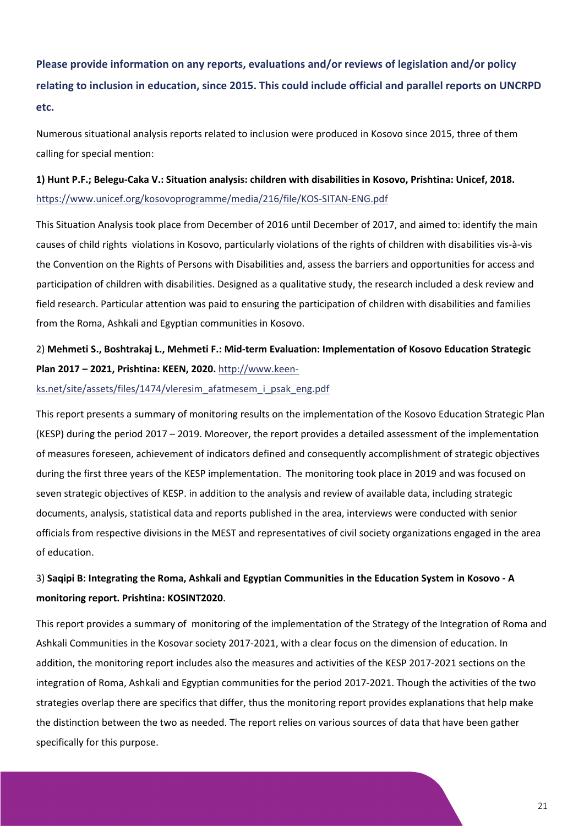# **Please provide information on any reports, evaluations and/or reviews of legislation and/or policy relating to inclusion in education, since 2015. This could include official and parallel reports on UNCRPD etc.**

Numerous situational analysis reports related to inclusion were produced in Kosovo since 2015, three of them calling for special mention:

### **1) Hunt P.F.; Belegu-Caka V.: Situation analysis: children with disabilities in Kosovo, Prishtina: Unicef, 2018.** <https://www.unicef.org/kosovoprogramme/media/216/file/KOS-SITAN-ENG.pdf>

This Situation Analysis took place from December of 2016 until December of 2017, and aimed to: identify the main causes of child rights violations in Kosovo, particularly violations of the rights of children with disabilities vis-à-vis the Convention on the Rights of Persons with Disabilities and, assess the barriers and opportunities for access and participation of children with disabilities. Designed as a qualitative study, the research included a desk review and field research. Particular attention was paid to ensuring the participation of children with disabilities and families from the Roma, Ashkali and Egyptian communities in Kosovo.

### 2) **Mehmeti S., Boshtrakaj L., Mehmeti F.: Mid-term Evaluation: Implementation of Kosovo Education Strategic Plan 2017 – 2021, Prishtina: KEEN, 2020.** [http://www.keen-](http://www.keen-ks.net/site/assets/files/1474/vleresim_afatmesem_i_psak_eng.pdf)

#### [ks.net/site/assets/files/1474/vleresim\\_afatmesem\\_i\\_psak\\_eng.pdf](http://www.keen-ks.net/site/assets/files/1474/vleresim_afatmesem_i_psak_eng.pdf)

This report presents a summary of monitoring results on the implementation of the Kosovo Education Strategic Plan (KESP) during the period 2017 – 2019. Moreover, the report provides a detailed assessment of the implementation of measures foreseen, achievement of indicators defined and consequently accomplishment of strategic objectives during the first three years of the KESP implementation. The monitoring took place in 2019 and was focused on seven strategic objectives of KESP. in addition to the analysis and review of available data, including strategic documents, analysis, statistical data and reports published in the area, interviews were conducted with senior officials from respective divisions in the MEST and representatives of civil society organizations engaged in the area of education.

### 3) **Saqipi B: Integrating the Roma, Ashkali and Egyptian Communities in the Education System in Kosovo - A monitoring report. Prishtina: KOSINT2020**.

This report provides a summary of monitoring of the implementation of the Strategy of the Integration of Roma and Ashkali Communities in the Kosovar society 2017-2021, with a clear focus on the dimension of education. In addition, the monitoring report includes also the measures and activities of the KESP 2017-2021 sections on the integration of Roma, Ashkali and Egyptian communities for the period 2017-2021. Though the activities of the two strategies overlap there are specifics that differ, thus the monitoring report provides explanations that help make the distinction between the two as needed. The report relies on various sources of data that have been gather specifically for this purpose.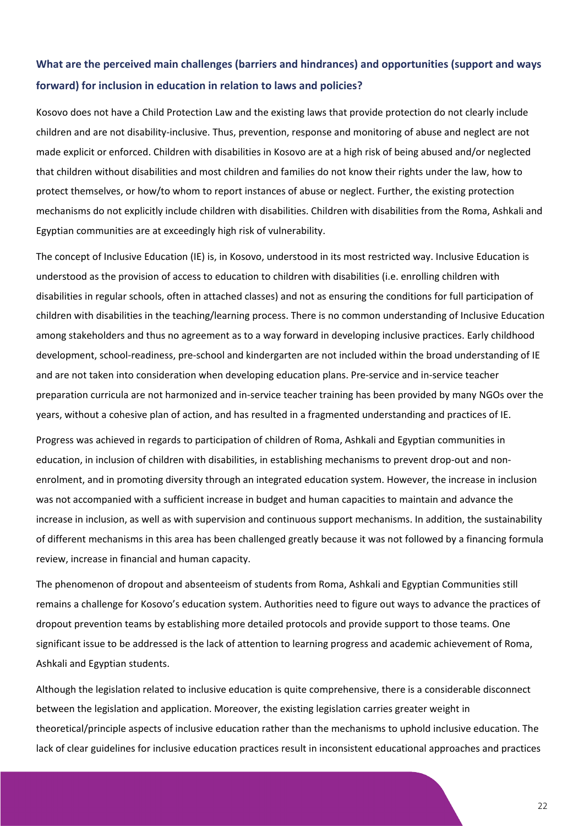### **What are the perceived main challenges (barriers and hindrances) and opportunities (support and ways forward) for inclusion in education in relation to laws and policies?**

Kosovo does not have a Child Protection Law and the existing laws that provide protection do not clearly include children and are not disability-inclusive. Thus, prevention, response and monitoring of abuse and neglect are not made explicit or enforced. Children with disabilities in Kosovo are at a high risk of being abused and/or neglected that children without disabilities and most children and families do not know their rights under the law, how to protect themselves, or how/to whom to report instances of abuse or neglect. Further, the existing protection mechanisms do not explicitly include children with disabilities. Children with disabilities from the Roma, Ashkali and Egyptian communities are at exceedingly high risk of vulnerability.

The concept of Inclusive Education (IE) is, in Kosovo, understood in its most restricted way. Inclusive Education is understood as the provision of access to education to children with disabilities (i.e. enrolling children with disabilities in regular schools, often in attached classes) and not as ensuring the conditions for full participation of children with disabilities in the teaching/learning process. There is no common understanding of Inclusive Education among stakeholders and thus no agreement as to a way forward in developing inclusive practices. Early childhood development, school-readiness, pre-school and kindergarten are not included within the broad understanding of IE and are not taken into consideration when developing education plans. Pre-service and in-service teacher preparation curricula are not harmonized and in-service teacher training has been provided by many NGOs over the years, without a cohesive plan of action, and has resulted in a fragmented understanding and practices of IE.

Progress was achieved in regards to participation of children of Roma, Ashkali and Egyptian communities in education, in inclusion of children with disabilities, in establishing mechanisms to prevent drop-out and nonenrolment, and in promoting diversity through an integrated education system. However, the increase in inclusion was not accompanied with a sufficient increase in budget and human capacities to maintain and advance the increase in inclusion, as well as with supervision and continuous support mechanisms. In addition, the sustainability of different mechanisms in this area has been challenged greatly because it was not followed by a financing formula review, increase in financial and human capacity.

The phenomenon of dropout and absenteeism of students from Roma, Ashkali and Egyptian Communities still remains a challenge for Kosovo's education system. Authorities need to figure out ways to advance the practices of dropout prevention teams by establishing more detailed protocols and provide support to those teams. One significant issue to be addressed is the lack of attention to learning progress and academic achievement of Roma, Ashkali and Egyptian students.

Although the legislation related to inclusive education is quite comprehensive, there is a considerable disconnect between the legislation and application. Moreover, the existing legislation carries greater weight in theoretical/principle aspects of inclusive education rather than the mechanisms to uphold inclusive education. The lack of clear guidelines for inclusive education practices result in inconsistent educational approaches and practices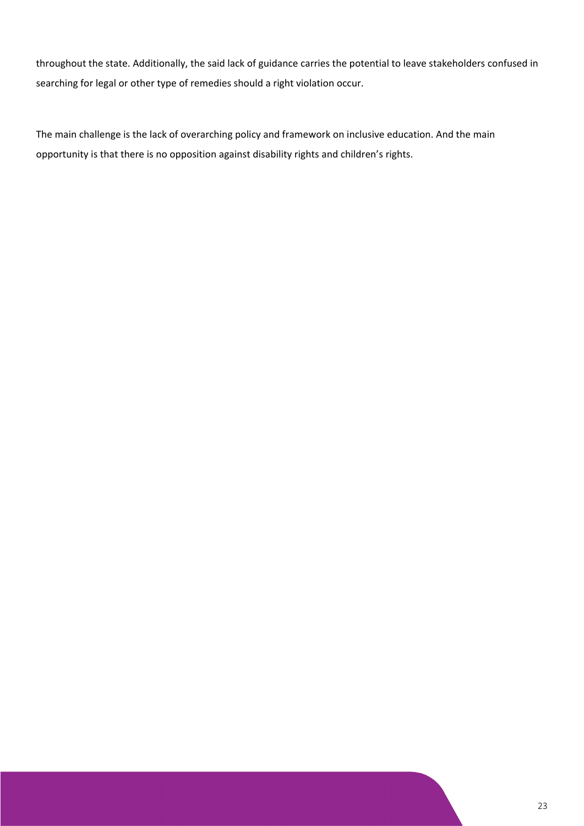throughout the state. Additionally, the said lack of guidance carries the potential to leave stakeholders confused in searching for legal or other type of remedies should a right violation occur.

The main challenge is the lack of overarching policy and framework on inclusive education. And the main opportunity is that there is no opposition against disability rights and children's rights.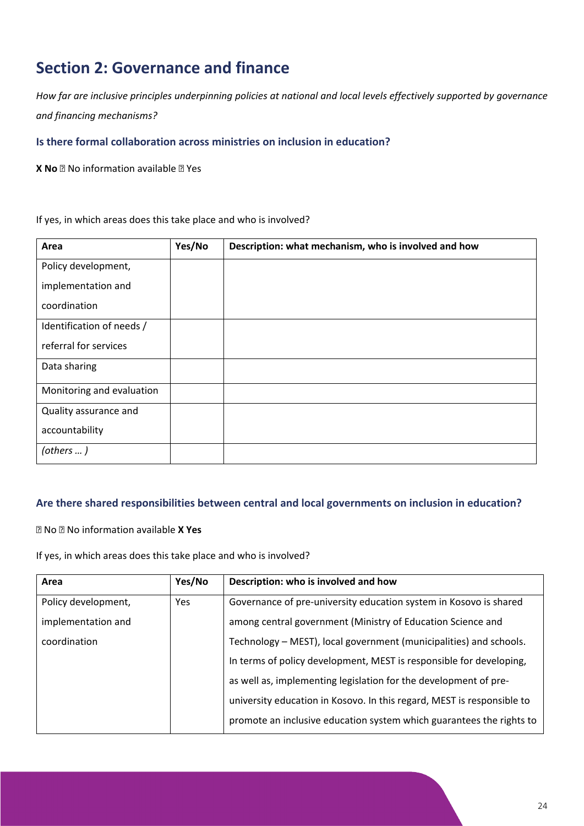# <span id="page-24-0"></span>**Section 2: Governance and finance**

*How far are inclusive principles underpinning policies at national and local levels effectively supported by governance and financing mechanisms?*

### **Is there formal collaboration across ministries on inclusion in education?**

**X No R** No information available **R** Yes

If yes, in which areas does this take place and who is involved?

| Area                      | Yes/No | Description: what mechanism, who is involved and how |
|---------------------------|--------|------------------------------------------------------|
| Policy development,       |        |                                                      |
| implementation and        |        |                                                      |
| coordination              |        |                                                      |
| Identification of needs / |        |                                                      |
| referral for services     |        |                                                      |
| Data sharing              |        |                                                      |
| Monitoring and evaluation |        |                                                      |
| Quality assurance and     |        |                                                      |
| accountability            |        |                                                      |
| (others  )                |        |                                                      |

### **Are there shared responsibilities between central and local governments on inclusion in education?**

No No information available **X Yes**

If yes, in which areas does this take place and who is involved?

| Area                | Yes/No | Description: who is involved and how                                   |
|---------------------|--------|------------------------------------------------------------------------|
| Policy development, | Yes    | Governance of pre-university education system in Kosovo is shared      |
| implementation and  |        | among central government (Ministry of Education Science and            |
| coordination        |        | Technology – MEST), local government (municipalities) and schools.     |
|                     |        | In terms of policy development, MEST is responsible for developing,    |
|                     |        | as well as, implementing legislation for the development of pre-       |
|                     |        | university education in Kosovo. In this regard, MEST is responsible to |
|                     |        | promote an inclusive education system which guarantees the rights to   |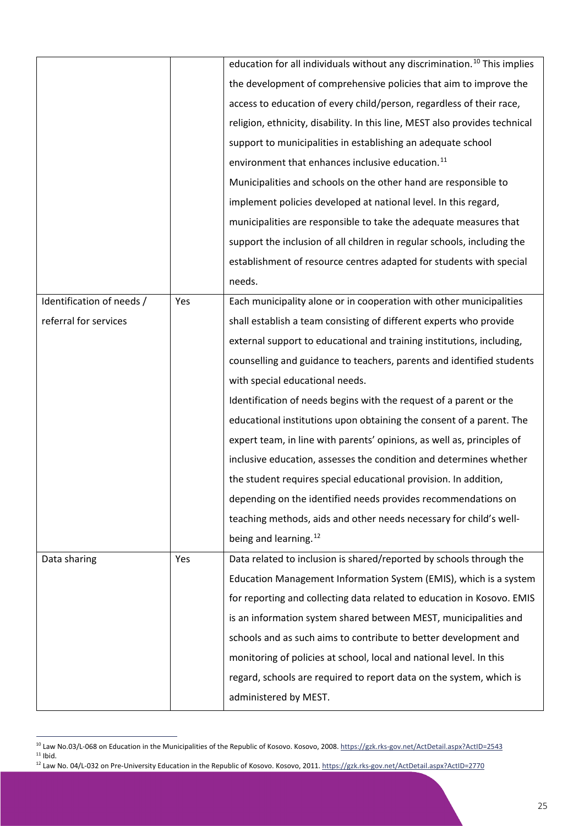|                           |     | education for all individuals without any discrimination. <sup>10</sup> This implies |
|---------------------------|-----|--------------------------------------------------------------------------------------|
|                           |     | the development of comprehensive policies that aim to improve the                    |
|                           |     | access to education of every child/person, regardless of their race,                 |
|                           |     | religion, ethnicity, disability. In this line, MEST also provides technical          |
|                           |     | support to municipalities in establishing an adequate school                         |
|                           |     | environment that enhances inclusive education. <sup>11</sup>                         |
|                           |     | Municipalities and schools on the other hand are responsible to                      |
|                           |     | implement policies developed at national level. In this regard,                      |
|                           |     | municipalities are responsible to take the adequate measures that                    |
|                           |     | support the inclusion of all children in regular schools, including the              |
|                           |     | establishment of resource centres adapted for students with special                  |
|                           |     | needs.                                                                               |
| Identification of needs / | Yes | Each municipality alone or in cooperation with other municipalities                  |
| referral for services     |     | shall establish a team consisting of different experts who provide                   |
|                           |     | external support to educational and training institutions, including,                |
|                           |     | counselling and guidance to teachers, parents and identified students                |
|                           |     | with special educational needs.                                                      |
|                           |     | Identification of needs begins with the request of a parent or the                   |
|                           |     | educational institutions upon obtaining the consent of a parent. The                 |
|                           |     | expert team, in line with parents' opinions, as well as, principles of               |
|                           |     | inclusive education, assesses the condition and determines whether                   |
|                           |     | the student requires special educational provision. In addition,                     |
|                           |     | depending on the identified needs provides recommendations on                        |
|                           |     | teaching methods, aids and other needs necessary for child's well-                   |
|                           |     | being and learning. <sup>12</sup>                                                    |
| Data sharing              | Yes | Data related to inclusion is shared/reported by schools through the                  |
|                           |     | Education Management Information System (EMIS), which is a system                    |
|                           |     | for reporting and collecting data related to education in Kosovo. EMIS               |
|                           |     | is an information system shared between MEST, municipalities and                     |
|                           |     | schools and as such aims to contribute to better development and                     |
|                           |     | monitoring of policies at school, local and national level. In this                  |
|                           |     | regard, schools are required to report data on the system, which is                  |
|                           |     | administered by MEST.                                                                |

<span id="page-25-1"></span><span id="page-25-0"></span><sup>&</sup>lt;sup>10</sup> Law No.03/L-068 on Education in the Municipalities of the Republic of Kosovo. Kosovo, 2008[. https://gzk.rks-gov.net/ActDetail.aspx?ActID=2543](https://gzk.rks-gov.net/ActDetail.aspx?ActID=2543) 11 Ibid.<br><sup>11</sup> Ibid.<br><sup>12</sup> Law No. 04/L-032 on Pre-University Education in the Republic of Kosovo. Kosovo, 2011[. https://gzk.rks-gov.net/ActDetail.aspx?ActID=2770](https://gzk.rks-gov.net/ActDetail.aspx?ActID=2770)

<span id="page-25-2"></span>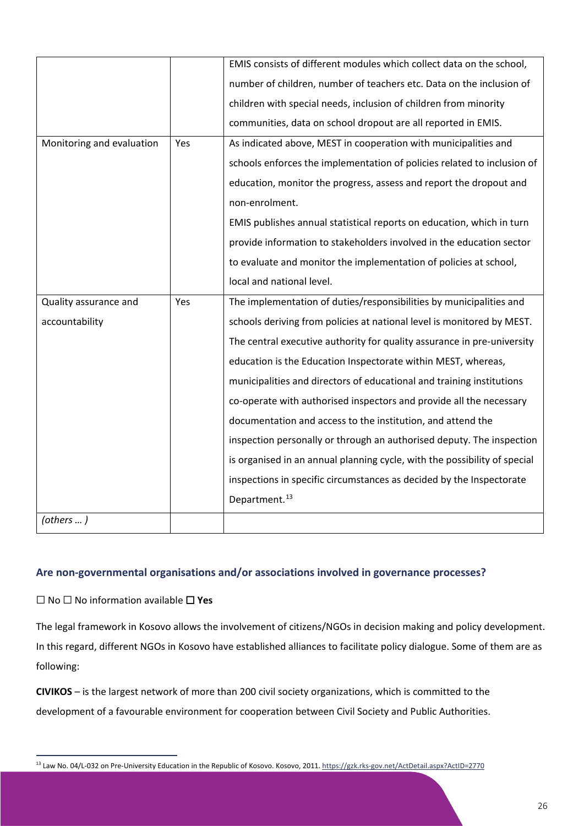|                           |     | EMIS consists of different modules which collect data on the school,      |
|---------------------------|-----|---------------------------------------------------------------------------|
|                           |     | number of children, number of teachers etc. Data on the inclusion of      |
|                           |     | children with special needs, inclusion of children from minority          |
|                           |     | communities, data on school dropout are all reported in EMIS.             |
| Monitoring and evaluation | Yes | As indicated above, MEST in cooperation with municipalities and           |
|                           |     | schools enforces the implementation of policies related to inclusion of   |
|                           |     | education, monitor the progress, assess and report the dropout and        |
|                           |     | non-enrolment.                                                            |
|                           |     | EMIS publishes annual statistical reports on education, which in turn     |
|                           |     | provide information to stakeholders involved in the education sector      |
|                           |     | to evaluate and monitor the implementation of policies at school,         |
|                           |     | local and national level.                                                 |
| Quality assurance and     | Yes |                                                                           |
|                           |     | The implementation of duties/responsibilities by municipalities and       |
| accountability            |     | schools deriving from policies at national level is monitored by MEST.    |
|                           |     | The central executive authority for quality assurance in pre-university   |
|                           |     | education is the Education Inspectorate within MEST, whereas,             |
|                           |     | municipalities and directors of educational and training institutions     |
|                           |     | co-operate with authorised inspectors and provide all the necessary       |
|                           |     | documentation and access to the institution, and attend the               |
|                           |     | inspection personally or through an authorised deputy. The inspection     |
|                           |     | is organised in an annual planning cycle, with the possibility of special |
|                           |     | inspections in specific circumstances as decided by the Inspectorate      |
|                           |     | Department. <sup>13</sup>                                                 |

### **Are non-governmental organisations and/or associations involved in governance processes?**

### ⬜ No ⬜ No information available ⬜ **Yes**

The legal framework in Kosovo allows the involvement of citizens/NGOs in decision making and policy development. In this regard, different NGOs in Kosovo have established alliances to facilitate policy dialogue. Some of them are as following:

**CIVIKOS** – is the largest network of more than 200 civil society organizations, which is committed to the development of a favourable environment for cooperation between Civil Society and Public Authorities.

<span id="page-26-0"></span><sup>&</sup>lt;sup>13</sup> Law No. 04/L-032 on Pre-University Education in the Republic of Kosovo. Kosovo, 2011[. https://gzk.rks-gov.net/ActDetail.aspx?ActID=2770](https://gzk.rks-gov.net/ActDetail.aspx?ActID=2770)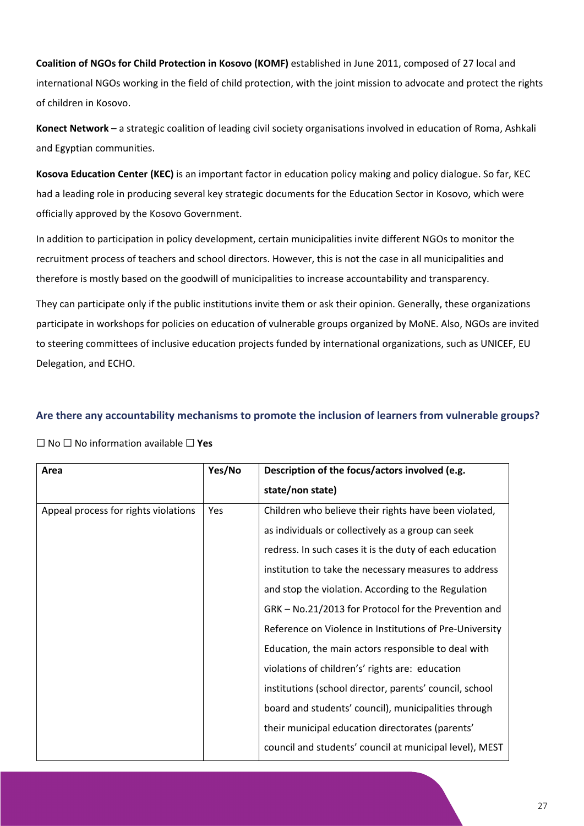**Coalition of NGOs for Child Protection in Kosovo (KOMF)** established in June 2011, composed of 27 local and international NGOs working in the field of child protection, with the joint mission to advocate and protect the rights of children in Kosovo.

**Konect Network** – a strategic coalition of leading civil society organisations involved in education of Roma, Ashkali and Egyptian communities.

**Kosova Education Center (KEC)** is an important factor in education policy making and policy dialogue. So far, KEC had a leading role in producing several key strategic documents for the Education Sector in Kosovo, which were officially approved by the Kosovo Government.

In addition to participation in policy development, certain municipalities invite different NGOs to monitor the recruitment process of teachers and school directors. However, this is not the case in all municipalities and therefore is mostly based on the goodwill of municipalities to increase accountability and transparency.

They can participate only if the public institutions invite them or ask their opinion. Generally, these organizations participate in workshops for policies on education of vulnerable groups organized by MoNE. Also, NGOs are invited to steering committees of inclusive education projects funded by international organizations, such as UNICEF, EU Delegation, and ECHO.

### **Are there any accountability mechanisms to promote the inclusion of learners from vulnerable groups?**

| Area                                 | Yes/No     | Description of the focus/actors involved (e.g.          |
|--------------------------------------|------------|---------------------------------------------------------|
|                                      |            | state/non state)                                        |
| Appeal process for rights violations | <b>Yes</b> | Children who believe their rights have been violated,   |
|                                      |            | as individuals or collectively as a group can seek      |
|                                      |            | redress. In such cases it is the duty of each education |
|                                      |            | institution to take the necessary measures to address   |
|                                      |            | and stop the violation. According to the Regulation     |
|                                      |            | GRK - No.21/2013 for Protocol for the Prevention and    |
|                                      |            | Reference on Violence in Institutions of Pre-University |
|                                      |            | Education, the main actors responsible to deal with     |
|                                      |            | violations of children's' rights are: education         |
|                                      |            | institutions (school director, parents' council, school |
|                                      |            | board and students' council), municipalities through    |
|                                      |            | their municipal education directorates (parents'        |
|                                      |            | council and students' council at municipal level), MEST |

⬜ No ⬜ No information available ⬜ **Yes**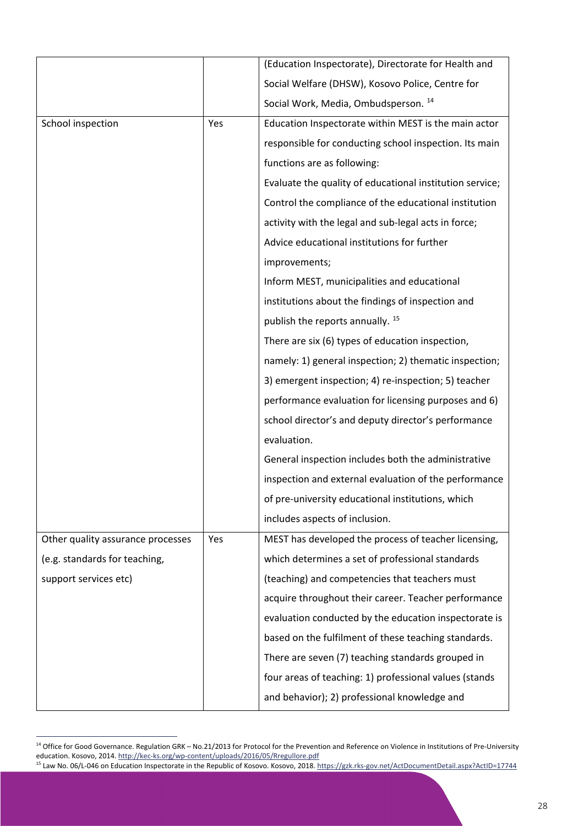|                                   |     | (Education Inspectorate), Directorate for Health and     |
|-----------------------------------|-----|----------------------------------------------------------|
|                                   |     | Social Welfare (DHSW), Kosovo Police, Centre for         |
|                                   |     | Social Work, Media, Ombudsperson. 14                     |
| School inspection                 | Yes | Education Inspectorate within MEST is the main actor     |
|                                   |     | responsible for conducting school inspection. Its main   |
|                                   |     | functions are as following:                              |
|                                   |     | Evaluate the quality of educational institution service; |
|                                   |     | Control the compliance of the educational institution    |
|                                   |     | activity with the legal and sub-legal acts in force;     |
|                                   |     | Advice educational institutions for further              |
|                                   |     | improvements;                                            |
|                                   |     | Inform MEST, municipalities and educational              |
|                                   |     | institutions about the findings of inspection and        |
|                                   |     | publish the reports annually. <sup>15</sup>              |
|                                   |     | There are six (6) types of education inspection,         |
|                                   |     | namely: 1) general inspection; 2) thematic inspection;   |
|                                   |     | 3) emergent inspection; 4) re-inspection; 5) teacher     |
|                                   |     | performance evaluation for licensing purposes and 6)     |
|                                   |     | school director's and deputy director's performance      |
|                                   |     | evaluation.                                              |
|                                   |     | General inspection includes both the administrative      |
|                                   |     | inspection and external evaluation of the performance    |
|                                   |     | of pre-university educational institutions, which        |
|                                   |     | includes aspects of inclusion.                           |
| Other quality assurance processes | Yes | MEST has developed the process of teacher licensing,     |
| (e.g. standards for teaching,     |     | which determines a set of professional standards         |
| support services etc)             |     | (teaching) and competencies that teachers must           |
|                                   |     | acquire throughout their career. Teacher performance     |
|                                   |     | evaluation conducted by the education inspectorate is    |
|                                   |     | based on the fulfilment of these teaching standards.     |
|                                   |     | There are seven (7) teaching standards grouped in        |
|                                   |     | four areas of teaching: 1) professional values (stands   |
|                                   |     | and behavior); 2) professional knowledge and             |

<span id="page-28-0"></span><sup>&</sup>lt;sup>14</sup> Office for Good Governance. Regulation GRK – No.21/2013 for Protocol for the Prevention and Reference on Violence in Institutions of Pre-University education. Kosovo, 2014[. http://kec-ks.org/wp-content/uploads/2016/05/Rregullore.pdf](http://kec-ks.org/wp-content/uploads/2016/05/Rregullore.pdf)

<span id="page-28-1"></span><sup>&</sup>lt;sup>15</sup> Law No. 06/L-046 on Education Inspectorate in the Republic of Kosovo. Kosovo, 2018[. https://gzk.rks-gov.net/ActDocumentDetail.aspx?ActID=17744](https://gzk.rks-gov.net/ActDocumentDetail.aspx?ActID=17744)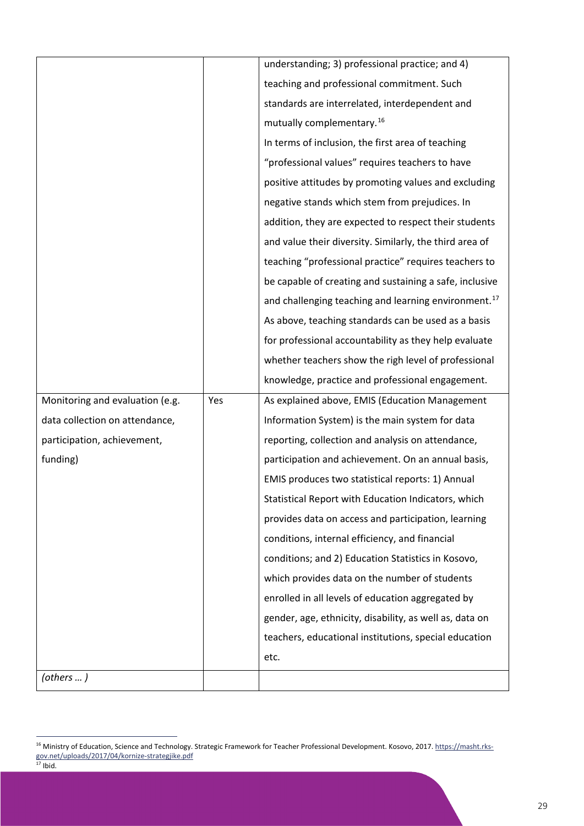|                                 |     | understanding; 3) professional practice; and 4)                  |
|---------------------------------|-----|------------------------------------------------------------------|
|                                 |     | teaching and professional commitment. Such                       |
|                                 |     | standards are interrelated, interdependent and                   |
|                                 |     | mutually complementary. <sup>16</sup>                            |
|                                 |     | In terms of inclusion, the first area of teaching                |
|                                 |     | "professional values" requires teachers to have                  |
|                                 |     | positive attitudes by promoting values and excluding             |
|                                 |     | negative stands which stem from prejudices. In                   |
|                                 |     | addition, they are expected to respect their students            |
|                                 |     | and value their diversity. Similarly, the third area of          |
|                                 |     | teaching "professional practice" requires teachers to            |
|                                 |     | be capable of creating and sustaining a safe, inclusive          |
|                                 |     | and challenging teaching and learning environment. <sup>17</sup> |
|                                 |     | As above, teaching standards can be used as a basis              |
|                                 |     | for professional accountability as they help evaluate            |
|                                 |     | whether teachers show the righ level of professional             |
|                                 |     | knowledge, practice and professional engagement.                 |
| Monitoring and evaluation (e.g. | Yes | As explained above, EMIS (Education Management                   |
| data collection on attendance,  |     | Information System) is the main system for data                  |
| participation, achievement,     |     | reporting, collection and analysis on attendance,                |
| funding)                        |     | participation and achievement. On an annual basis,               |
|                                 |     | EMIS produces two statistical reports: 1) Annual                 |
|                                 |     | Statistical Report with Education Indicators, which              |
|                                 |     | provides data on access and participation, learning              |
|                                 |     | conditions, internal efficiency, and financial                   |
|                                 |     | conditions; and 2) Education Statistics in Kosovo,               |
|                                 |     | which provides data on the number of students                    |
|                                 |     | enrolled in all levels of education aggregated by                |
|                                 |     | gender, age, ethnicity, disability, as well as, data on          |
|                                 |     | teachers, educational institutions, special education            |
|                                 |     | etc.                                                             |
| (others  )                      |     |                                                                  |

<span id="page-29-1"></span><span id="page-29-0"></span><sup>&</sup>lt;sup>16</sup> Ministry of Education, Science and Technology. Strategic Framework for Teacher Professional Development. Kosovo, 2017. [https://masht.rks](https://masht.rks-gov.net/uploads/2017/04/kornize-strategjike.pdf)[gov.net/uploads/2017/04/kornize-strategjike.pdf](https://masht.rks-gov.net/uploads/2017/04/kornize-strategjike.pdf)  $17$  Ibid.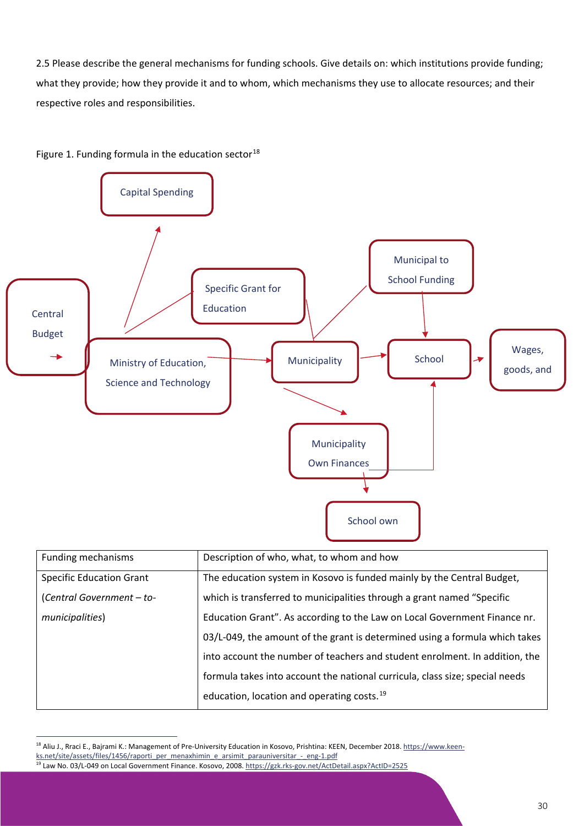2.5 Please describe the general mechanisms for funding schools. Give details on: which institutions provide funding; what they provide; how they provide it and to whom, which mechanisms they use to allocate resources; and their respective roles and responsibilities.





education, location and operating costs.<sup>[19](#page-30-1)</sup>

<span id="page-30-1"></span><span id="page-30-0"></span><sup>18</sup> Aliu J., Rraci E., Bajrami K.: Management of Pre-University Education in Kosovo, Prishtina: KEEN, December 2018[. https://www.keen](https://www.keen-ks.net/site/assets/files/1456/raporti_per_menaxhimin_e_arsimit_parauniversitar_-_eng-1.pdf)[ks.net/site/assets/files/1456/raporti\\_per\\_menaxhimin\\_e\\_arsimit\\_parauniversitar\\_-\\_eng-1.pdf](https://www.keen-ks.net/site/assets/files/1456/raporti_per_menaxhimin_e_arsimit_parauniversitar_-_eng-1.pdf) <sup>19</sup> Law No. 03/L-049 on Local Government Finance. Kosovo, 2008[. https://gzk.rks-gov.net/ActDetail.aspx?ActID=2525](https://gzk.rks-gov.net/ActDetail.aspx?ActID=2525)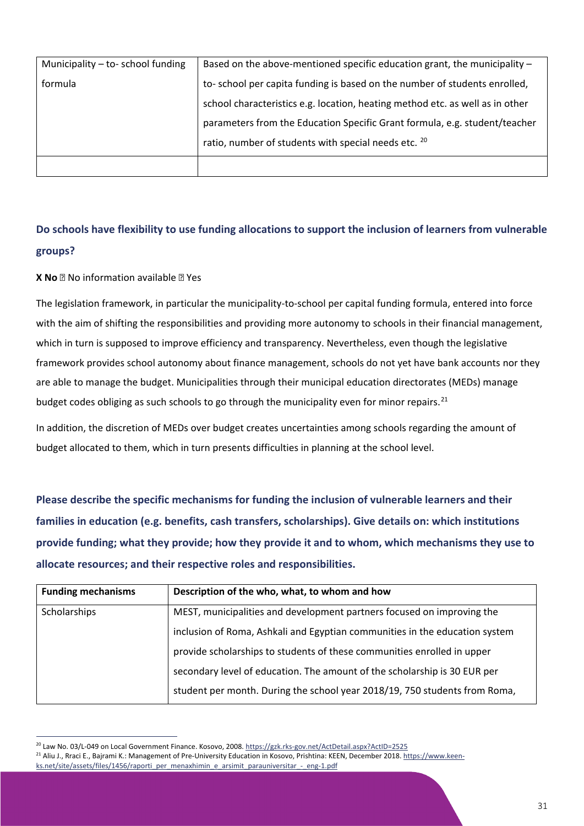| Municipality - to- school funding | Based on the above-mentioned specific education grant, the municipality -     |
|-----------------------------------|-------------------------------------------------------------------------------|
| formula                           | to-school per capita funding is based on the number of students enrolled,     |
|                                   | school characteristics e.g. location, heating method etc. as well as in other |
|                                   | parameters from the Education Specific Grant formula, e.g. student/teacher    |
|                                   | ratio, number of students with special needs etc. 20                          |
|                                   |                                                                               |

### **Do schools have flexibility to use funding allocations to support the inclusion of learners from vulnerable groups?**

### **X No P** No information available **P** Yes

The legislation framework, in particular the municipality-to-school per capital funding formula, entered into force with the aim of shifting the responsibilities and providing more autonomy to schools in their financial management, which in turn is supposed to improve efficiency and transparency. Nevertheless, even though the legislative framework provides school autonomy about finance management, schools do not yet have bank accounts nor they are able to manage the budget. Municipalities through their municipal education directorates (MEDs) manage budget codes obliging as such schools to go through the municipality even for minor repairs.<sup>[21](#page-31-1)</sup>

In addition, the discretion of MEDs over budget creates uncertainties among schools regarding the amount of budget allocated to them, which in turn presents difficulties in planning at the school level.

**Please describe the specific mechanisms for funding the inclusion of vulnerable learners and their families in education (e.g. benefits, cash transfers, scholarships). Give details on: which institutions provide funding; what they provide; how they provide it and to whom, which mechanisms they use to allocate resources; and their respective roles and responsibilities.**

| <b>Funding mechanisms</b> | Description of the who, what, to whom and how                               |
|---------------------------|-----------------------------------------------------------------------------|
| Scholarships              | MEST, municipalities and development partners focused on improving the      |
|                           | inclusion of Roma, Ashkali and Egyptian communities in the education system |
|                           | provide scholarships to students of these communities enrolled in upper     |
|                           | secondary level of education. The amount of the scholarship is 30 EUR per   |
|                           | student per month. During the school year 2018/19, 750 students from Roma,  |

<span id="page-31-1"></span><span id="page-31-0"></span><sup>20</sup> Law No. 03/L-049 on Local Government Finance. Kosovo, 2008[. https://gzk.rks-gov.net/ActDetail.aspx?ActID=2525](https://gzk.rks-gov.net/ActDetail.aspx?ActID=2525) <sup>21</sup> Aliu J., Rraci E., Bajrami K.: Management of Pre-University Education in Kosovo, Prishtina: KEEN, December 2018[. https://www.keen](https://www.keen-ks.net/site/assets/files/1456/raporti_per_menaxhimin_e_arsimit_parauniversitar_-_eng-1.pdf)[ks.net/site/assets/files/1456/raporti\\_per\\_menaxhimin\\_e\\_arsimit\\_parauniversitar\\_-\\_eng-1.pdf](https://www.keen-ks.net/site/assets/files/1456/raporti_per_menaxhimin_e_arsimit_parauniversitar_-_eng-1.pdf)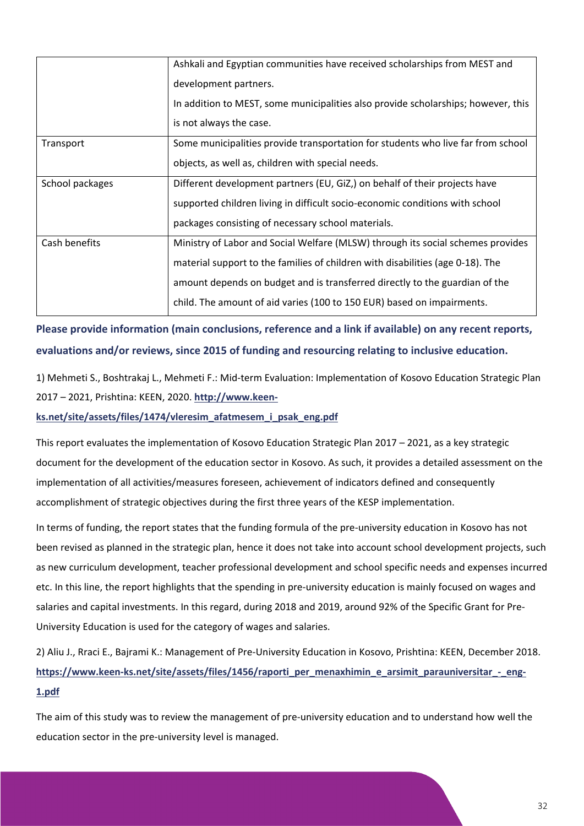|                 | Ashkali and Egyptian communities have received scholarships from MEST and<br>development partners.<br>In addition to MEST, some municipalities also provide scholarships; however, this<br>is not always the case.                                                                                                         |
|-----------------|----------------------------------------------------------------------------------------------------------------------------------------------------------------------------------------------------------------------------------------------------------------------------------------------------------------------------|
| Transport       | Some municipalities provide transportation for students who live far from school<br>objects, as well as, children with special needs.                                                                                                                                                                                      |
| School packages | Different development partners (EU, GiZ,) on behalf of their projects have<br>supported children living in difficult socio-economic conditions with school<br>packages consisting of necessary school materials.                                                                                                           |
| Cash benefits   | Ministry of Labor and Social Welfare (MLSW) through its social schemes provides<br>material support to the families of children with disabilities (age 0-18). The<br>amount depends on budget and is transferred directly to the guardian of the<br>child. The amount of aid varies (100 to 150 EUR) based on impairments. |

**Please provide information (main conclusions, reference and a link if available) on any recent reports, evaluations and/or reviews, since 2015 of funding and resourcing relating to inclusive education.**

1) Mehmeti S., Boshtrakaj L., Mehmeti F.: Mid-term Evaluation: Implementation of Kosovo Education Strategic Plan 2017 – 2021, Prishtina: KEEN, 2020. **[http://www.keen-](http://www.keen-ks.net/site/assets/files/1474/vleresim_afatmesem_i_psak_eng.pdf)**

**[ks.net/site/assets/files/1474/vleresim\\_afatmesem\\_i\\_psak\\_eng.pdf](http://www.keen-ks.net/site/assets/files/1474/vleresim_afatmesem_i_psak_eng.pdf)**

This report evaluates the implementation of Kosovo Education Strategic Plan 2017 – 2021, as a key strategic document for the development of the education sector in Kosovo. As such, it provides a detailed assessment on the implementation of all activities/measures foreseen, achievement of indicators defined and consequently accomplishment of strategic objectives during the first three years of the KESP implementation.

In terms of funding, the report states that the funding formula of the pre-university education in Kosovo has not been revised as planned in the strategic plan, hence it does not take into account school development projects, such as new curriculum development, teacher professional development and school specific needs and expenses incurred etc. In this line, the report highlights that the spending in pre-university education is mainly focused on wages and salaries and capital investments. In this regard, during 2018 and 2019, around 92% of the Specific Grant for Pre-University Education is used for the category of wages and salaries.

2) Aliu J., Rraci E., Bajrami K.: Management of Pre-University Education in Kosovo, Prishtina: KEEN, December 2018. https://www.keen-ks.net/site/assets/files/1456/raporti per menaxhimin e arsimit parauniversitar - eng-**[1.pdf](https://www.keen-ks.net/site/assets/files/1456/raporti_per_menaxhimin_e_arsimit_parauniversitar_-_eng-1.pdf)**

The aim of this study was to review the management of pre-university education and to understand how well the education sector in the pre-university level is managed.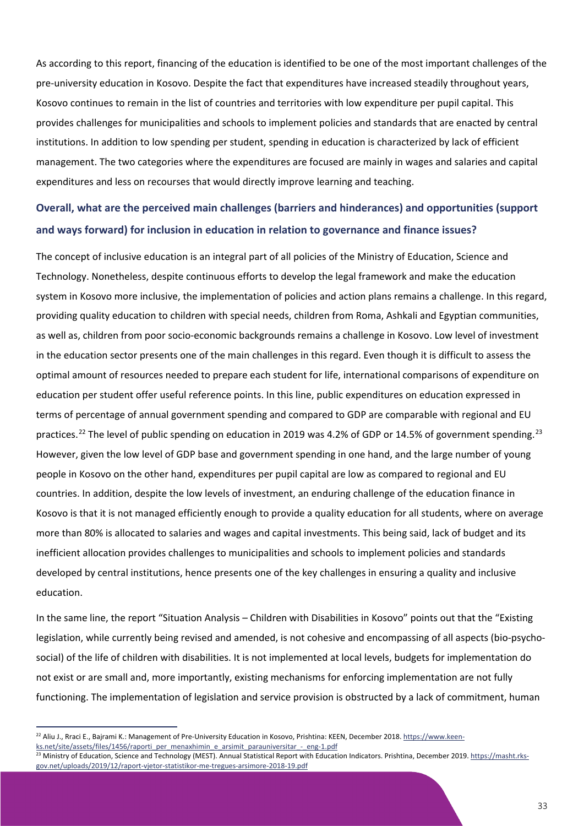As according to this report, financing of the education is identified to be one of the most important challenges of the pre-university education in Kosovo. Despite the fact that expenditures have increased steadily throughout years, Kosovo continues to remain in the list of countries and territories with low expenditure per pupil capital. This provides challenges for municipalities and schools to implement policies and standards that are enacted by central institutions. In addition to low spending per student, spending in education is characterized by lack of efficient management. The two categories where the expenditures are focused are mainly in wages and salaries and capital expenditures and less on recourses that would directly improve learning and teaching.

### **Overall, what are the perceived main challenges (barriers and hinderances) and opportunities (support and ways forward) for inclusion in education in relation to governance and finance issues?**

The concept of inclusive education is an integral part of all policies of the Ministry of Education, Science and Technology. Nonetheless, despite continuous efforts to develop the legal framework and make the education system in Kosovo more inclusive, the implementation of policies and action plans remains a challenge. In this regard, providing quality education to children with special needs, children from Roma, Ashkali and Egyptian communities, as well as, children from poor socio-economic backgrounds remains a challenge in Kosovo. Low level of investment in the education sector presents one of the main challenges in this regard. Even though it is difficult to assess the optimal amount of resources needed to prepare each student for life, international comparisons of expenditure on education per student offer useful reference points. In this line, public expenditures on education expressed in terms of percentage of annual government spending and compared to GDP are comparable with regional and EU practices.<sup>[22](#page-33-0)</sup> The level of public spending on education in 2019 was 4.2% of GDP or 14.5% of government spending.<sup>[23](#page-33-1)</sup> However, given the low level of GDP base and government spending in one hand, and the large number of young people in Kosovo on the other hand, expenditures per pupil capital are low as compared to regional and EU countries. In addition, despite the low levels of investment, an enduring challenge of the education finance in Kosovo is that it is not managed efficiently enough to provide a quality education for all students, where on average more than 80% is allocated to salaries and wages and capital investments. This being said, lack of budget and its inefficient allocation provides challenges to municipalities and schools to implement policies and standards developed by central institutions, hence presents one of the key challenges in ensuring a quality and inclusive education.

In the same line, the report "Situation Analysis – Children with Disabilities in Kosovo" points out that the "Existing legislation, while currently being revised and amended, is not cohesive and encompassing of all aspects (bio-psychosocial) of the life of children with disabilities. It is not implemented at local levels, budgets for implementation do not exist or are small and, more importantly, existing mechanisms for enforcing implementation are not fully functioning. The implementation of legislation and service provision is obstructed by a lack of commitment, human

<span id="page-33-0"></span><sup>&</sup>lt;sup>22</sup> Aliu J., Rraci E., Bajrami K.: Management of Pre-University Education in Kosovo, Prishtina: KEEN, December 2018[. https://www.keen](https://www.keen-ks.net/site/assets/files/1456/raporti_per_menaxhimin_e_arsimit_parauniversitar_-_eng-1.pdf)[ks.net/site/assets/files/1456/raporti\\_per\\_menaxhimin\\_e\\_arsimit\\_parauniversitar\\_-\\_eng-1.pdf](https://www.keen-ks.net/site/assets/files/1456/raporti_per_menaxhimin_e_arsimit_parauniversitar_-_eng-1.pdf)

<span id="page-33-1"></span><sup>23</sup> Ministry of Education, Science and Technology (MEST). Annual Statistical Report with Education Indicators. Prishtina, December 2019[. https://masht.rks](https://masht.rks-gov.net/uploads/2019/12/raport-vjetor-statistikor-me-tregues-arsimore-2018-19.pdf)[gov.net/uploads/2019/12/raport-vjetor-statistikor-me-tregues-arsimore-2018-19.pdf](https://masht.rks-gov.net/uploads/2019/12/raport-vjetor-statistikor-me-tregues-arsimore-2018-19.pdf)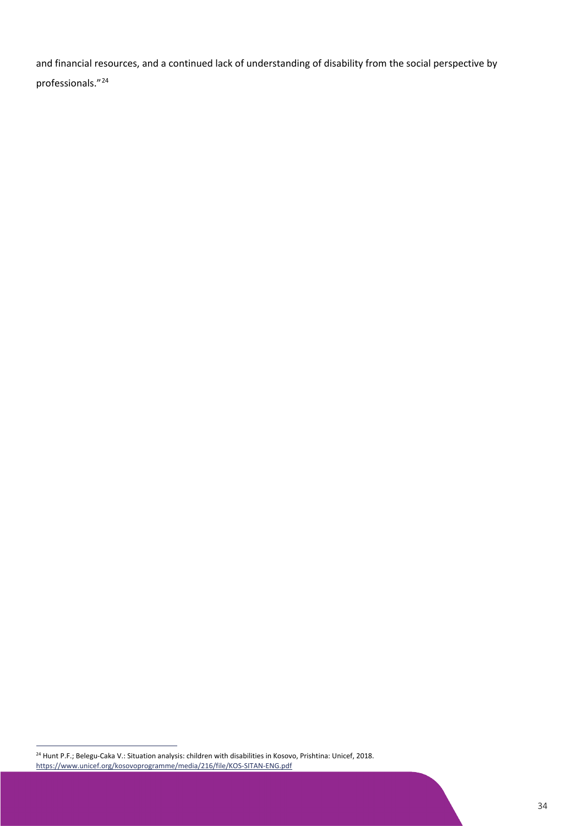and financial resources, and a continued lack of understanding of disability from the social perspective by professionals."[24](#page-34-0)

<span id="page-34-0"></span><sup>24</sup> Hunt P.F.; Belegu-Caka V.: Situation analysis: children with disabilities in Kosovo, Prishtina: Unicef, 2018. <https://www.unicef.org/kosovoprogramme/media/216/file/KOS-SITAN-ENG.pdf>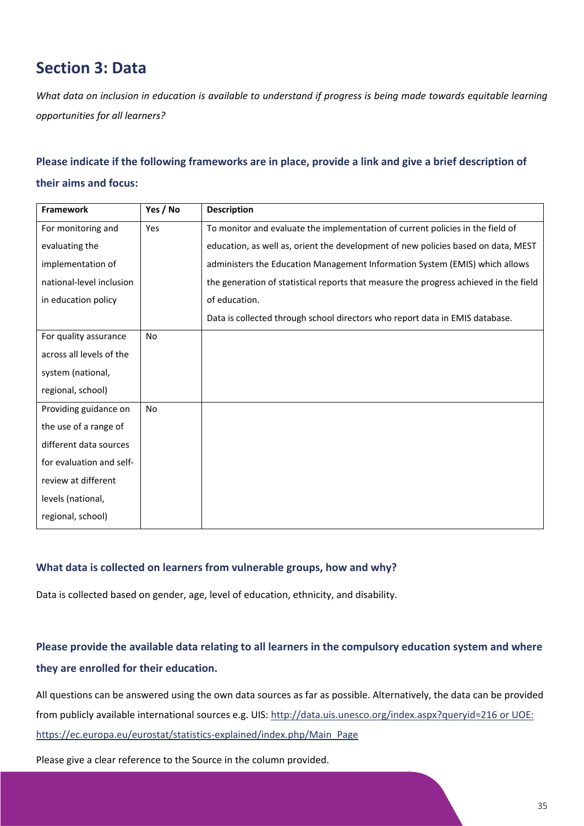# <span id="page-35-0"></span>**Section 3: Data**

*What data on inclusion in education is available to understand if progress is being made towards equitable learning opportunities for all learners?*

### **Please indicate if the following frameworks are in place, provide a link and give a brief description of**

### **their aims and focus:**

| <b>Framework</b>         | Yes / No  | <b>Description</b>                                                                    |
|--------------------------|-----------|---------------------------------------------------------------------------------------|
| For monitoring and       | Yes       | To monitor and evaluate the implementation of current policies in the field of        |
| evaluating the           |           | education, as well as, orient the development of new policies based on data, MEST     |
| implementation of        |           | administers the Education Management Information System (EMIS) which allows           |
| national-level inclusion |           | the generation of statistical reports that measure the progress achieved in the field |
| in education policy      |           | of education.                                                                         |
|                          |           | Data is collected through school directors who report data in EMIS database.          |
| For quality assurance    | <b>No</b> |                                                                                       |
| across all levels of the |           |                                                                                       |
| system (national,        |           |                                                                                       |
| regional, school)        |           |                                                                                       |
| Providing guidance on    | <b>No</b> |                                                                                       |
| the use of a range of    |           |                                                                                       |
| different data sources   |           |                                                                                       |
| for evaluation and self- |           |                                                                                       |
| review at different      |           |                                                                                       |
| levels (national,        |           |                                                                                       |
| regional, school)        |           |                                                                                       |

### **What data is collected on learners from vulnerable groups, how and why?**

Data is collected based on gender, age, level of education, ethnicity, and disability.

### **Please provide the available data relating to all learners in the compulsory education system and where they are enrolled for their education.**

All questions can be answered using the own data sources as far as possible. Alternatively, the data can be provided from publicly available international sources e.g. UIS:<http://data.uis.unesco.org/index.aspx?queryid=216> or UOE: https://ec.europa.eu/eurostat/statistics-explained/index.php/Main\_Page

Please give a clear reference to the Source in the column provided.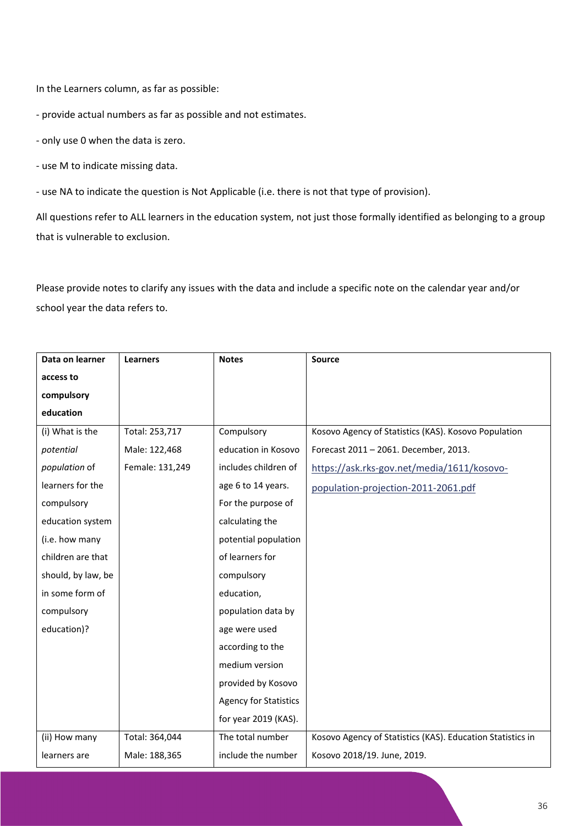In the Learners column, as far as possible:

- provide actual numbers as far as possible and not estimates.

- only use 0 when the data is zero.

- use M to indicate missing data.

- use NA to indicate the question is Not Applicable (i.e. there is not that type of provision).

All questions refer to ALL learners in the education system, not just those formally identified as belonging to a group that is vulnerable to exclusion.

Please provide notes to clarify any issues with the data and include a specific note on the calendar year and/or school year the data refers to.

| Data on learner    | <b>Learners</b> | <b>Notes</b>                 | Source                                                     |
|--------------------|-----------------|------------------------------|------------------------------------------------------------|
| access to          |                 |                              |                                                            |
| compulsory         |                 |                              |                                                            |
| education          |                 |                              |                                                            |
| (i) What is the    | Total: 253,717  | Compulsory                   | Kosovo Agency of Statistics (KAS). Kosovo Population       |
| potential          | Male: 122,468   | education in Kosovo          | Forecast 2011 - 2061. December, 2013.                      |
| population of      | Female: 131,249 | includes children of         | https://ask.rks-gov.net/media/1611/kosovo-                 |
| learners for the   |                 | age 6 to 14 years.           | population-projection-2011-2061.pdf                        |
| compulsory         |                 | For the purpose of           |                                                            |
| education system   |                 | calculating the              |                                                            |
| (i.e. how many     |                 | potential population         |                                                            |
| children are that  |                 | of learners for              |                                                            |
| should, by law, be |                 | compulsory                   |                                                            |
| in some form of    |                 | education,                   |                                                            |
| compulsory         |                 | population data by           |                                                            |
| education)?        |                 | age were used                |                                                            |
|                    |                 | according to the             |                                                            |
|                    |                 | medium version               |                                                            |
|                    |                 | provided by Kosovo           |                                                            |
|                    |                 | <b>Agency for Statistics</b> |                                                            |
|                    |                 | for year 2019 (KAS).         |                                                            |
| (ii) How many      | Total: 364,044  | The total number             | Kosovo Agency of Statistics (KAS). Education Statistics in |
| learners are       | Male: 188,365   | include the number           | Kosovo 2018/19. June, 2019.                                |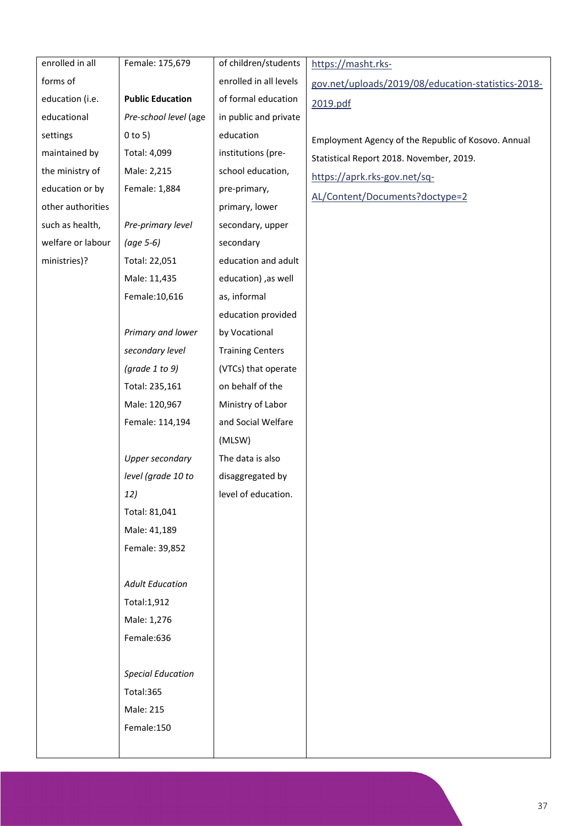| enrolled in all   | Female: 175,679          | of children/students    | https://masht.rks-                                  |
|-------------------|--------------------------|-------------------------|-----------------------------------------------------|
| forms of          |                          | enrolled in all levels  | gov.net/uploads/2019/08/education-statistics-2018-  |
| education (i.e.   | <b>Public Education</b>  | of formal education     | 2019.pdf                                            |
| educational       | Pre-school level (age    | in public and private   |                                                     |
| settings          | $0$ to 5)                | education               |                                                     |
| maintained by     | Total: 4,099             | institutions (pre-      | Employment Agency of the Republic of Kosovo. Annual |
| the ministry of   | Male: 2,215              | school education,       | Statistical Report 2018. November, 2019.            |
| education or by   | Female: 1,884            | pre-primary,            | https://aprk.rks-gov.net/sq-                        |
| other authorities |                          | primary, lower          | AL/Content/Documents?doctype=2                      |
| such as health,   | Pre-primary level        | secondary, upper        |                                                     |
| welfare or labour | (age 5-6)                | secondary               |                                                     |
| ministries)?      | Total: 22,051            | education and adult     |                                                     |
|                   | Male: 11,435             | education) ,as well     |                                                     |
|                   | Female: 10,616           | as, informal            |                                                     |
|                   |                          | education provided      |                                                     |
|                   | Primary and lower        | by Vocational           |                                                     |
|                   | secondary level          | <b>Training Centers</b> |                                                     |
|                   | (grade $1$ to $9$ )      | (VTCs) that operate     |                                                     |
|                   | Total: 235,161           | on behalf of the        |                                                     |
|                   | Male: 120,967            | Ministry of Labor       |                                                     |
|                   | Female: 114,194          | and Social Welfare      |                                                     |
|                   |                          | (MLSW)                  |                                                     |
|                   | Upper secondary          | The data is also        |                                                     |
|                   | level (grade 10 to       | disaggregated by        |                                                     |
|                   | 12)                      | level of education.     |                                                     |
|                   | Total: 81,041            |                         |                                                     |
|                   | Male: 41,189             |                         |                                                     |
|                   | Female: 39,852           |                         |                                                     |
|                   |                          |                         |                                                     |
|                   | <b>Adult Education</b>   |                         |                                                     |
|                   | Total:1,912              |                         |                                                     |
|                   | Male: 1,276              |                         |                                                     |
|                   | Female:636               |                         |                                                     |
|                   |                          |                         |                                                     |
|                   | <b>Special Education</b> |                         |                                                     |
|                   | Total:365                |                         |                                                     |
|                   | Male: 215                |                         |                                                     |
|                   | Female:150               |                         |                                                     |
|                   |                          |                         |                                                     |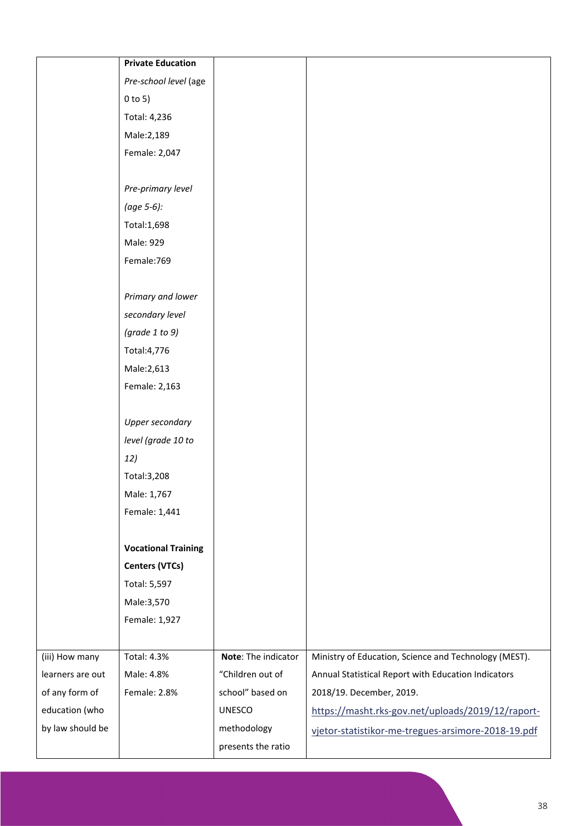|                  | <b>Private Education</b>   |                     |                                                       |
|------------------|----------------------------|---------------------|-------------------------------------------------------|
|                  | Pre-school level (age      |                     |                                                       |
|                  | $0$ to 5)                  |                     |                                                       |
|                  | Total: 4,236               |                     |                                                       |
|                  | Male: 2,189                |                     |                                                       |
|                  | Female: 2,047              |                     |                                                       |
|                  |                            |                     |                                                       |
|                  | Pre-primary level          |                     |                                                       |
|                  | (age 5-6):                 |                     |                                                       |
|                  | Total:1,698                |                     |                                                       |
|                  | Male: 929                  |                     |                                                       |
|                  | Female: 769                |                     |                                                       |
|                  |                            |                     |                                                       |
|                  | Primary and lower          |                     |                                                       |
|                  | secondary level            |                     |                                                       |
|                  | (grade $1$ to $9$ )        |                     |                                                       |
|                  | Total: 4,776               |                     |                                                       |
|                  | Male: 2,613                |                     |                                                       |
|                  | Female: 2,163              |                     |                                                       |
|                  |                            |                     |                                                       |
|                  | Upper secondary            |                     |                                                       |
|                  | level (grade 10 to         |                     |                                                       |
|                  | 12)                        |                     |                                                       |
|                  | Total: 3,208               |                     |                                                       |
|                  | Male: 1,767                |                     |                                                       |
|                  | Female: 1,441              |                     |                                                       |
|                  |                            |                     |                                                       |
|                  | <b>Vocational Training</b> |                     |                                                       |
|                  | <b>Centers (VTCs)</b>      |                     |                                                       |
|                  | Total: 5,597               |                     |                                                       |
|                  | Male:3,570                 |                     |                                                       |
|                  | Female: 1,927              |                     |                                                       |
|                  |                            |                     |                                                       |
| (iii) How many   | <b>Total: 4.3%</b>         | Note: The indicator | Ministry of Education, Science and Technology (MEST). |
| learners are out | Male: 4.8%                 | "Children out of    | Annual Statistical Report with Education Indicators   |
| of any form of   | Female: 2.8%               | school" based on    | 2018/19. December, 2019.                              |
| education (who   |                            | <b>UNESCO</b>       | https://masht.rks-gov.net/uploads/2019/12/raport-     |
| by law should be |                            | methodology         | vjetor-statistikor-me-tregues-arsimore-2018-19.pdf    |
|                  |                            | presents the ratio  |                                                       |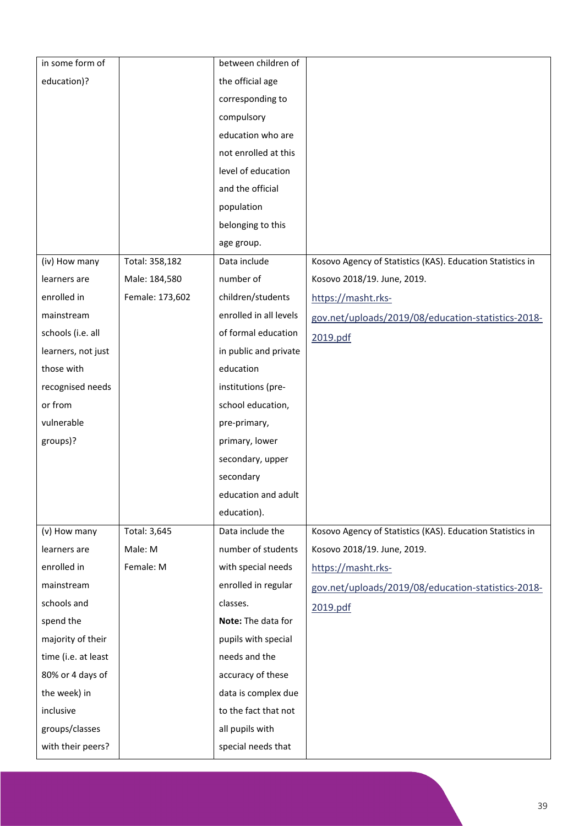| in some form of     |                 | between children of    |                                                            |
|---------------------|-----------------|------------------------|------------------------------------------------------------|
| education)?         |                 | the official age       |                                                            |
|                     |                 | corresponding to       |                                                            |
|                     |                 | compulsory             |                                                            |
|                     |                 | education who are      |                                                            |
|                     |                 | not enrolled at this   |                                                            |
|                     |                 | level of education     |                                                            |
|                     |                 | and the official       |                                                            |
|                     |                 | population             |                                                            |
|                     |                 | belonging to this      |                                                            |
|                     |                 | age group.             |                                                            |
| (iv) How many       | Total: 358,182  | Data include           | Kosovo Agency of Statistics (KAS). Education Statistics in |
| learners are        | Male: 184,580   | number of              | Kosovo 2018/19. June, 2019.                                |
| enrolled in         | Female: 173,602 | children/students      | https://masht.rks-                                         |
| mainstream          |                 | enrolled in all levels | gov.net/uploads/2019/08/education-statistics-2018-         |
| schools (i.e. all   |                 | of formal education    | 2019.pdf                                                   |
| learners, not just  |                 | in public and private  |                                                            |
| those with          |                 | education              |                                                            |
| recognised needs    |                 | institutions (pre-     |                                                            |
| or from             |                 | school education,      |                                                            |
| vulnerable          |                 | pre-primary,           |                                                            |
| groups)?            |                 | primary, lower         |                                                            |
|                     |                 | secondary, upper       |                                                            |
|                     |                 | secondary              |                                                            |
|                     |                 | education and adult    |                                                            |
|                     |                 | education).            |                                                            |
| (v) How many        | Total: 3,645    | Data include the       | Kosovo Agency of Statistics (KAS). Education Statistics in |
| learners are        | Male: M         | number of students     | Kosovo 2018/19. June, 2019.                                |
| enrolled in         | Female: M       | with special needs     | https://masht.rks-                                         |
| mainstream          |                 | enrolled in regular    | gov.net/uploads/2019/08/education-statistics-2018-         |
| schools and         |                 | classes.               | 2019.pdf                                                   |
| spend the           |                 | Note: The data for     |                                                            |
| majority of their   |                 | pupils with special    |                                                            |
| time (i.e. at least |                 | needs and the          |                                                            |
| 80% or 4 days of    |                 | accuracy of these      |                                                            |
| the week) in        |                 | data is complex due    |                                                            |
| inclusive           |                 | to the fact that not   |                                                            |
| groups/classes      |                 | all pupils with        |                                                            |
| with their peers?   |                 | special needs that     |                                                            |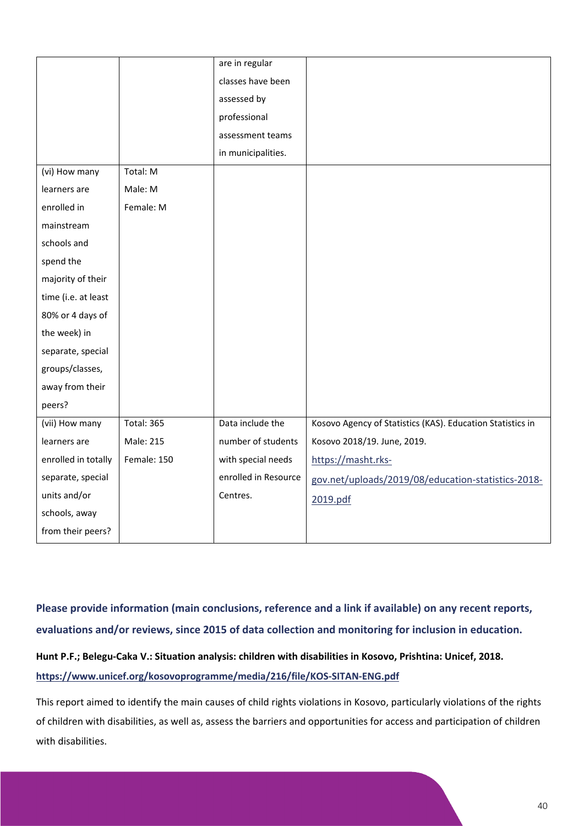|                     |                   | are in regular       |                                                            |
|---------------------|-------------------|----------------------|------------------------------------------------------------|
|                     |                   | classes have been    |                                                            |
|                     |                   | assessed by          |                                                            |
|                     |                   | professional         |                                                            |
|                     |                   | assessment teams     |                                                            |
|                     |                   | in municipalities.   |                                                            |
| (vi) How many       | Total: M          |                      |                                                            |
| learners are        | Male: M           |                      |                                                            |
| enrolled in         | Female: M         |                      |                                                            |
| mainstream          |                   |                      |                                                            |
| schools and         |                   |                      |                                                            |
| spend the           |                   |                      |                                                            |
| majority of their   |                   |                      |                                                            |
| time (i.e. at least |                   |                      |                                                            |
| 80% or 4 days of    |                   |                      |                                                            |
| the week) in        |                   |                      |                                                            |
| separate, special   |                   |                      |                                                            |
| groups/classes,     |                   |                      |                                                            |
| away from their     |                   |                      |                                                            |
| peers?              |                   |                      |                                                            |
| (vii) How many      | <b>Total: 365</b> | Data include the     | Kosovo Agency of Statistics (KAS). Education Statistics in |
| learners are        | Male: 215         | number of students   | Kosovo 2018/19. June, 2019.                                |
| enrolled in totally | Female: 150       | with special needs   | https://masht.rks-                                         |
| separate, special   |                   | enrolled in Resource | gov.net/uploads/2019/08/education-statistics-2018-         |
| units and/or        |                   | Centres.             | 2019.pdf                                                   |
| schools, away       |                   |                      |                                                            |
| from their peers?   |                   |                      |                                                            |

**Please provide information (main conclusions, reference and a link if available) on any recent reports, evaluations and/or reviews, since 2015 of data collection and monitoring for inclusion in education.**

# **Hunt P.F.; Belegu-Caka V.: Situation analysis: children with disabilities in Kosovo, Prishtina: Unicef, 2018. <https://www.unicef.org/kosovoprogramme/media/216/file/KOS-SITAN-ENG.pdf>**

This report aimed to identify the main causes of child rights violations in Kosovo, particularly violations of the rights of children with disabilities, as well as, assess the barriers and opportunities for access and participation of children with disabilities.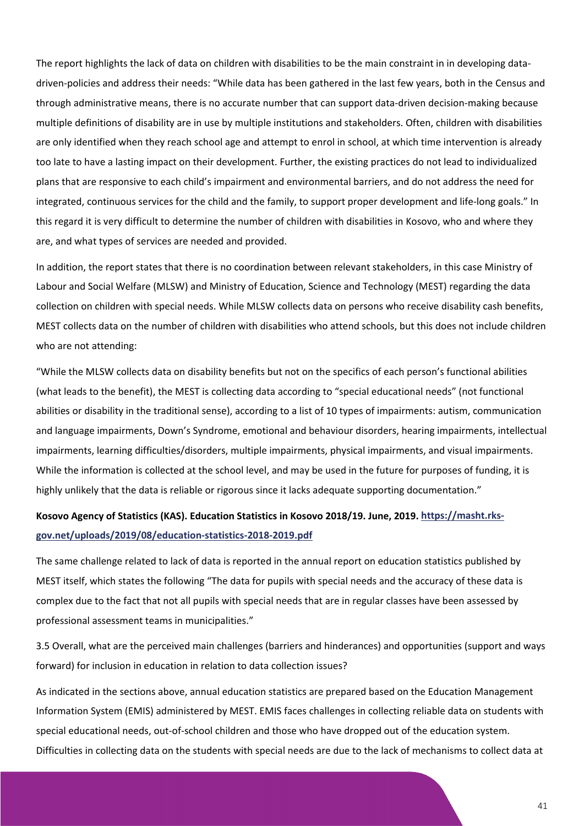The report highlights the lack of data on children with disabilities to be the main constraint in in developing datadriven-policies and address their needs: "While data has been gathered in the last few years, both in the Census and through administrative means, there is no accurate number that can support data-driven decision-making because multiple definitions of disability are in use by multiple institutions and stakeholders. Often, children with disabilities are only identified when they reach school age and attempt to enrol in school, at which time intervention is already too late to have a lasting impact on their development. Further, the existing practices do not lead to individualized plans that are responsive to each child's impairment and environmental barriers, and do not address the need for integrated, continuous services for the child and the family, to support proper development and life-long goals." In this regard it is very difficult to determine the number of children with disabilities in Kosovo, who and where they are, and what types of services are needed and provided.

In addition, the report states that there is no coordination between relevant stakeholders, in this case Ministry of Labour and Social Welfare (MLSW) and Ministry of Education, Science and Technology (MEST) regarding the data collection on children with special needs. While MLSW collects data on persons who receive disability cash benefits, MEST collects data on the number of children with disabilities who attend schools, but this does not include children who are not attending:

"While the MLSW collects data on disability benefits but not on the specifics of each person's functional abilities (what leads to the benefit), the MEST is collecting data according to "special educational needs" (not functional abilities or disability in the traditional sense), according to a list of 10 types of impairments: autism, communication and language impairments, Down's Syndrome, emotional and behaviour disorders, hearing impairments, intellectual impairments, learning difficulties/disorders, multiple impairments, physical impairments, and visual impairments. While the information is collected at the school level, and may be used in the future for purposes of funding, it is highly unlikely that the data is reliable or rigorous since it lacks adequate supporting documentation."

## **Kosovo Agency of Statistics (KAS). Education Statistics in Kosovo 2018/19. June, 2019. [https://masht.rks](https://masht.rks-gov.net/uploads/2019/08/education-statistics-2018-2019.pdf)[gov.net/uploads/2019/08/education-statistics-2018-2019.pdf](https://masht.rks-gov.net/uploads/2019/08/education-statistics-2018-2019.pdf)**

The same challenge related to lack of data is reported in the annual report on education statistics published by MEST itself, which states the following "The data for pupils with special needs and the accuracy of these data is complex due to the fact that not all pupils with special needs that are in regular classes have been assessed by professional assessment teams in municipalities."

3.5 Overall, what are the perceived main challenges (barriers and hinderances) and opportunities (support and ways forward) for inclusion in education in relation to data collection issues?

As indicated in the sections above, annual education statistics are prepared based on the Education Management Information System (EMIS) administered by MEST. EMIS faces challenges in collecting reliable data on students with special educational needs, out-of-school children and those who have dropped out of the education system. Difficulties in collecting data on the students with special needs are due to the lack of mechanisms to collect data at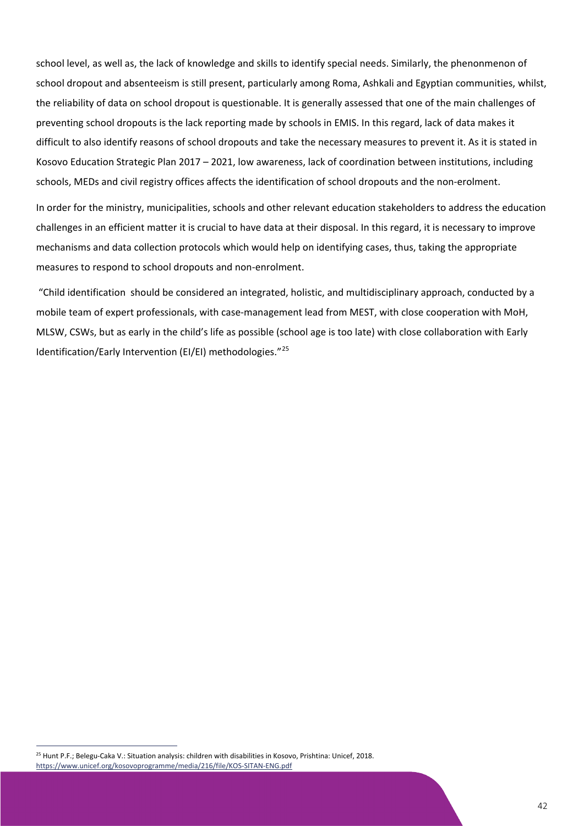school level, as well as, the lack of knowledge and skills to identify special needs. Similarly, the phenonmenon of school dropout and absenteeism is still present, particularly among Roma, Ashkali and Egyptian communities, whilst, the reliability of data on school dropout is questionable. It is generally assessed that one of the main challenges of preventing school dropouts is the lack reporting made by schools in EMIS. In this regard, lack of data makes it difficult to also identify reasons of school dropouts and take the necessary measures to prevent it. As it is stated in Kosovo Education Strategic Plan 2017 – 2021, low awareness, lack of coordination between institutions, including schools, MEDs and civil registry offices affects the identification of school dropouts and the non-erolment.

In order for the ministry, municipalities, schools and other relevant education stakeholders to address the education challenges in an efficient matter it is crucial to have data at their disposal. In this regard, it is necessary to improve mechanisms and data collection protocols which would help on identifying cases, thus, taking the appropriate measures to respond to school dropouts and non-enrolment.

"Child identification should be considered an integrated, holistic, and multidisciplinary approach, conducted by a mobile team of expert professionals, with case-management lead from MEST, with close cooperation with MoH, MLSW, CSWs, but as early in the child's life as possible (school age is too late) with close collaboration with Early Identification/Early Intervention (EI/EI) methodologies."[25](#page-42-0)

<span id="page-42-0"></span><sup>25</sup> Hunt P.F.; Belegu-Caka V.: Situation analysis: children with disabilities in Kosovo, Prishtina: Unicef, 2018. <https://www.unicef.org/kosovoprogramme/media/216/file/KOS-SITAN-ENG.pdf>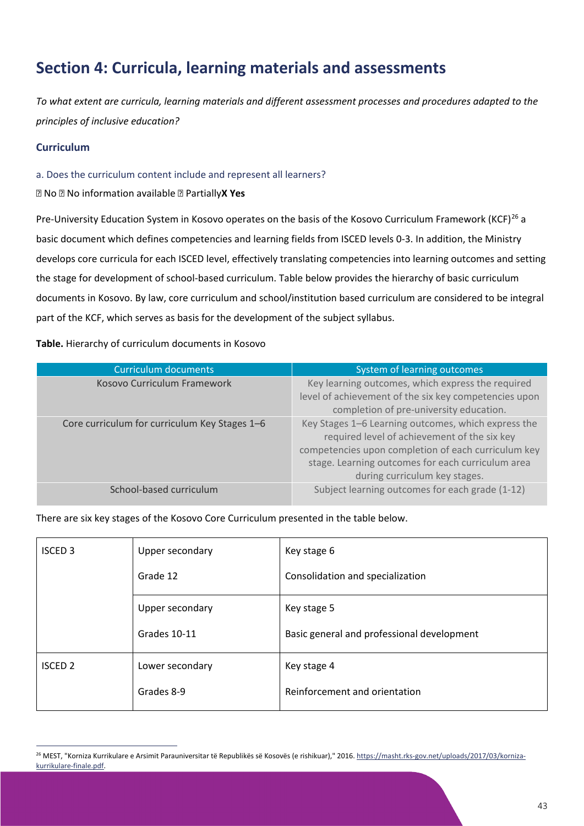# **Section 4: Curricula, learning materials and assessments**

*To what extent are curricula, learning materials and different assessment processes and procedures adapted to the principles of inclusive education?*

### **Curriculum**

a. Does the curriculum content include and represent all learners?

No No information available Partially**X Yes**

<span id="page-43-1"></span>Pre-University Education System in Kosovo operates on the basis of the Kosovo Curriculum Framework (KCF)<sup>[26](#page-43-0)</sup> a basic document which defines competencies and learning fields from ISCED levels 0-3. In addition, the Ministry develops core curricula for each ISCED level, effectively translating competencies into learning outcomes and setting the stage for development of school-based curriculum. Table below provides the hierarchy of basic curriculum documents in Kosovo. By law, core curriculum and school/institution based curriculum are considered to be integral part of the KCF, which serves as basis for the development of the subject syllabus.

**Table.** Hierarchy of curriculum documents in Kosovo

| Curriculum documents                          | System of learning outcomes                                                                                                                                                                                                                      |  |
|-----------------------------------------------|--------------------------------------------------------------------------------------------------------------------------------------------------------------------------------------------------------------------------------------------------|--|
| Kosovo Curriculum Framework                   | Key learning outcomes, which express the required<br>level of achievement of the six key competencies upon<br>completion of pre-university education.                                                                                            |  |
| Core curriculum for curriculum Key Stages 1-6 | Key Stages 1-6 Learning outcomes, which express the<br>required level of achievement of the six key<br>competencies upon completion of each curriculum key<br>stage. Learning outcomes for each curriculum area<br>during curriculum key stages. |  |
| School-based curriculum                       | Subject learning outcomes for each grade (1-12)                                                                                                                                                                                                  |  |

There are six key stages of the Kosovo Core Curriculum presented in the table below.

| <b>ISCED 3</b> | Upper secondary | Key stage 6                                |
|----------------|-----------------|--------------------------------------------|
|                | Grade 12        | Consolidation and specialization           |
|                | Upper secondary | Key stage 5                                |
|                | Grades 10-11    | Basic general and professional development |
| <b>ISCED 2</b> | Lower secondary | Key stage 4                                |
|                | Grades 8-9      | Reinforcement and orientation              |
|                |                 |                                            |

<span id="page-43-0"></span><sup>&</sup>lt;sup>26</sup> MEST, "Korniza Kurrikulare e Arsimit Parauniversitar të Republikës së Kosovës (e rishikuar)," 2016. [https://masht.rks-gov.net/uploads/2017/03/korniza](https://masht.rks-gov.net/uploads/2017/03/korniza-kurrikulare-finale.pdf)[kurrikulare-finale.pdf.](https://masht.rks-gov.net/uploads/2017/03/korniza-kurrikulare-finale.pdf)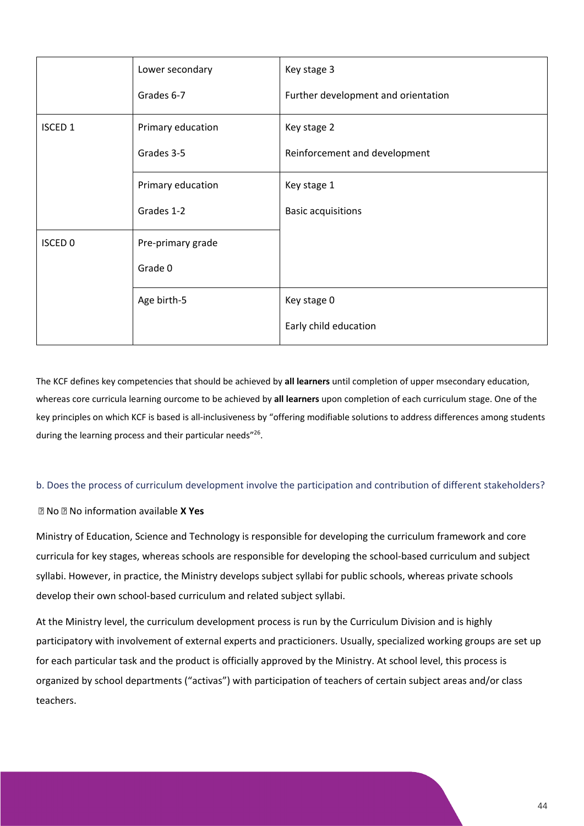|                | Lower secondary   | Key stage 3                         |
|----------------|-------------------|-------------------------------------|
|                | Grades 6-7        | Further development and orientation |
| <b>ISCED 1</b> | Primary education | Key stage 2                         |
|                | Grades 3-5        | Reinforcement and development       |
|                | Primary education | Key stage 1                         |
|                | Grades 1-2        | <b>Basic acquisitions</b>           |
| <b>ISCED 0</b> | Pre-primary grade |                                     |
|                | Grade 0           |                                     |
|                | Age birth-5       | Key stage 0                         |
|                |                   | Early child education               |

The KCF defines key competencies that should be achieved by **all learners** until completion of upper msecondary education, whereas core curricula learning ourcome to be achieved by **all learners** upon completion of each curriculum stage. One of the key principles on which KCF is based is all-inclusiveness by "offering modifiable solutions to address differences among students during the learning process and their particular needs"<sup>26</sup>.

### b. Does the process of curriculum development involve the participation and contribution of different stakeholders?

### No No information available **X Yes**

Ministry of Education, Science and Technology is responsible for developing the curriculum framework and core curricula for key stages, whereas schools are responsible for developing the school-based curriculum and subject syllabi. However, in practice, the Ministry develops subject syllabi for public schools, whereas private schools develop their own school-based curriculum and related subject syllabi.

At the Ministry level, the curriculum development process is run by the Curriculum Division and is highly participatory with involvement of external experts and practicioners. Usually, specialized working groups are set up for each particular task and the product is officially approved by the Ministry. At school level, this process is organized by school departments ("activas") with participation of teachers of certain subject areas and/or class teachers.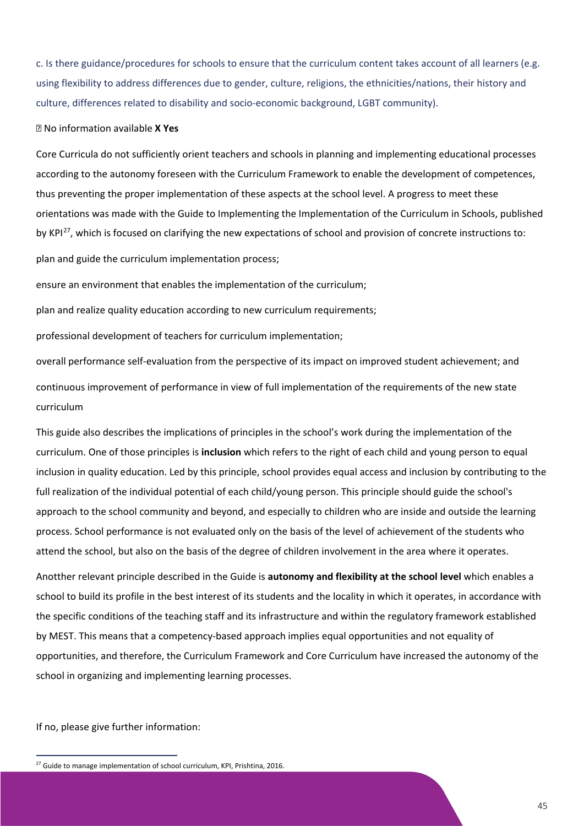c. Is there guidance/procedures for schools to ensure that the curriculum content takes account of all learners (e.g. using flexibility to address differences due to gender, culture, religions, the ethnicities/nations, their history and culture, differences related to disability and socio-economic background, LGBT community).

#### No information available **X Yes**

Core Curricula do not sufficiently orient teachers and schools in planning and implementing educational processes according to the autonomy foreseen with the Curriculum Framework to enable the development of competences, thus preventing the proper implementation of these aspects at the school level. A progress to meet these orientations was made with the Guide to Implementing the Implementation of the Curriculum in Schools, published by KPI<sup>27</sup>, which is focused on clarifying the new expectations of school and provision of concrete instructions to:

plan and guide the curriculum implementation process;

ensure an environment that enables the implementation of the curriculum;

plan and realize quality education according to new curriculum requirements;

professional development of teachers for curriculum implementation;

overall performance self-evaluation from the perspective of its impact on improved student achievement; and continuous improvement of performance in view of full implementation of the requirements of the new state curriculum

This guide also describes the implications of principles in the school's work during the implementation of the curriculum. One of those principles is **inclusion** which refers to the right of each child and young person to equal inclusion in quality education. Led by this principle, school provides equal access and inclusion by contributing to the full realization of the individual potential of each child/young person. This principle should guide the school's approach to the school community and beyond, and especially to children who are inside and outside the learning process. School performance is not evaluated only on the basis of the level of achievement of the students who attend the school, but also on the basis of the degree of children involvement in the area where it operates.

Anotther relevant principle described in the Guide is **autonomy and flexibility at the school level** which enables a school to build its profile in the best interest of its students and the locality in which it operates, in accordance with the specific conditions of the teaching staff and its infrastructure and within the regulatory framework established by MEST. This means that a competency-based approach implies equal opportunities and not equality of opportunities, and therefore, the Curriculum Framework and Core Curriculum have increased the autonomy of the school in organizing and implementing learning processes.

If no, please give further information:

<span id="page-45-0"></span><sup>&</sup>lt;sup>27</sup> Guide to manage implementation of school curriculum, KPI, Prishtina, 2016.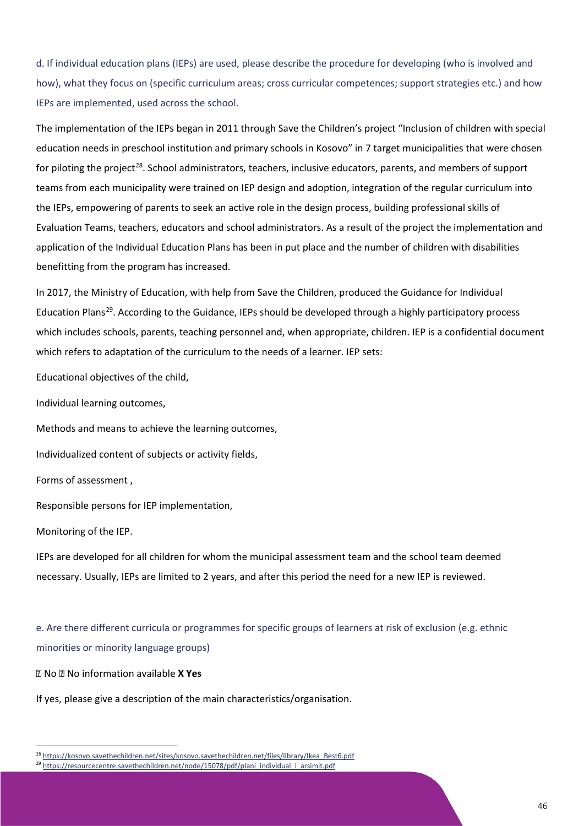d. If individual education plans (IEPs) are used, please describe the procedure for developing (who is involved and how), what they focus on (specific curriculum areas; cross curricular competences; support strategies etc.) and how IEPs are implemented, used across the school.

The implementation of the IEPs began in 2011 through Save the Children's project "Inclusion of children with special education needs in preschool institution and primary schools in Kosovo" in 7 target municipalities that were chosen for piloting the project<sup>[28](#page-46-0)</sup>. School administrators, teachers, inclusive educators, parents, and members of support teams from each municipality were trained on IEP design and adoption, integration of the regular curriculum into the IEPs, empowering of parents to seek an active role in the design process, building professional skills of Evaluation Teams, teachers, educators and school administrators. As a result of the project the implementation and application of the Individual Education Plans has been in put place and the number of children with disabilities benefitting from the program has increased.

In 2017, the Ministry of Education, with help from Save the Children, produced the Guidance for Individual Education Plans[29](#page-46-1). According to the Guidance, IEPs should be developed through a highly participatory process which includes schools, parents, teaching personnel and, when appropriate, children. IEP is a confidential document which refers to adaptation of the curriculum to the needs of a learner. IEP sets:

Educational objectives of the child,

Individual learning outcomes,

Methods and means to achieve the learning outcomes,

Individualized content of subjects or activity fields,

Forms of assessment ,

Responsible persons for IEP implementation,

Monitoring of the IEP.

IEPs are developed for all children for whom the municipal assessment team and the school team deemed necessary. Usually, IEPs are limited to 2 years, and after this period the need for a new IEP is reviewed.

e. Are there different curricula or programmes for specific groups of learners at risk of exclusion (e.g. ethnic minorities or minority language groups)

No No information available **X Yes**

If yes, please give a description of the main characteristics/organisation.

<span id="page-46-0"></span><sup>&</sup>lt;sup>28</sup> [https://kosovo.savethechildren.net/sites/kosovo.savethechildren.net/files/library/Ikea\\_Best6.pdf](https://kosovo.savethechildren.net/sites/kosovo.savethechildren.net/files/library/Ikea_Best6.pdf)

<span id="page-46-1"></span><sup>&</sup>lt;sup>29</sup> [https://resourcecentre.savethechildren.net/node/15078/pdf/plani\\_individual\\_i\\_arsimit.pdf](https://resourcecentre.savethechildren.net/node/15078/pdf/plani_individual_i_arsimit.pdf)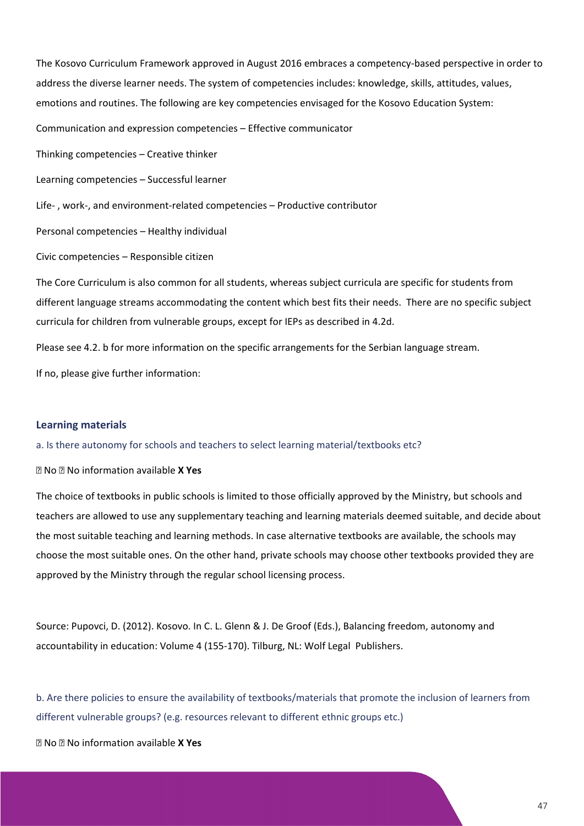The Kosovo Curriculum Framework approved in August 2016 embraces a competency-based perspective in order to address the diverse learner needs. The system of competencies includes: knowledge, skills, attitudes, values, emotions and routines. The following are key competencies envisaged for the Kosovo Education System: Communication and expression competencies – Effective communicator Thinking competencies – Creative thinker Learning competencies – Successful learner Life- , work-, and environment-related competencies – Productive contributor Personal competencies – Healthy individual Civic competencies – Responsible citizen The Core Curriculum is also common for all students, whereas subject curricula are specific for students from different language streams accommodating the content which best fits their needs. There are no specific subject curricula for children from vulnerable groups, except for IEPs as described in 4.2d. Please see 4.2. b for more information on the specific arrangements for the Serbian language stream. If no, please give further information:

### **Learning materials**

a. Is there autonomy for schools and teachers to select learning material/textbooks etc?

No No information available **X Yes**

The choice of textbooks in public schools is limited to those officially approved by the Ministry, but schools and teachers are allowed to use any supplementary teaching and learning materials deemed suitable, and decide about the most suitable teaching and learning methods. In case alternative textbooks are available, the schools may choose the most suitable ones. On the other hand, private schools may choose other textbooks provided they are approved by the Ministry through the regular school licensing process.

Source: Pupovci, D. (2012). Kosovo. In C. L. Glenn & J. De Groof (Eds.), Balancing freedom, autonomy and accountability in education: Volume 4 (155-170). Tilburg, NL: Wolf Legal Publishers.

b. Are there policies to ensure the availability of textbooks/materials that promote the inclusion of learners from different vulnerable groups? (e.g. resources relevant to different ethnic groups etc.)

No No information available **X Yes**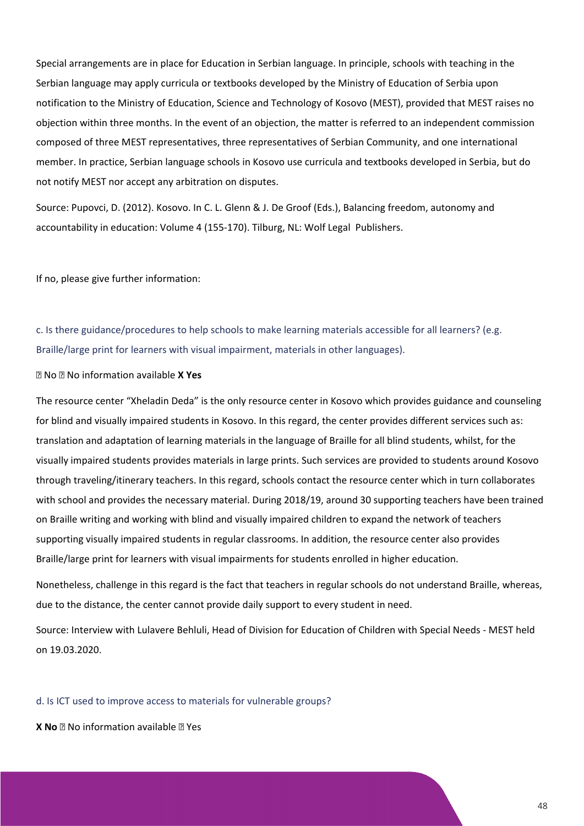Special arrangements are in place for Education in Serbian language. In principle, schools with teaching in the Serbian language may apply curricula or textbooks developed by the Ministry of Education of Serbia upon notification to the Ministry of Education, Science and Technology of Kosovo (MEST), provided that MEST raises no objection within three months. In the event of an objection, the matter is referred to an independent commission composed of three MEST representatives, three representatives of Serbian Community, and one international member. In practice, Serbian language schools in Kosovo use curricula and textbooks developed in Serbia, but do not notify MEST nor accept any arbitration on disputes.

Source: Pupovci, D. (2012). Kosovo. In C. L. Glenn & J. De Groof (Eds.), Balancing freedom, autonomy and accountability in education: Volume 4 (155-170). Tilburg, NL: Wolf Legal Publishers.

If no, please give further information:

c. Is there guidance/procedures to help schools to make learning materials accessible for all learners? (e.g. Braille/large print for learners with visual impairment, materials in other languages).

### No No information available **X Yes**

The resource center "Xheladin Deda" is the only resource center in Kosovo which provides guidance and counseling for blind and visually impaired students in Kosovo. In this regard, the center provides different services such as: translation and adaptation of learning materials in the language of Braille for all blind students, whilst, for the visually impaired students provides materials in large prints. Such services are provided to students around Kosovo through traveling/itinerary teachers. In this regard, schools contact the resource center which in turn collaborates with school and provides the necessary material. During 2018/19, around 30 supporting teachers have been trained on Braille writing and working with blind and visually impaired children to expand the network of teachers supporting visually impaired students in regular classrooms. In addition, the resource center also provides Braille/large print for learners with visual impairments for students enrolled in higher education.

Nonetheless, challenge in this regard is the fact that teachers in regular schools do not understand Braille, whereas, due to the distance, the center cannot provide daily support to every student in need.

Source: Interview with Lulavere Behluli, Head of Division for Education of Children with Special Needs - MEST held on 19.03.2020.

d. Is ICT used to improve access to materials for vulnerable groups?

**X No No** information available **No** Yes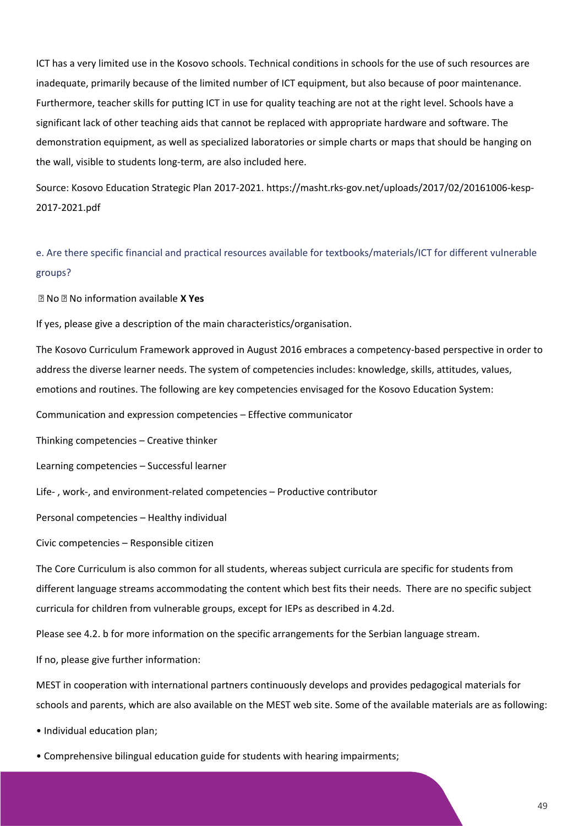ICT has a very limited use in the Kosovo schools. Technical conditions in schools for the use of such resources are inadequate, primarily because of the limited number of ICT equipment, but also because of poor maintenance. Furthermore, teacher skills for putting ICT in use for quality teaching are not at the right level. Schools have a significant lack of other teaching aids that cannot be replaced with appropriate hardware and software. The demonstration equipment, as well as specialized laboratories or simple charts or maps that should be hanging on the wall, visible to students long-term, are also included here.

Source: Kosovo Education Strategic Plan 2017-2021. https://masht.rks-gov.net/uploads/2017/02/20161006-kesp-2017-2021.pdf

e. Are there specific financial and practical resources available for textbooks/materials/ICT for different vulnerable groups?

No No information available **X Yes**

If yes, please give a description of the main characteristics/organisation.

The Kosovo Curriculum Framework approved in August 2016 embraces a competency-based perspective in order to address the diverse learner needs. The system of competencies includes: knowledge, skills, attitudes, values, emotions and routines. The following are key competencies envisaged for the Kosovo Education System:

Communication and expression competencies – Effective communicator

Thinking competencies – Creative thinker

Learning competencies – Successful learner

Life- , work-, and environment-related competencies – Productive contributor

Personal competencies – Healthy individual

Civic competencies – Responsible citizen

The Core Curriculum is also common for all students, whereas subject curricula are specific for students from different language streams accommodating the content which best fits their needs. There are no specific subject curricula for children from vulnerable groups, except for IEPs as described in 4.2d.

Please see 4.2. b for more information on the specific arrangements for the Serbian language stream.

If no, please give further information:

MEST in cooperation with international partners continuously develops and provides pedagogical materials for schools and parents, which are also available on the MEST web site. Some of the available materials are as following:

• Individual education plan;

• Comprehensive bilingual education guide for students with hearing impairments;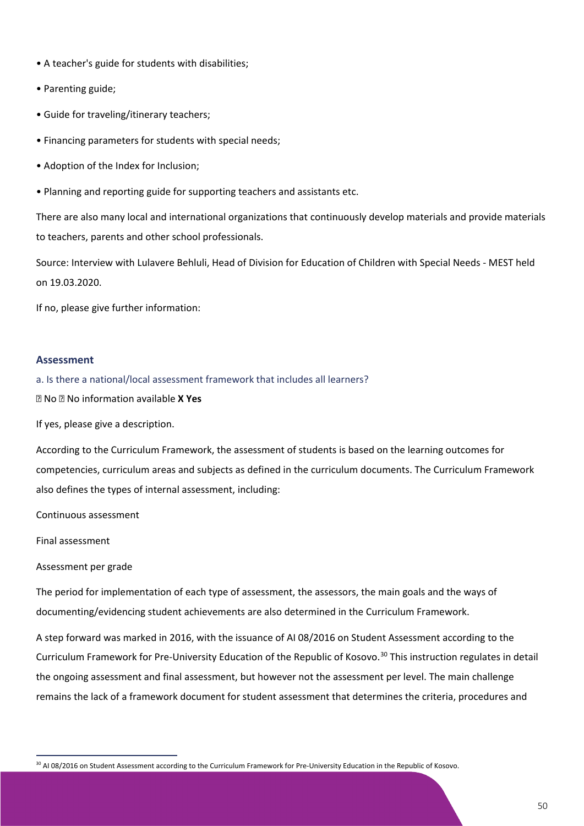- A teacher's guide for students with disabilities;
- Parenting guide;
- Guide for traveling/itinerary teachers;
- Financing parameters for students with special needs;
- Adoption of the Index for Inclusion;
- Planning and reporting guide for supporting teachers and assistants etc.

There are also many local and international organizations that continuously develop materials and provide materials to teachers, parents and other school professionals.

Source: Interview with Lulavere Behluli, Head of Division for Education of Children with Special Needs - MEST held on 19.03.2020.

If no, please give further information:

### **Assessment**

a. Is there a national/local assessment framework that includes all learners?

No No information available **X Yes**

If yes, please give a description.

According to the Curriculum Framework, the assessment of students is based on the learning outcomes for competencies, curriculum areas and subjects as defined in the curriculum documents. The Curriculum Framework also defines the types of internal assessment, including:

Continuous assessment

Final assessment

### Assessment per grade

The period for implementation of each type of assessment, the assessors, the main goals and the ways of documenting/evidencing student achievements are also determined in the Curriculum Framework.

A step forward was marked in 2016, with the issuance of AI 08/2016 on Student Assessment according to the Curriculum Framework for Pre-University Education of the Republic of Kosovo.<sup>[30](#page-50-0)</sup> This instruction regulates in detail the ongoing assessment and final assessment, but however not the assessment per level. The main challenge remains the lack of a framework document for student assessment that determines the criteria, procedures and

<span id="page-50-0"></span><sup>&</sup>lt;sup>30</sup> AI 08/2016 on Student Assessment according to the Curriculum Framework for Pre-University Education in the Republic of Kosovo.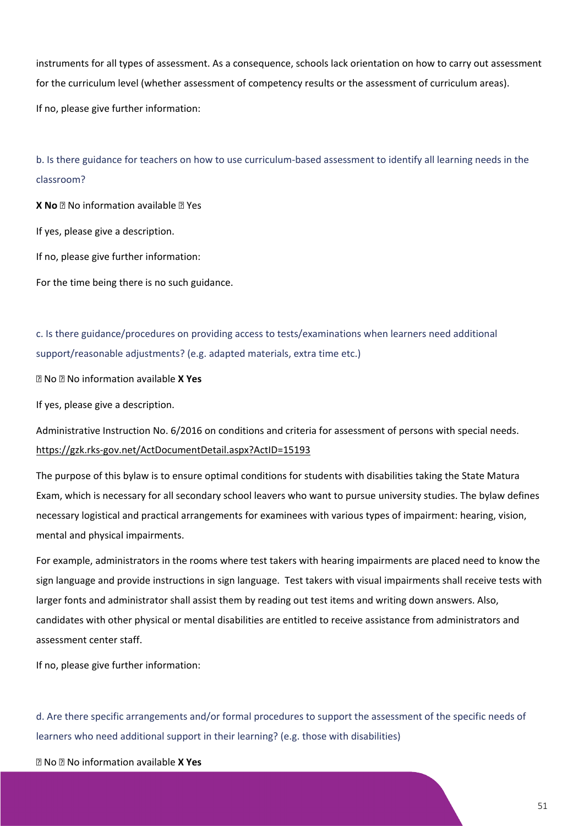instruments for all types of assessment. As a consequence, schools lack orientation on how to carry out assessment for the curriculum level (whether assessment of competency results or the assessment of curriculum areas).

If no, please give further information:

b. Is there guidance for teachers on how to use curriculum-based assessment to identify all learning needs in the classroom?

**X No**  $\mathbb{R}$  No information available  $\mathbb{R}$  Yes If yes, please give a description. If no, please give further information: For the time being there is no such guidance.

c. Is there guidance/procedures on providing access to tests/examinations when learners need additional support/reasonable adjustments? (e.g. adapted materials, extra time etc.)

No No information available **X Yes**

If yes, please give a description.

Administrative Instruction No. 6/2016 on conditions and criteria for assessment of persons with special needs. <https://gzk.rks-gov.net/ActDocumentDetail.aspx?ActID=15193>

The purpose of this bylaw is to ensure optimal conditions for students with disabilities taking the State Matura Exam, which is necessary for all secondary school leavers who want to pursue university studies. The bylaw defines necessary logistical and practical arrangements for examinees with various types of impairment: hearing, vision, mental and physical impairments.

For example, administrators in the rooms where test takers with hearing impairments are placed need to know the sign language and provide instructions in sign language. Test takers with visual impairments shall receive tests with larger fonts and administrator shall assist them by reading out test items and writing down answers. Also, candidates with other physical or mental disabilities are entitled to receive assistance from administrators and assessment center staff.

If no, please give further information:

d. Are there specific arrangements and/or formal procedures to support the assessment of the specific needs of learners who need additional support in their learning? (e.g. those with disabilities)

No No information available **X Yes**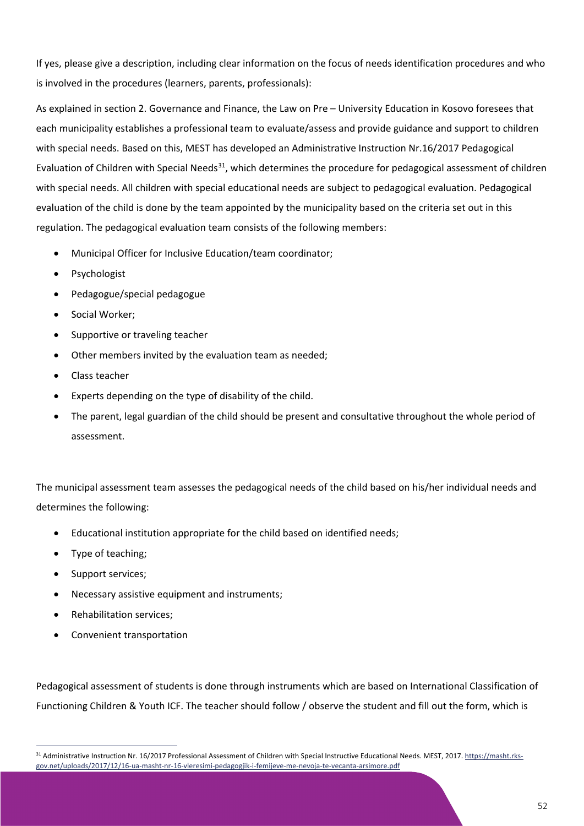If yes, please give a description, including clear information on the focus of needs identification procedures and who is involved in the procedures (learners, parents, professionals):

As explained in section 2. Governance and Finance, the Law on Pre – University Education in Kosovo foresees that each municipality establishes a professional team to evaluate/assess and provide guidance and support to children with special needs. Based on this, MEST has developed an Administrative Instruction Nr.16/2017 Pedagogical Evaluation of Children with Special Needs<sup>31</sup>, which determines the procedure for pedagogical assessment of children with special needs. All children with special educational needs are subject to pedagogical evaluation. Pedagogical evaluation of the child is done by the team appointed by the municipality based on the criteria set out in this regulation. The pedagogical evaluation team consists of the following members:

- Municipal Officer for Inclusive Education/team coordinator;
- **Psychologist**
- Pedagogue/special pedagogue
- Social Worker;
- Supportive or traveling teacher
- Other members invited by the evaluation team as needed;
- Class teacher
- Experts depending on the type of disability of the child.
- The parent, legal guardian of the child should be present and consultative throughout the whole period of assessment.

The municipal assessment team assesses the pedagogical needs of the child based on his/her individual needs and determines the following:

- Educational institution appropriate for the child based on identified needs;
- Type of teaching;
- Support services;
- Necessary assistive equipment and instruments;
- Rehabilitation services;
- Convenient transportation

Pedagogical assessment of students is done through instruments which are based on International Classification of Functioning Children & Youth ICF. The teacher should follow / observe the student and fill out the form, which is

<span id="page-52-0"></span><sup>&</sup>lt;sup>31</sup> Administrative Instruction Nr. 16/2017 Professional Assessment of Children with Special Instructive Educational Needs. MEST, 2017[. https://masht.rks](https://masht.rks-gov.net/uploads/2017/12/16-ua-masht-nr-16-vleresimi-pedagogjik-i-femijeve-me-nevoja-te-vecanta-arsimore.pdf)[gov.net/uploads/2017/12/16-ua-masht-nr-16-vleresimi-pedagogjik-i-femijeve-me-nevoja-te-vecanta-arsimore.pdf](https://masht.rks-gov.net/uploads/2017/12/16-ua-masht-nr-16-vleresimi-pedagogjik-i-femijeve-me-nevoja-te-vecanta-arsimore.pdf)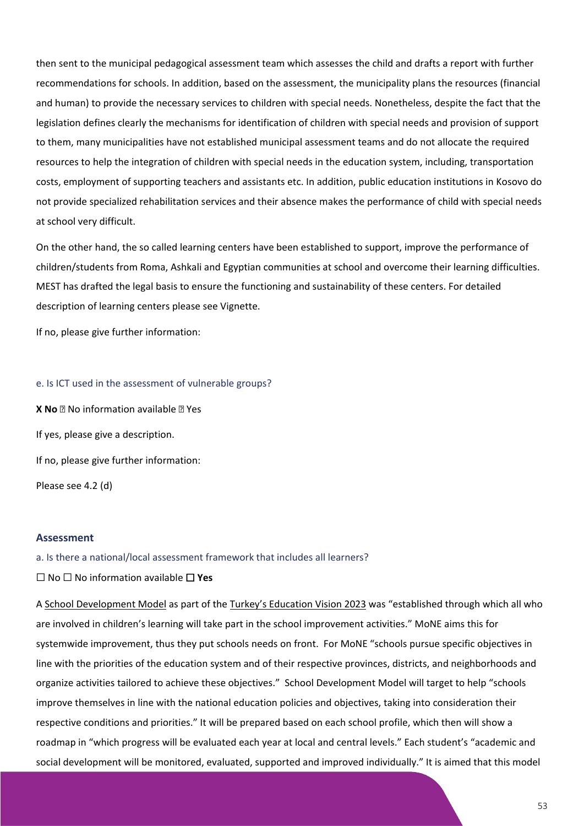then sent to the municipal pedagogical assessment team which assesses the child and drafts a report with further recommendations for schools. In addition, based on the assessment, the municipality plans the resources (financial and human) to provide the necessary services to children with special needs. Nonetheless, despite the fact that the legislation defines clearly the mechanisms for identification of children with special needs and provision of support to them, many municipalities have not established municipal assessment teams and do not allocate the required resources to help the integration of children with special needs in the education system, including, transportation costs, employment of supporting teachers and assistants etc. In addition, public education institutions in Kosovo do not provide specialized rehabilitation services and their absence makes the performance of child with special needs at school very difficult.

On the other hand, the so called learning centers have been established to support, improve the performance of children/students from Roma, Ashkali and Egyptian communities at school and overcome their learning difficulties. MEST has drafted the legal basis to ensure the functioning and sustainability of these centers. For detailed description of learning centers please see Vignette.

If no, please give further information:

### e. Is ICT used in the assessment of vulnerable groups?

**X No**  $\Omega$  No information available  $\Omega$  Yes If yes, please give a description. If no, please give further information: Please see 4.2 (d)

### **Assessment**

a. Is there a national/local assessment framework that includes all learners?

### ⬜ No ⬜ No information available ⬜ **Yes**

[A School Development Model](https://www.meb.gov.tr/2023-egitim-vizyonu-yolunda-buyuk-bir-adim-okul-profili-degerlendirme/haber/18208/tr) as part of the [Turkey's Education Vision 2023](http://2023vizyonu.meb.gov.tr/doc/2023_VIZYON_ENG.pdf) was "established through which all who are involved in children's learning will take part in the school improvement activities." MoNE aims this for systemwide improvement, thus they put schools needs on front. For MoNE "schools pursue specific objectives in line with the priorities of the education system and of their respective provinces, districts, and neighborhoods and organize activities tailored to achieve these objectives." School Development Model will target to help "schools improve themselves in line with the national education policies and objectives, taking into consideration their respective conditions and priorities." It will be prepared based on each school profile, which then will show a roadmap in "which progress will be evaluated each year at local and central levels." Each student's "academic and social development will be monitored, evaluated, supported and improved individually." It is aimed that this model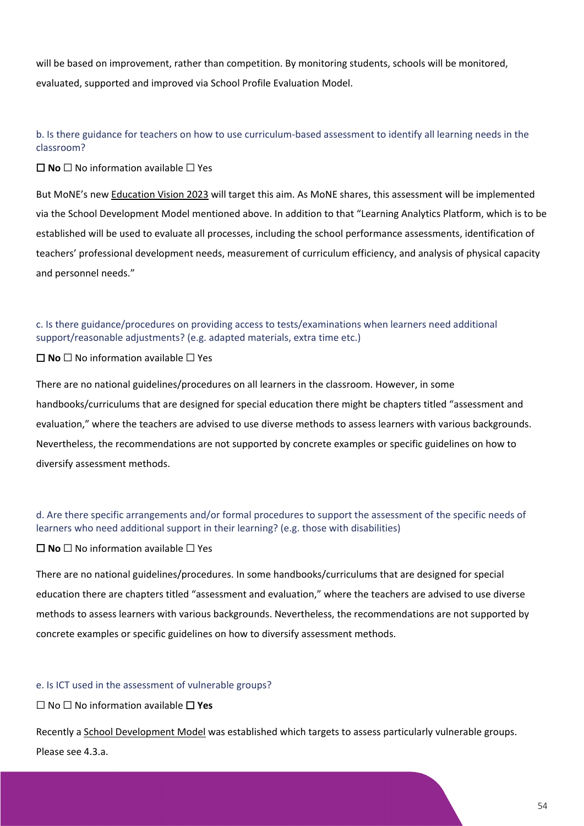will be based on improvement, rather than competition. By monitoring students, schools will be monitored, evaluated, supported and improved via School Profile Evaluation Model.

b. Is there guidance for teachers on how to use curriculum-based assessment to identify all learning needs in the classroom?

⬜ **No** ⬜ No information available ⬜ Yes

But MoNE's ne[w Education Vision 2023](http://kago.meb.k12.tr/meb_iys_dosyalar/67/05/714705/dosyalar/2020_02/12214328_2023_VIZYON_ENG.pdf?CHK=885e9f6d2ad8821223421c115593de0e) will target this aim. As MoNE shares, this assessment will be implemented via the School Development Model mentioned above. In addition to that "Learning Analytics Platform, which is to be established will be used to evaluate all processes, including the school performance assessments, identification of teachers' professional development needs, measurement of curriculum efficiency, and analysis of physical capacity and personnel needs."

c. Is there guidance/procedures on providing access to tests/examinations when learners need additional support/reasonable adjustments? (e.g. adapted materials, extra time etc.)

⬜ **No** ⬜ No information available ⬜ Yes

There are no national guidelines/procedures on all learners in the classroom. However, in some handbooks/curriculums that are designed for special education there might be chapters titled "assessment and evaluation," where the teachers are advised to use diverse methods to assess learners with various backgrounds. Nevertheless, the recommendations are not supported by concrete examples or specific guidelines on how to diversify assessment methods.

d. Are there specific arrangements and/or formal procedures to support the assessment of the specific needs of learners who need additional support in their learning? (e.g. those with disabilities)

 $\Box$  **No**  $\Box$  No information available  $\Box$  Yes

There are no national guidelines/procedures. In some handbooks/curriculums that are designed for special education there are chapters titled "assessment and evaluation," where the teachers are advised to use diverse methods to assess learners with various backgrounds. Nevertheless, the recommendations are not supported by concrete examples or specific guidelines on how to diversify assessment methods.

### e. Is ICT used in the assessment of vulnerable groups?

⬜ No ⬜ No information available ⬜ **Yes**

Recently [a School Development Model](https://www.meb.gov.tr/2023-egitim-vizyonu-yolunda-buyuk-bir-adim-okul-profili-degerlendirme/haber/18208/tr) was established which targets to assess particularly vulnerable groups. Please see 4.3.a.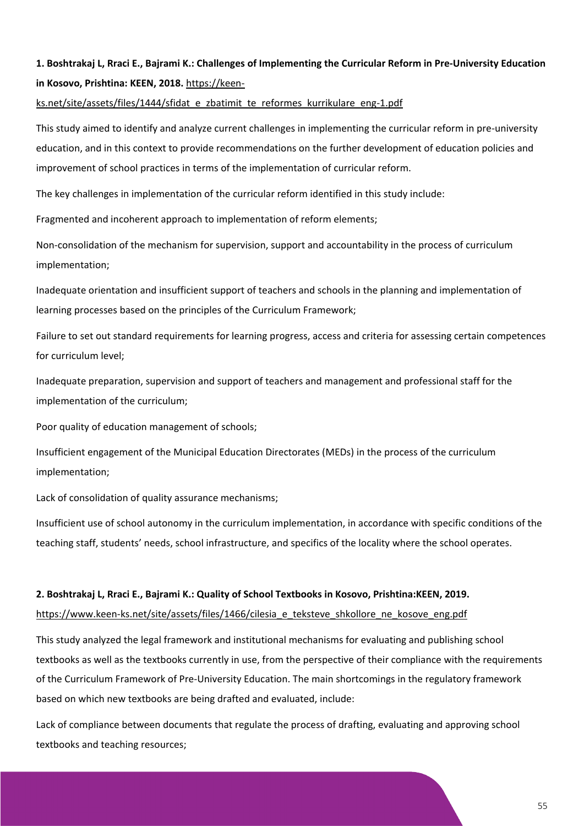# **1. Boshtrakaj L, Rraci E., Bajrami K.: Challenges of Implementing the Curricular Reform in Pre-University Education in Kosovo, Prishtina: KEEN, 2018.** [https://keen-](https://keen-ks.net/site/assets/files/1444/sfidat_e_zbatimit_te_reformes_kurrikulare_eng-1.pdf)

[ks.net/site/assets/files/1444/sfidat\\_e\\_zbatimit\\_te\\_reformes\\_kurrikulare\\_eng-1.pdf](https://keen-ks.net/site/assets/files/1444/sfidat_e_zbatimit_te_reformes_kurrikulare_eng-1.pdf)

This study aimed to identify and analyze current challenges in implementing the curricular reform in pre-university education, and in this context to provide recommendations on the further development of education policies and improvement of school practices in terms of the implementation of curricular reform.

The key challenges in implementation of the curricular reform identified in this study include:

Fragmented and incoherent approach to implementation of reform elements;

Non-consolidation of the mechanism for supervision, support and accountability in the process of curriculum implementation;

Inadequate orientation and insufficient support of teachers and schools in the planning and implementation of learning processes based on the principles of the Curriculum Framework;

Failure to set out standard requirements for learning progress, access and criteria for assessing certain competences for curriculum level;

Inadequate preparation, supervision and support of teachers and management and professional staff for the implementation of the curriculum;

Poor quality of education management of schools;

Insufficient engagement of the Municipal Education Directorates (MEDs) in the process of the curriculum implementation;

Lack of consolidation of quality assurance mechanisms;

Insufficient use of school autonomy in the curriculum implementation, in accordance with specific conditions of the teaching staff, students' needs, school infrastructure, and specifics of the locality where the school operates.

### **2. Boshtrakaj L, Rraci E., Bajrami K.: Quality of School Textbooks in Kosovo, Prishtina:KEEN, 2019.**

https://www.keen-ks.net/site/assets/files/1466/cilesia e\_teksteve\_shkollore\_ne\_kosove\_eng.pdf

This study analyzed the legal framework and institutional mechanisms for evaluating and publishing school textbooks as well as the textbooks currently in use, from the perspective of their compliance with the requirements of the Curriculum Framework of Pre-University Education. The main shortcomings in the regulatory framework based on which new textbooks are being drafted and evaluated, include:

Lack of compliance between documents that regulate the process of drafting, evaluating and approving school textbooks and teaching resources;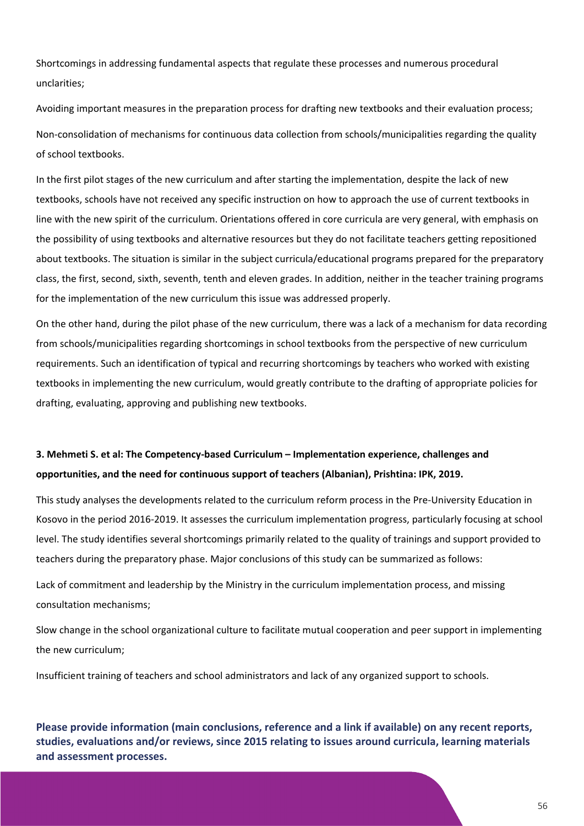Shortcomings in addressing fundamental aspects that regulate these processes and numerous procedural unclarities;

Avoiding important measures in the preparation process for drafting new textbooks and their evaluation process; Non-consolidation of mechanisms for continuous data collection from schools/municipalities regarding the quality of school textbooks.

In the first pilot stages of the new curriculum and after starting the implementation, despite the lack of new textbooks, schools have not received any specific instruction on how to approach the use of current textbooks in line with the new spirit of the curriculum. Orientations offered in core curricula are very general, with emphasis on the possibility of using textbooks and alternative resources but they do not facilitate teachers getting repositioned about textbooks. The situation is similar in the subject curricula/educational programs prepared for the preparatory class, the first, second, sixth, seventh, tenth and eleven grades. In addition, neither in the teacher training programs for the implementation of the new curriculum this issue was addressed properly.

On the other hand, during the pilot phase of the new curriculum, there was a lack of a mechanism for data recording from schools/municipalities regarding shortcomings in school textbooks from the perspective of new curriculum requirements. Such an identification of typical and recurring shortcomings by teachers who worked with existing textbooks in implementing the new curriculum, would greatly contribute to the drafting of appropriate policies for drafting, evaluating, approving and publishing new textbooks.

## **3. Mehmeti S. et al: The Competency-based Curriculum – Implementation experience, challenges and opportunities, and the need for continuous support of teachers (Albanian), Prishtina: IPK, 2019.**

This study analyses the developments related to the curriculum reform process in the Pre-University Education in Kosovo in the period 2016-2019. It assesses the curriculum implementation progress, particularly focusing at school level. The study identifies several shortcomings primarily related to the quality of trainings and support provided to teachers during the preparatory phase. Major conclusions of this study can be summarized as follows:

Lack of commitment and leadership by the Ministry in the curriculum implementation process, and missing consultation mechanisms;

Slow change in the school organizational culture to facilitate mutual cooperation and peer support in implementing the new curriculum;

Insufficient training of teachers and school administrators and lack of any organized support to schools.

**Please provide information (main conclusions, reference and a link if available) on any recent reports, studies, evaluations and/or reviews, since 2015 relating to issues around curricula, learning materials and assessment processes.**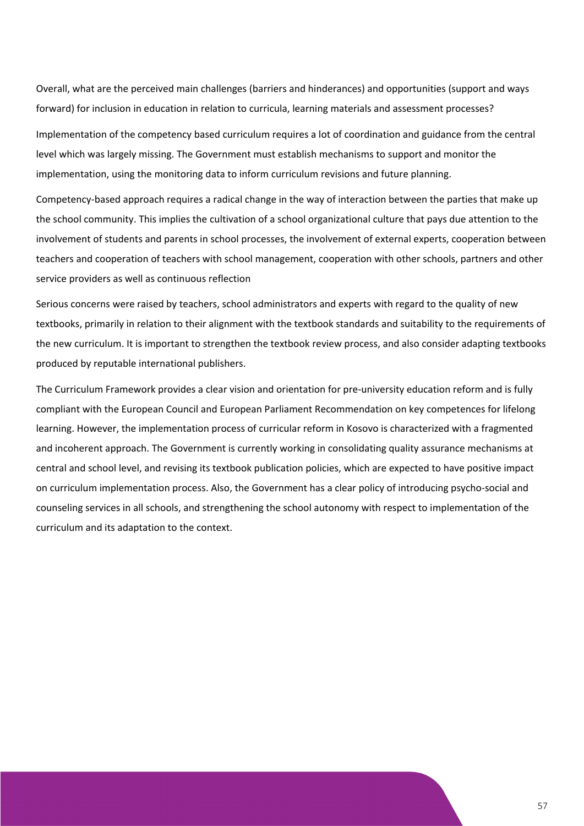Overall, what are the perceived main challenges (barriers and hinderances) and opportunities (support and ways forward) for inclusion in education in relation to curricula, learning materials and assessment processes?

Implementation of the competency based curriculum requires a lot of coordination and guidance from the central level which was largely missing. The Government must establish mechanisms to support and monitor the implementation, using the monitoring data to inform curriculum revisions and future planning.

Competency-based approach requires a radical change in the way of interaction between the parties that make up the school community. This implies the cultivation of a school organizational culture that pays due attention to the involvement of students and parents in school processes, the involvement of external experts, cooperation between teachers and cooperation of teachers with school management, cooperation with other schools, partners and other service providers as well as continuous reflection

Serious concerns were raised by teachers, school administrators and experts with regard to the quality of new textbooks, primarily in relation to their alignment with the textbook standards and suitability to the requirements of the new curriculum. It is important to strengthen the textbook review process, and also consider adapting textbooks produced by reputable international publishers.

The Curriculum Framework provides a clear vision and orientation for pre-university education reform and is fully compliant with the European Council and European Parliament Recommendation on key competences for lifelong learning. However, the implementation process of curricular reform in Kosovo is characterized with a fragmented and incoherent approach. The Government is currently working in consolidating quality assurance mechanisms at central and school level, and revising its textbook publication policies, which are expected to have positive impact on curriculum implementation process. Also, the Government has a clear policy of introducing psycho-social and counseling services in all schools, and strengthening the school autonomy with respect to implementation of the curriculum and its adaptation to the context.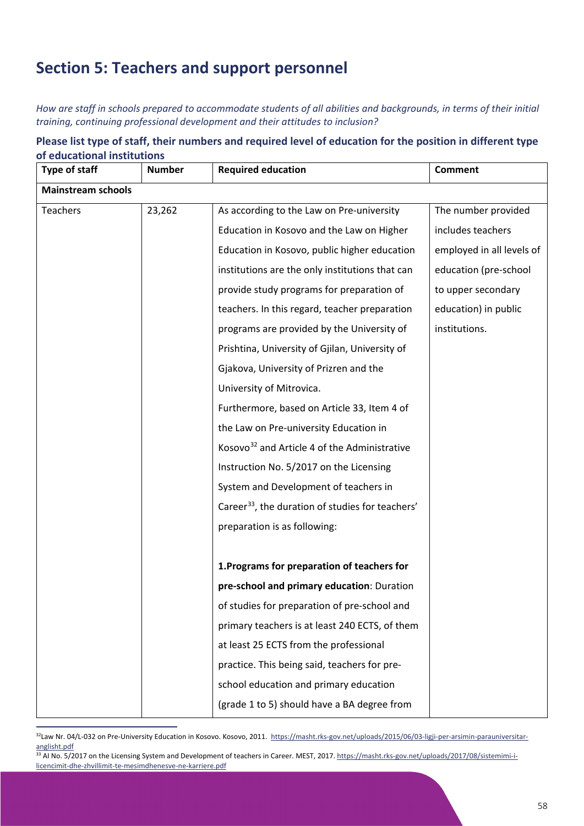# **Section 5: Teachers and support personnel**

*How are staff in schools prepared to accommodate students of all abilities and backgrounds, in terms of their initial training, continuing professional development and their attitudes to inclusion?*

| Please list type of staff, their numbers and required level of education for the position in different type |
|-------------------------------------------------------------------------------------------------------------|
| of educational institutions                                                                                 |

| Type of staff             | <b>Number</b> | <b>Required education</b>                                    | <b>Comment</b>            |
|---------------------------|---------------|--------------------------------------------------------------|---------------------------|
| <b>Mainstream schools</b> |               |                                                              |                           |
| <b>Teachers</b>           | 23,262        | As according to the Law on Pre-university                    | The number provided       |
|                           |               | Education in Kosovo and the Law on Higher                    | includes teachers         |
|                           |               | Education in Kosovo, public higher education                 | employed in all levels of |
|                           |               | institutions are the only institutions that can              | education (pre-school     |
|                           |               | provide study programs for preparation of                    | to upper secondary        |
|                           |               | teachers. In this regard, teacher preparation                | education) in public      |
|                           |               | programs are provided by the University of                   | institutions.             |
|                           |               | Prishtina, University of Gjilan, University of               |                           |
|                           |               | Gjakova, University of Prizren and the                       |                           |
|                           |               | University of Mitrovica.                                     |                           |
|                           |               | Furthermore, based on Article 33, Item 4 of                  |                           |
|                           |               | the Law on Pre-university Education in                       |                           |
|                           |               | Kosovo <sup>32</sup> and Article 4 of the Administrative     |                           |
|                           |               | Instruction No. 5/2017 on the Licensing                      |                           |
|                           |               | System and Development of teachers in                        |                           |
|                           |               | Career <sup>33</sup> , the duration of studies for teachers' |                           |
|                           |               | preparation is as following:                                 |                           |
|                           |               |                                                              |                           |
|                           |               | 1. Programs for preparation of teachers for                  |                           |
|                           |               | pre-school and primary education: Duration                   |                           |
|                           |               | of studies for preparation of pre-school and                 |                           |
|                           |               | primary teachers is at least 240 ECTS, of them               |                           |
|                           |               | at least 25 ECTS from the professional                       |                           |
|                           |               | practice. This being said, teachers for pre-                 |                           |
|                           |               | school education and primary education                       |                           |
|                           |               | (grade 1 to 5) should have a BA degree from                  |                           |

<span id="page-58-0"></span><sup>&</sup>lt;sup>32</sup>Law Nr. 04/L-032 on Pre-University Education in Kosovo. Kosovo, 2011. [https://masht.rks-gov.net/uploads/2015/06/03-ligji-per-arsimin-parauniversitar](https://masht.rks-gov.net/uploads/2015/06/03-ligji-per-arsimin-parauniversitar-anglisht.pdf)[anglisht.pdf](https://masht.rks-gov.net/uploads/2015/06/03-ligji-per-arsimin-parauniversitar-anglisht.pdf)

<span id="page-58-1"></span><sup>&</sup>lt;sup>33</sup> AI No. 5/2017 on the Licensing System and Development of teachers in Career. MEST, 2017. [https://masht.rks-gov.net/uploads/2017/08/sistemimi-i](https://masht.rks-gov.net/uploads/2017/08/sistemimi-i-licencimit-dhe-zhvillimit-te-mesimdhenesve-ne-karriere.pdf)[licencimit-dhe-zhvillimit-te-mesimdhenesve-ne-karriere.pdf](https://masht.rks-gov.net/uploads/2017/08/sistemimi-i-licencimit-dhe-zhvillimit-te-mesimdhenesve-ne-karriere.pdf)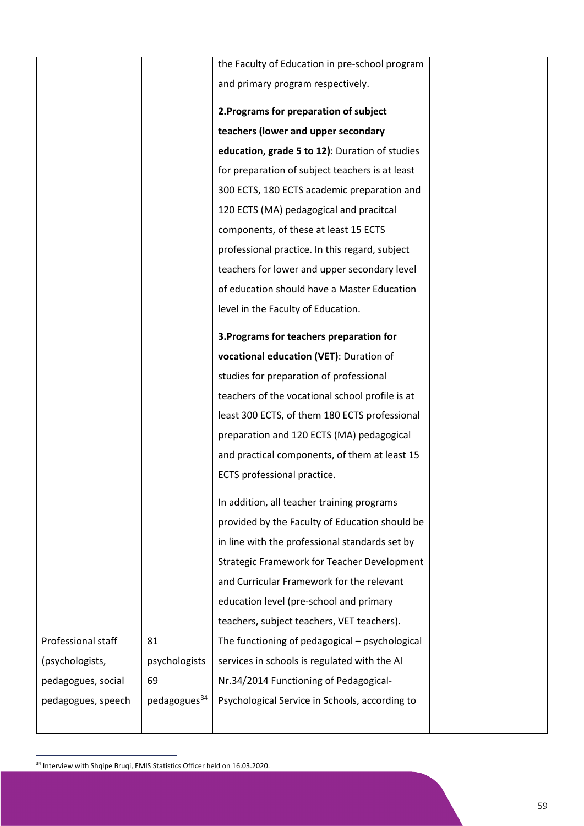|                    |                          | the Faculty of Education in pre-school program     |  |
|--------------------|--------------------------|----------------------------------------------------|--|
|                    |                          | and primary program respectively.                  |  |
|                    |                          |                                                    |  |
|                    |                          | 2. Programs for preparation of subject             |  |
|                    |                          | teachers (lower and upper secondary                |  |
|                    |                          | education, grade 5 to 12): Duration of studies     |  |
|                    |                          | for preparation of subject teachers is at least    |  |
|                    |                          | 300 ECTS, 180 ECTS academic preparation and        |  |
|                    |                          | 120 ECTS (MA) pedagogical and pracitcal            |  |
|                    |                          | components, of these at least 15 ECTS              |  |
|                    |                          | professional practice. In this regard, subject     |  |
|                    |                          | teachers for lower and upper secondary level       |  |
|                    |                          | of education should have a Master Education        |  |
|                    |                          | level in the Faculty of Education.                 |  |
|                    |                          | 3. Programs for teachers preparation for           |  |
|                    |                          | vocational education (VET): Duration of            |  |
|                    |                          | studies for preparation of professional            |  |
|                    |                          | teachers of the vocational school profile is at    |  |
|                    |                          | least 300 ECTS, of them 180 ECTS professional      |  |
|                    |                          | preparation and 120 ECTS (MA) pedagogical          |  |
|                    |                          | and practical components, of them at least 15      |  |
|                    |                          | ECTS professional practice.                        |  |
|                    |                          |                                                    |  |
|                    |                          | In addition, all teacher training programs         |  |
|                    |                          | provided by the Faculty of Education should be     |  |
|                    |                          | in line with the professional standards set by     |  |
|                    |                          | <b>Strategic Framework for Teacher Development</b> |  |
|                    |                          | and Curricular Framework for the relevant          |  |
|                    |                          | education level (pre-school and primary            |  |
|                    |                          | teachers, subject teachers, VET teachers).         |  |
| Professional staff | 81                       | The functioning of pedagogical - psychological     |  |
| (psychologists,    | psychologists            | services in schools is regulated with the AI       |  |
| pedagogues, social | 69                       | Nr.34/2014 Functioning of Pedagogical-             |  |
| pedagogues, speech | pedagogues <sup>34</sup> | Psychological Service in Schools, according to     |  |
|                    |                          |                                                    |  |

<span id="page-59-0"></span><sup>34</sup> Interview with Shqipe Bruqi, EMIS Statistics Officer held on 16.03.2020.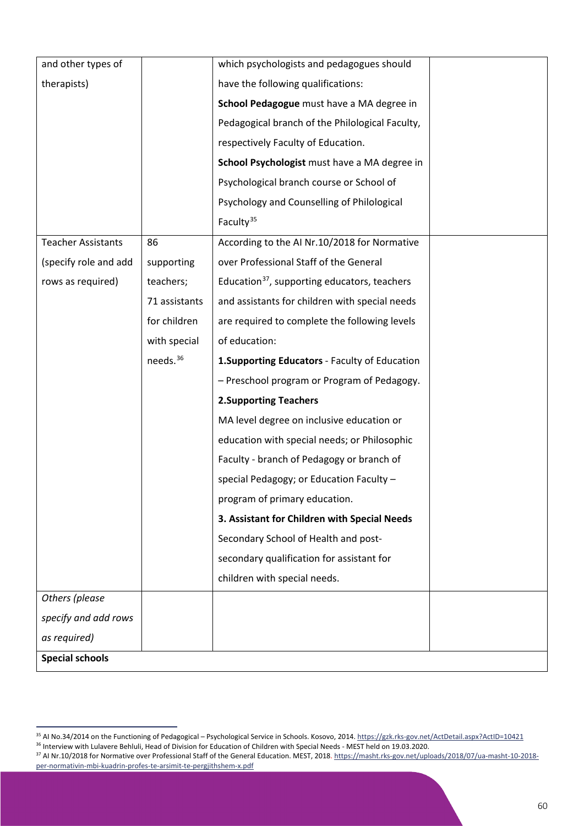| and other types of        |                      | which psychologists and pedagogues should                |  |
|---------------------------|----------------------|----------------------------------------------------------|--|
| therapists)               |                      | have the following qualifications:                       |  |
|                           |                      | School Pedagogue must have a MA degree in                |  |
|                           |                      | Pedagogical branch of the Philological Faculty,          |  |
|                           |                      | respectively Faculty of Education.                       |  |
|                           |                      | School Psychologist must have a MA degree in             |  |
|                           |                      | Psychological branch course or School of                 |  |
|                           |                      | Psychology and Counselling of Philological               |  |
|                           |                      | Faculty <sup>35</sup>                                    |  |
| <b>Teacher Assistants</b> | 86                   | According to the AI Nr.10/2018 for Normative             |  |
| (specify role and add     | supporting           | over Professional Staff of the General                   |  |
| rows as required)         | teachers;            | Education <sup>37</sup> , supporting educators, teachers |  |
|                           | 71 assistants        | and assistants for children with special needs           |  |
|                           | for children         | are required to complete the following levels            |  |
|                           | with special         | of education:                                            |  |
|                           | needs. <sup>36</sup> | 1. Supporting Educators - Faculty of Education           |  |
|                           |                      | - Preschool program or Program of Pedagogy.              |  |
|                           |                      | <b>2.Supporting Teachers</b>                             |  |
|                           |                      | MA level degree on inclusive education or                |  |
|                           |                      | education with special needs; or Philosophic             |  |
|                           |                      | Faculty - branch of Pedagogy or branch of                |  |
|                           |                      | special Pedagogy; or Education Faculty -                 |  |
|                           |                      | program of primary education.                            |  |
|                           |                      | 3. Assistant for Children with Special Needs             |  |
|                           |                      | Secondary School of Health and post-                     |  |
|                           |                      | secondary qualification for assistant for                |  |
|                           |                      | children with special needs.                             |  |
| Others (please            |                      |                                                          |  |
| specify and add rows      |                      |                                                          |  |
| as required)              |                      |                                                          |  |
| <b>Special schools</b>    |                      |                                                          |  |

<sup>&</sup>lt;sup>35</sup> AI No.34/2014 on the Functioning of Pedagogical – Psychological Service in Schools. Kosovo, 2014[. https://gzk.rks-gov.net/ActDetail.aspx?ActID=10421](https://gzk.rks-gov.net/ActDetail.aspx?ActID=10421)

<span id="page-60-1"></span><span id="page-60-0"></span><sup>36</sup> Interview with Lulavere Behluli, Head of Division for Education of Children with Special Needs - MEST held on 19.03.2020.

<span id="page-60-2"></span><sup>&</sup>lt;sup>37</sup> AI Nr.10/2018 for Normative over Professional Staff of the General Education. MEST, 2018. [https://masht.rks-gov.net/uploads/2018/07/ua-masht-10-2018](https://masht.rks-gov.net/uploads/2018/07/ua-masht-10-2018-per-normativin-mbi-kuadrin-profes-te-arsimit-te-pergjithshem-x.pdf) [per-normativin-mbi-kuadrin-profes-te-arsimit-te-pergjithshem-x.pdf](https://masht.rks-gov.net/uploads/2018/07/ua-masht-10-2018-per-normativin-mbi-kuadrin-profes-te-arsimit-te-pergjithshem-x.pdf)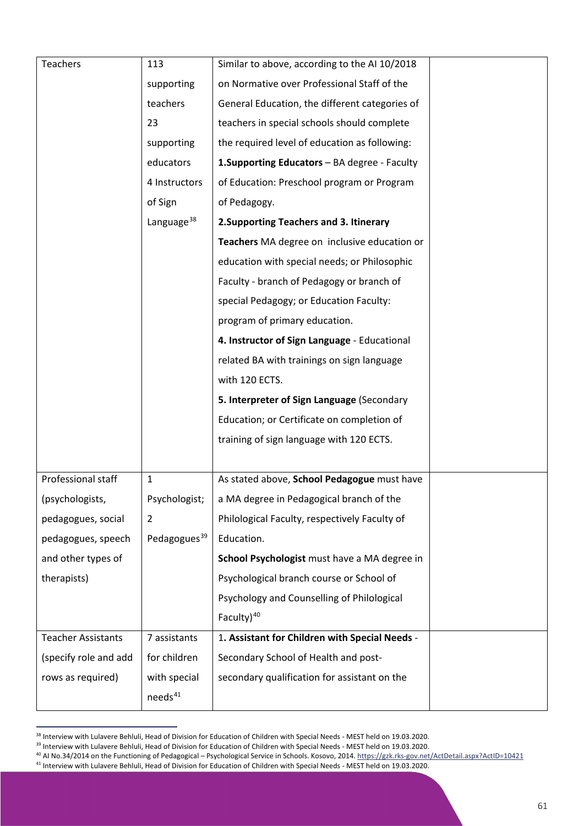| <b>Teachers</b>           | 113                      | Similar to above, according to the AI 10/2018  |  |
|---------------------------|--------------------------|------------------------------------------------|--|
|                           | supporting               | on Normative over Professional Staff of the    |  |
|                           | teachers                 | General Education, the different categories of |  |
|                           | 23                       | teachers in special schools should complete    |  |
|                           | supporting               | the required level of education as following:  |  |
|                           | educators                | 1. Supporting Educators - BA degree - Faculty  |  |
|                           | 4 Instructors            | of Education: Preschool program or Program     |  |
|                           | of Sign                  | of Pedagogy.                                   |  |
|                           | Language <sup>38</sup>   | 2. Supporting Teachers and 3. Itinerary        |  |
|                           |                          | Teachers MA degree on inclusive education or   |  |
|                           |                          | education with special needs; or Philosophic   |  |
|                           |                          | Faculty - branch of Pedagogy or branch of      |  |
|                           |                          | special Pedagogy; or Education Faculty:        |  |
|                           |                          | program of primary education.                  |  |
|                           |                          | 4. Instructor of Sign Language - Educational   |  |
|                           |                          | related BA with trainings on sign language     |  |
|                           |                          | with 120 ECTS.                                 |  |
|                           |                          | 5. Interpreter of Sign Language (Secondary     |  |
|                           |                          | Education; or Certificate on completion of     |  |
|                           |                          | training of sign language with 120 ECTS.       |  |
|                           |                          |                                                |  |
| Professional staff        | $\mathbf{1}$             | As stated above, School Pedagogue must have    |  |
| (psychologists,           | Psychologist;            | a MA degree in Pedagogical branch of the       |  |
| pedagogues, social        | 2                        | Philological Faculty, respectively Faculty of  |  |
| pedagogues, speech        | Pedagogues <sup>39</sup> | Education.                                     |  |
| and other types of        |                          | School Psychologist must have a MA degree in   |  |
| therapists)               |                          | Psychological branch course or School of       |  |
|                           |                          | Psychology and Counselling of Philological     |  |
|                           |                          | Faculty) $40$                                  |  |
| <b>Teacher Assistants</b> | 7 assistants             | 1. Assistant for Children with Special Needs - |  |
| (specify role and add     | for children             | Secondary School of Health and post-           |  |
| rows as required)         | with special             | secondary qualification for assistant on the   |  |
|                           | needs <sup>41</sup>      |                                                |  |

<span id="page-61-0"></span><sup>&</sup>lt;sup>38</sup> Interview with Lulavere Behluli, Head of Division for Education of Children with Special Needs - MEST held on 19.03.2020.

<span id="page-61-1"></span><sup>39</sup> Interview with Lulavere Behluli, Head of Division for Education of Children with Special Needs - MEST held on 19.03.2020.

<sup>40</sup> AI No.34/2014 on the Functioning of Pedagogical – Psychological Service in Schools. Kosovo, 2014[. https://gzk.rks-gov.net/ActDetail.aspx?ActID=10421](https://gzk.rks-gov.net/ActDetail.aspx?ActID=10421)

<span id="page-61-3"></span><span id="page-61-2"></span><sup>&</sup>lt;sup>41</sup> Interview with Lulavere Behluli, Head of Division for Education of Children with Special Needs - MEST held on 19.03.2020.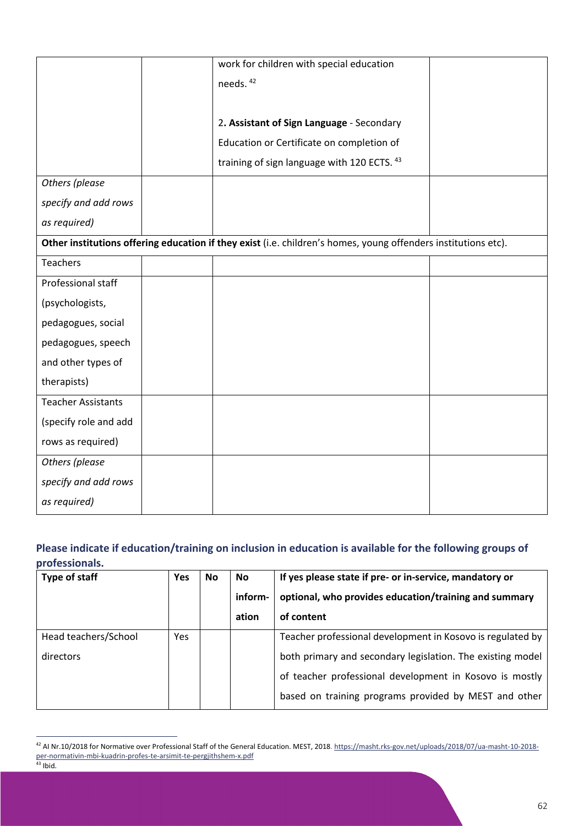|                           | work for children with special education                                                                       |  |
|---------------------------|----------------------------------------------------------------------------------------------------------------|--|
|                           | needs. <sup>42</sup>                                                                                           |  |
|                           |                                                                                                                |  |
|                           | 2. Assistant of Sign Language - Secondary                                                                      |  |
|                           | Education or Certificate on completion of                                                                      |  |
|                           | training of sign language with 120 ECTS. 43                                                                    |  |
| Others (please            |                                                                                                                |  |
| specify and add rows      |                                                                                                                |  |
| as required)              |                                                                                                                |  |
|                           | Other institutions offering education if they exist (i.e. children's homes, young offenders institutions etc). |  |
| <b>Teachers</b>           |                                                                                                                |  |
| Professional staff        |                                                                                                                |  |
| (psychologists,           |                                                                                                                |  |
| pedagogues, social        |                                                                                                                |  |
| pedagogues, speech        |                                                                                                                |  |
| and other types of        |                                                                                                                |  |
| therapists)               |                                                                                                                |  |
| <b>Teacher Assistants</b> |                                                                                                                |  |
| (specify role and add     |                                                                                                                |  |
| rows as required)         |                                                                                                                |  |
| Others (please            |                                                                                                                |  |
| specify and add rows      |                                                                                                                |  |
| as required)              |                                                                                                                |  |

## **Please indicate if education/training on inclusion in education is available for the following groups of professionals.**

| Type of staff        | <b>Yes</b> | No | No      | If yes please state if pre- or in-service, mandatory or    |  |
|----------------------|------------|----|---------|------------------------------------------------------------|--|
|                      |            |    | inform- | optional, who provides education/training and summary      |  |
|                      |            |    | ation   | of content                                                 |  |
| Head teachers/School | Yes        |    |         | Teacher professional development in Kosovo is regulated by |  |
| directors            |            |    |         | both primary and secondary legislation. The existing model |  |
|                      |            |    |         | of teacher professional development in Kosovo is mostly    |  |
|                      |            |    |         | based on training programs provided by MEST and other      |  |

<span id="page-62-1"></span><span id="page-62-0"></span><sup>&</sup>lt;sup>42</sup> AI Nr.10/2018 for Normative over Professional Staff of the General Education. MEST, 2018. [https://masht.rks-gov.net/uploads/2018/07/ua-masht-10-2018](https://masht.rks-gov.net/uploads/2018/07/ua-masht-10-2018-per-normativin-mbi-kuadrin-profes-te-arsimit-te-pergjithshem-x.pdf) [per-normativin-mbi-kuadrin-profes-te-arsimit-te-pergjithshem-x.pdf](https://masht.rks-gov.net/uploads/2018/07/ua-masht-10-2018-per-normativin-mbi-kuadrin-profes-te-arsimit-te-pergjithshem-x.pdf)  $43$  Ibid.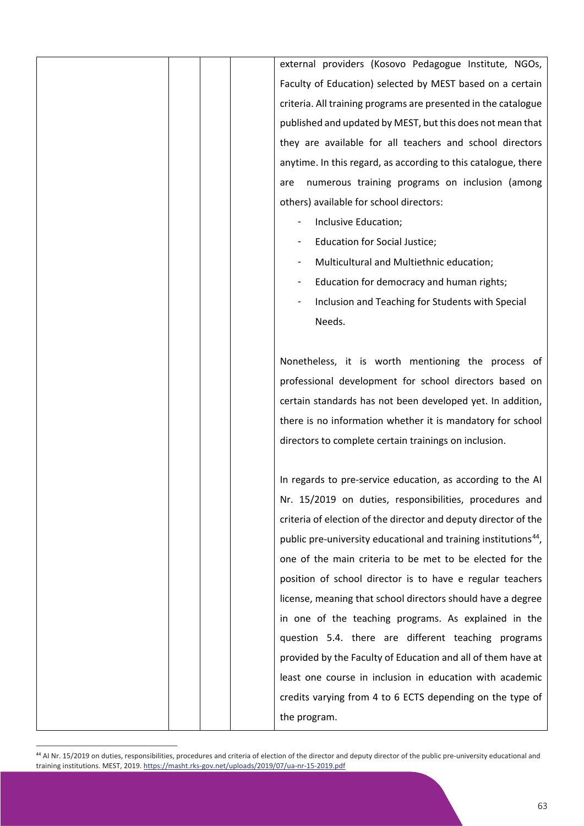external providers (Kosovo Pedagogue Institute, NGOs, Faculty of Education) selected by MEST based on a certain criteria. All training programs are presented in the catalogue published and updated by MEST, but this does not mean that they are available for all teachers and school directors anytime. In this regard, as according to this catalogue, there are numerous training programs on inclusion (among others) available for school directors:

- Inclusive Education;
- Education for Social Justice;
- Multicultural and Multiethnic education;
- Education for democracy and human rights;
- Inclusion and Teaching for Students with Special Needs.

Nonetheless, it is worth mentioning the process of professional development for school directors based on certain standards has not been developed yet. In addition, there is no information whether it is mandatory for school directors to complete certain trainings on inclusion.

In regards to pre-service education, as according to the AI Nr. 15/2019 on duties, responsibilities, procedures and criteria of election of the director and deputy director of the public pre-university educational and training institutions<sup>[44](#page-63-0)</sup>, one of the main criteria to be met to be elected for the position of school director is to have e regular teachers license, meaning that school directors should have a degree in one of the teaching programs. As explained in the question 5.4. there are different teaching programs provided by the Faculty of Education and all of them have at least one course in inclusion in education with academic credits varying from 4 to 6 ECTS depending on the type of the program.

<span id="page-63-0"></span><sup>&</sup>lt;sup>44</sup> AI Nr. 15/2019 on duties, responsibilities, procedures and criteria of election of the director and deputy director of the public pre-university educational and training institutions. MEST, 2019[. https://masht.rks-gov.net/uploads/2019/07/ua-nr-15-2019.pdf](https://masht.rks-gov.net/uploads/2019/07/ua-nr-15-2019.pdf)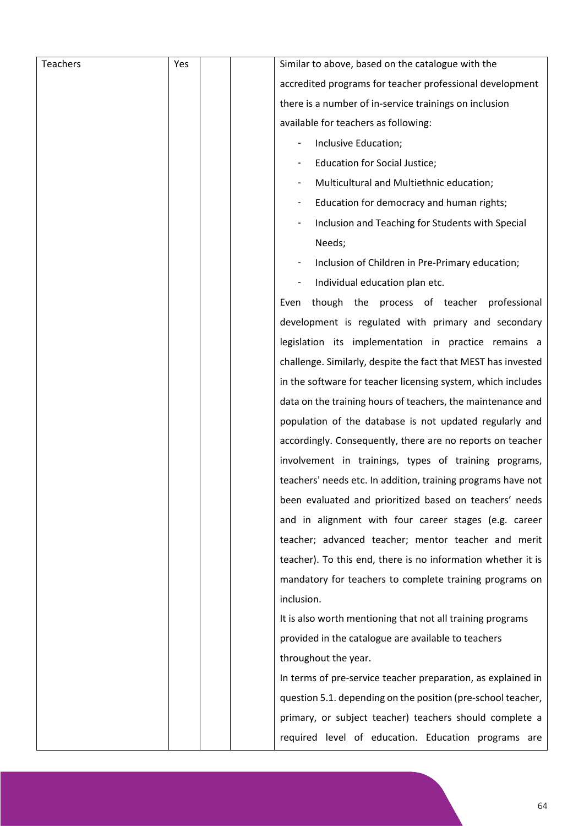| <b>Teachers</b> | Yes | Similar to above, based on the catalogue with the             |  |
|-----------------|-----|---------------------------------------------------------------|--|
|                 |     | accredited programs for teacher professional development      |  |
|                 |     | there is a number of in-service trainings on inclusion        |  |
|                 |     | available for teachers as following:                          |  |
|                 |     | Inclusive Education;                                          |  |
|                 |     | Education for Social Justice;                                 |  |
|                 |     | Multicultural and Multiethnic education;                      |  |
|                 |     | Education for democracy and human rights;                     |  |
|                 |     | Inclusion and Teaching for Students with Special              |  |
|                 |     | Needs;                                                        |  |
|                 |     | Inclusion of Children in Pre-Primary education;               |  |
|                 |     | Individual education plan etc.<br>$\overline{\phantom{a}}$    |  |
|                 |     | though the process of teacher professional<br>Even            |  |
|                 |     | development is regulated with primary and secondary           |  |
|                 |     | legislation its implementation in practice remains a          |  |
|                 |     | challenge. Similarly, despite the fact that MEST has invested |  |
|                 |     | in the software for teacher licensing system, which includes  |  |
|                 |     | data on the training hours of teachers, the maintenance and   |  |
|                 |     | population of the database is not updated regularly and       |  |
|                 |     | accordingly. Consequently, there are no reports on teacher    |  |
|                 |     | involvement in trainings, types of training programs,         |  |
|                 |     | teachers' needs etc. In addition, training programs have not  |  |
|                 |     | been evaluated and prioritized based on teachers' needs       |  |
|                 |     | and in alignment with four career stages (e.g. career         |  |
|                 |     | teacher; advanced teacher; mentor teacher and merit           |  |
|                 |     | teacher). To this end, there is no information whether it is  |  |
|                 |     | mandatory for teachers to complete training programs on       |  |
|                 |     | inclusion.                                                    |  |
|                 |     | It is also worth mentioning that not all training programs    |  |
|                 |     | provided in the catalogue are available to teachers           |  |
|                 |     | throughout the year.                                          |  |
|                 |     | In terms of pre-service teacher preparation, as explained in  |  |
|                 |     | question 5.1. depending on the position (pre-school teacher,  |  |
|                 |     | primary, or subject teacher) teachers should complete a       |  |
|                 |     | required level of education. Education programs are           |  |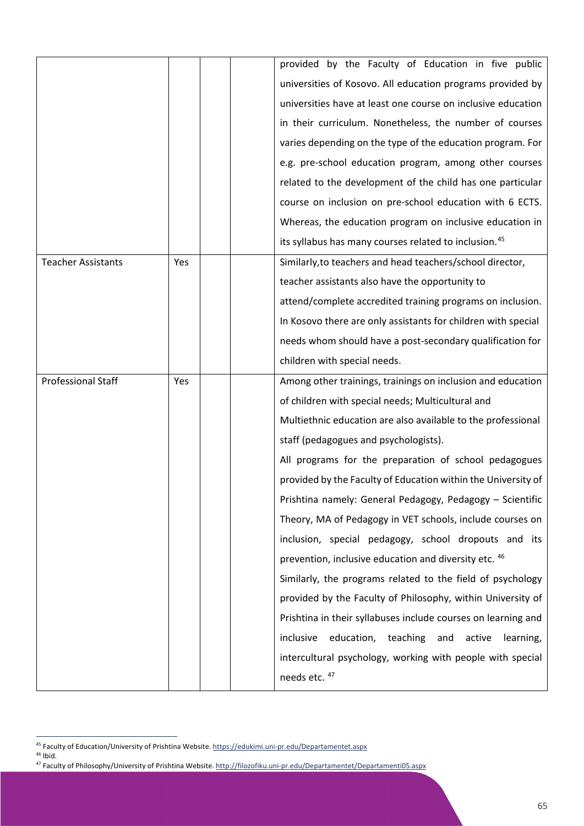|                           |     | provided by the Faculty of Education in five public               |
|---------------------------|-----|-------------------------------------------------------------------|
|                           |     | universities of Kosovo. All education programs provided by        |
|                           |     | universities have at least one course on inclusive education      |
|                           |     | in their curriculum. Nonetheless, the number of courses           |
|                           |     | varies depending on the type of the education program. For        |
|                           |     | e.g. pre-school education program, among other courses            |
|                           |     | related to the development of the child has one particular        |
|                           |     | course on inclusion on pre-school education with 6 ECTS.          |
|                           |     | Whereas, the education program on inclusive education in          |
|                           |     | its syllabus has many courses related to inclusion. <sup>45</sup> |
| <b>Teacher Assistants</b> | Yes | Similarly, to teachers and head teachers/school director,         |
|                           |     | teacher assistants also have the opportunity to                   |
|                           |     | attend/complete accredited training programs on inclusion.        |
|                           |     | In Kosovo there are only assistants for children with special     |
|                           |     | needs whom should have a post-secondary qualification for         |
|                           |     | children with special needs.                                      |
|                           |     |                                                                   |
| <b>Professional Staff</b> | Yes | Among other trainings, trainings on inclusion and education       |
|                           |     | of children with special needs; Multicultural and                 |
|                           |     | Multiethnic education are also available to the professional      |
|                           |     | staff (pedagogues and psychologists).                             |
|                           |     | All programs for the preparation of school pedagogues             |
|                           |     | provided by the Faculty of Education within the University of     |
|                           |     | Prishtina namely: General Pedagogy, Pedagogy - Scientific         |
|                           |     | Theory, MA of Pedagogy in VET schools, include courses on         |
|                           |     | inclusion, special pedagogy, school dropouts and its              |
|                           |     | prevention, inclusive education and diversity etc. 46             |
|                           |     | Similarly, the programs related to the field of psychology        |
|                           |     | provided by the Faculty of Philosophy, within University of       |
|                           |     | Prishtina in their syllabuses include courses on learning and     |
|                           |     | inclusive<br>education,<br>teaching<br>and<br>active<br>learning, |
|                           |     | intercultural psychology, working with people with special        |

<span id="page-65-0"></span><sup>45</sup> Faculty of Education/University of Prishtina Website[. https://edukimi.uni-pr.edu/Departamentet.aspx](https://edukimi.uni-pr.edu/Departamentet.aspx)

<span id="page-65-2"></span><span id="page-65-1"></span><sup>46</sup> Ibid.<br>46 Ibid.<br>47 Faculty of Philosophy/University of Prishtina Website[. http://filozofiku.uni-pr.edu/Departamentet/Departamenti05.aspx](http://filozofiku.uni-pr.edu/Departamentet/Departamenti05.aspx)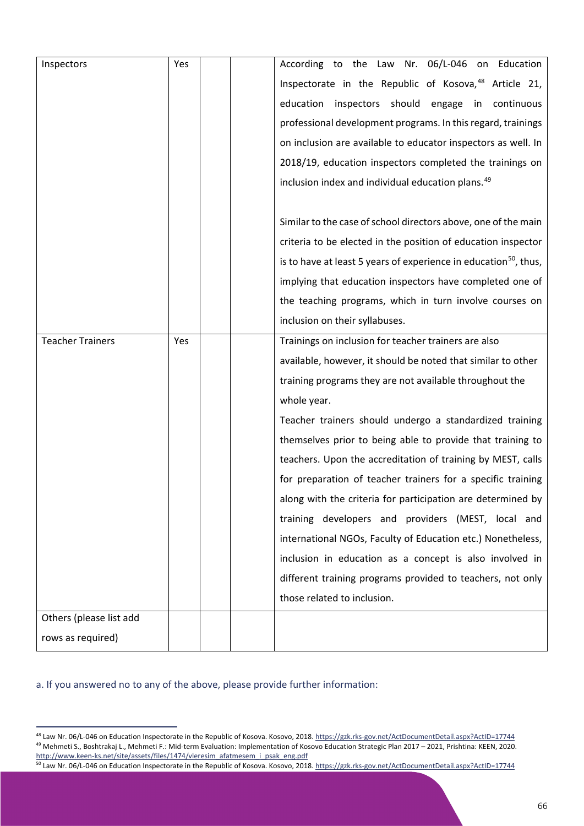| Inspectors              | Yes | According to the Law Nr. 06/L-046 on Education                               |  |  |
|-------------------------|-----|------------------------------------------------------------------------------|--|--|
|                         |     | Inspectorate in the Republic of Kosova, <sup>48</sup> Article 21,            |  |  |
|                         |     | inspectors should<br>education<br>engage in continuous                       |  |  |
|                         |     | professional development programs. In this regard, trainings                 |  |  |
|                         |     | on inclusion are available to educator inspectors as well. In                |  |  |
|                         |     | 2018/19, education inspectors completed the trainings on                     |  |  |
|                         |     | inclusion index and individual education plans. <sup>49</sup>                |  |  |
|                         |     |                                                                              |  |  |
|                         |     | Similar to the case of school directors above, one of the main               |  |  |
|                         |     | criteria to be elected in the position of education inspector                |  |  |
|                         |     | is to have at least 5 years of experience in education <sup>50</sup> , thus, |  |  |
|                         |     | implying that education inspectors have completed one of                     |  |  |
|                         |     | the teaching programs, which in turn involve courses on                      |  |  |
|                         |     | inclusion on their syllabuses.                                               |  |  |
| <b>Teacher Trainers</b> | Yes | Trainings on inclusion for teacher trainers are also                         |  |  |
|                         |     | available, however, it should be noted that similar to other                 |  |  |
|                         |     | training programs they are not available throughout the                      |  |  |
|                         |     | whole year.                                                                  |  |  |
|                         |     | Teacher trainers should undergo a standardized training                      |  |  |
|                         |     | themselves prior to being able to provide that training to                   |  |  |
|                         |     | teachers. Upon the accreditation of training by MEST, calls                  |  |  |
|                         |     | for preparation of teacher trainers for a specific training                  |  |  |
|                         |     | along with the criteria for participation are determined by                  |  |  |
|                         |     | training developers and providers (MEST, local and                           |  |  |
|                         |     | international NGOs, Faculty of Education etc.) Nonetheless,                  |  |  |
|                         |     | inclusion in education as a concept is also involved in                      |  |  |
|                         |     | different training programs provided to teachers, not only                   |  |  |
|                         |     | those related to inclusion.                                                  |  |  |
| Others (please list add |     |                                                                              |  |  |
| rows as required)       |     |                                                                              |  |  |

a. If you answered no to any of the above, please provide further information:

<span id="page-66-1"></span><span id="page-66-0"></span><sup>&</sup>lt;sup>48</sup> Law Nr. 06/L-046 on Education Inspectorate in the Republic of Kosova. Kosovo, 2018.<https://gzk.rks-gov.net/ActDocumentDetail.aspx?ActID=17744> 49 Mehmeti S., Boshtrakaj L., Mehmeti F.: Mid-term Evaluation: Implementation of Kosovo Education Strategic Plan 2017 – 2021, Prishtina: KEEN, 2020. [http://www.keen-ks.net/site/assets/files/1474/vleresim\\_afatmesem\\_i\\_psak\\_eng.pdf](http://www.keen-ks.net/site/assets/files/1474/vleresim_afatmesem_i_psak_eng.pdf)

<span id="page-66-2"></span><sup>&</sup>lt;sup>50</sup> Law Nr. 06/L-046 on Education Inspectorate in the Republic of Kosova. Kosovo, 2018.<https://gzk.rks-gov.net/ActDocumentDetail.aspx?ActID=17744>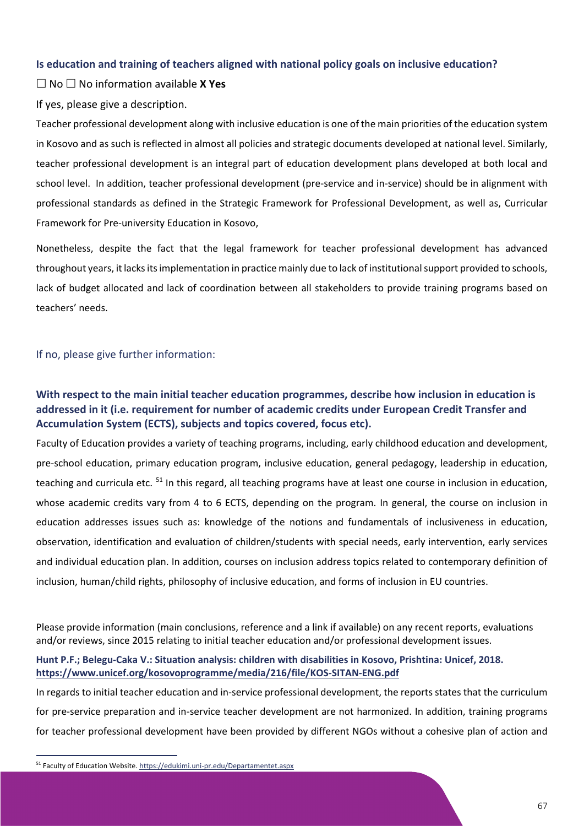### **Is education and training of teachers aligned with national policy goals on inclusive education?**

No No information available **X Yes**

If yes, please give a description.

Teacher professional development along with inclusive education is one of the main priorities of the education system in Kosovo and as such is reflected in almost all policies and strategic documents developed at national level. Similarly, teacher professional development is an integral part of education development plans developed at both local and school level. In addition, teacher professional development (pre-service and in-service) should be in alignment with professional standards as defined in the Strategic Framework for Professional Development, as well as, Curricular Framework for Pre-university Education in Kosovo,

Nonetheless, despite the fact that the legal framework for teacher professional development has advanced throughout years, it lacks its implementation in practice mainly due to lack of institutional support provided to schools, lack of budget allocated and lack of coordination between all stakeholders to provide training programs based on teachers' needs.

### If no, please give further information:

### **With respect to the main initial teacher education programmes, describe how inclusion in education is addressed in it (i.e. requirement for number of academic credits under European Credit Transfer and Accumulation System (ECTS), subjects and topics covered, focus etc).**

Faculty of Education provides a variety of teaching programs, including, early childhood education and development, pre-school education, primary education program, inclusive education, general pedagogy, leadership in education, teaching and curricula etc. <sup>[51](#page-67-0)</sup> In this regard, all teaching programs have at least one course in inclusion in education, whose academic credits vary from 4 to 6 ECTS, depending on the program. In general, the course on inclusion in education addresses issues such as: knowledge of the notions and fundamentals of inclusiveness in education, observation, identification and evaluation of children/students with special needs, early intervention, early services and individual education plan. In addition, courses on inclusion address topics related to contemporary definition of inclusion, human/child rights, philosophy of inclusive education, and forms of inclusion in EU countries.

Please provide information (main conclusions, reference and a link if available) on any recent reports, evaluations and/or reviews, since 2015 relating to initial teacher education and/or professional development issues.

### **Hunt P.F.; Belegu-Caka V.: Situation analysis: children with disabilities in Kosovo, Prishtina: Unicef, 2018. <https://www.unicef.org/kosovoprogramme/media/216/file/KOS-SITAN-ENG.pdf>**

In regards to initial teacher education and in-service professional development, the reports states that the curriculum for pre-service preparation and in-service teacher development are not harmonized. In addition, training programs for teacher professional development have been provided by different NGOs without a cohesive plan of action and

<span id="page-67-0"></span><sup>51</sup> Faculty of Education Website[. https://edukimi.uni-pr.edu/Departamentet.aspx](https://edukimi.uni-pr.edu/Departamentet.aspx)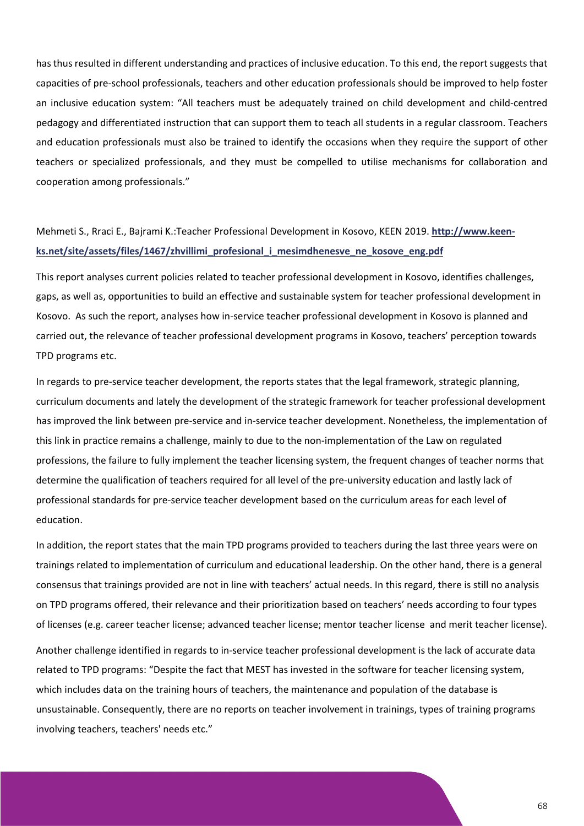has thus resulted in different understanding and practices of inclusive education. To this end, the report suggests that capacities of pre-school professionals, teachers and other education professionals should be improved to help foster an inclusive education system: "All teachers must be adequately trained on child development and child-centred pedagogy and differentiated instruction that can support them to teach all students in a regular classroom. Teachers and education professionals must also be trained to identify the occasions when they require the support of other teachers or specialized professionals, and they must be compelled to utilise mechanisms for collaboration and cooperation among professionals."

# Mehmeti S., Rraci E., Bajrami K.:Teacher Professional Development in Kosovo, KEEN 2019. **[http://www.keen](http://www.keen-ks.net/site/assets/files/1467/zhvillimi_profesional_i_mesimdhenesve_ne_kosove_eng.pdf)[ks.net/site/assets/files/1467/zhvillimi\\_profesional\\_i\\_mesimdhenesve\\_ne\\_kosove\\_eng.pdf](http://www.keen-ks.net/site/assets/files/1467/zhvillimi_profesional_i_mesimdhenesve_ne_kosove_eng.pdf)**

This report analyses current policies related to teacher professional development in Kosovo, identifies challenges, gaps, as well as, opportunities to build an effective and sustainable system for teacher professional development in Kosovo. As such the report, analyses how in-service teacher professional development in Kosovo is planned and carried out, the relevance of teacher professional development programs in Kosovo, teachers' perception towards TPD programs etc.

In regards to pre-service teacher development, the reports states that the legal framework, strategic planning, curriculum documents and lately the development of the strategic framework for teacher professional development has improved the link between pre-service and in-service teacher development. Nonetheless, the implementation of this link in practice remains a challenge, mainly to due to the non-implementation of the Law on regulated professions, the failure to fully implement the teacher licensing system, the frequent changes of teacher norms that determine the qualification of teachers required for all level of the pre-university education and lastly lack of professional standards for pre-service teacher development based on the curriculum areas for each level of education.

In addition, the report states that the main TPD programs provided to teachers during the last three years were on trainings related to implementation of curriculum and educational leadership. On the other hand, there is a general consensus that trainings provided are not in line with teachers' actual needs. In this regard, there is still no analysis on TPD programs offered, their relevance and their prioritization based on teachers' needs according to four types of licenses (e.g. career teacher license; advanced teacher license; mentor teacher license and merit teacher license).

Another challenge identified in regards to in-service teacher professional development is the lack of accurate data related to TPD programs: "Despite the fact that MEST has invested in the software for teacher licensing system, which includes data on the training hours of teachers, the maintenance and population of the database is unsustainable. Consequently, there are no reports on teacher involvement in trainings, types of training programs involving teachers, teachers' needs etc."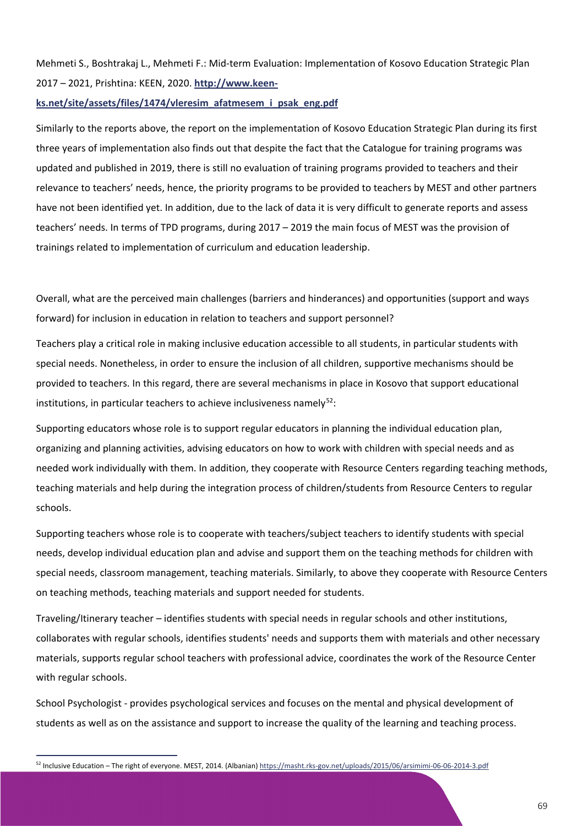Mehmeti S., Boshtrakaj L., Mehmeti F.: Mid-term Evaluation: Implementation of Kosovo Education Strategic Plan 2017 – 2021, Prishtina: KEEN, 2020. **[http://www.keen-](http://www.keen-ks.net/site/assets/files/1474/vleresim_afatmesem_i_psak_eng.pdf)**

### **[ks.net/site/assets/files/1474/vleresim\\_afatmesem\\_i\\_psak\\_eng.pdf](http://www.keen-ks.net/site/assets/files/1474/vleresim_afatmesem_i_psak_eng.pdf)**

Similarly to the reports above, the report on the implementation of Kosovo Education Strategic Plan during its first three years of implementation also finds out that despite the fact that the Catalogue for training programs was updated and published in 2019, there is still no evaluation of training programs provided to teachers and their relevance to teachers' needs, hence, the priority programs to be provided to teachers by MEST and other partners have not been identified yet. In addition, due to the lack of data it is very difficult to generate reports and assess teachers' needs. In terms of TPD programs, during 2017 – 2019 the main focus of MEST was the provision of trainings related to implementation of curriculum and education leadership.

Overall, what are the perceived main challenges (barriers and hinderances) and opportunities (support and ways forward) for inclusion in education in relation to teachers and support personnel?

Teachers play a critical role in making inclusive education accessible to all students, in particular students with special needs. Nonetheless, in order to ensure the inclusion of all children, supportive mechanisms should be provided to teachers. In this regard, there are several mechanisms in place in Kosovo that support educational institutions, in particular teachers to achieve inclusiveness namely $52$ :

Supporting educators whose role is to support regular educators in planning the individual education plan, organizing and planning activities, advising educators on how to work with children with special needs and as needed work individually with them. In addition, they cooperate with Resource Centers regarding teaching methods, teaching materials and help during the integration process of children/students from Resource Centers to regular schools.

Supporting teachers whose role is to cooperate with teachers/subject teachers to identify students with special needs, develop individual education plan and advise and support them on the teaching methods for children with special needs, classroom management, teaching materials. Similarly, to above they cooperate with Resource Centers on teaching methods, teaching materials and support needed for students.

Traveling/Itinerary teacher – identifies students with special needs in regular schools and other institutions, collaborates with regular schools, identifies students' needs and supports them with materials and other necessary materials, supports regular school teachers with professional advice, coordinates the work of the Resource Center with regular schools.

School Psychologist - provides psychological services and focuses on the mental and physical development of students as well as on the assistance and support to increase the quality of the learning and teaching process.

<span id="page-69-0"></span><sup>52</sup> Inclusive Education – The right of everyone. MEST, 2014. (Albanian)<https://masht.rks-gov.net/uploads/2015/06/arsimimi-06-06-2014-3.pdf>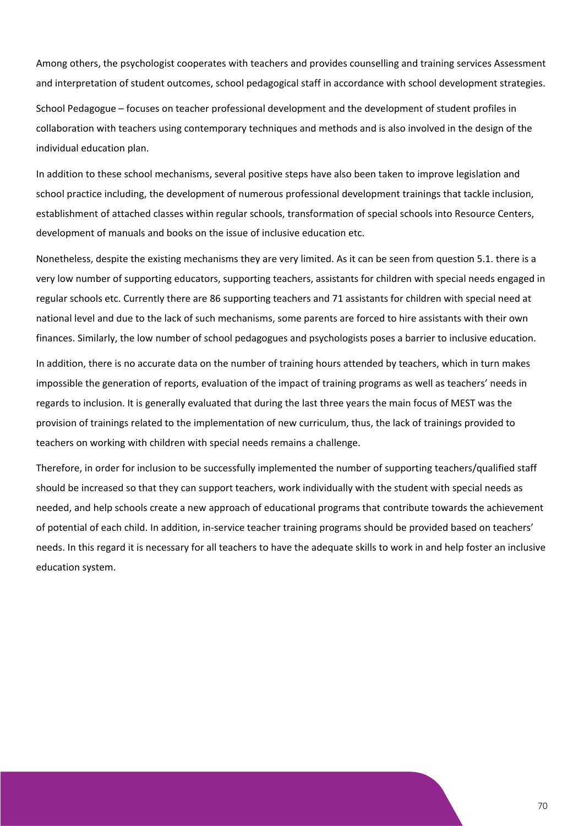Among others, the psychologist cooperates with teachers and provides counselling and training services Assessment and interpretation of student outcomes, school pedagogical staff in accordance with school development strategies.

School Pedagogue – focuses on teacher professional development and the development of student profiles in collaboration with teachers using contemporary techniques and methods and is also involved in the design of the individual education plan.

In addition to these school mechanisms, several positive steps have also been taken to improve legislation and school practice including, the development of numerous professional development trainings that tackle inclusion, establishment of attached classes within regular schools, transformation of special schools into Resource Centers, development of manuals and books on the issue of inclusive education etc.

Nonetheless, despite the existing mechanisms they are very limited. As it can be seen from question 5.1. there is a very low number of supporting educators, supporting teachers, assistants for children with special needs engaged in regular schools etc. Currently there are 86 supporting teachers and 71 assistants for children with special need at national level and due to the lack of such mechanisms, some parents are forced to hire assistants with their own finances. Similarly, the low number of school pedagogues and psychologists poses a barrier to inclusive education.

In addition, there is no accurate data on the number of training hours attended by teachers, which in turn makes impossible the generation of reports, evaluation of the impact of training programs as well as teachers' needs in regards to inclusion. It is generally evaluated that during the last three years the main focus of MEST was the provision of trainings related to the implementation of new curriculum, thus, the lack of trainings provided to teachers on working with children with special needs remains a challenge.

Therefore, in order for inclusion to be successfully implemented the number of supporting teachers/qualified staff should be increased so that they can support teachers, work individually with the student with special needs as needed, and help schools create a new approach of educational programs that contribute towards the achievement of potential of each child. In addition, in-service teacher training programs should be provided based on teachers' needs. In this regard it is necessary for all teachers to have the adequate skills to work in and help foster an inclusive education system.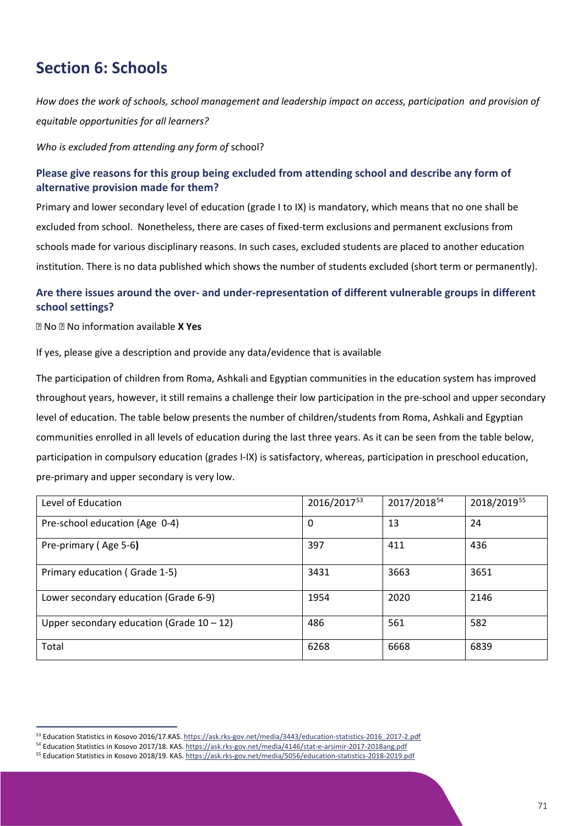# **Section 6: Schools**

*How does the work of schools, school management and leadership impact on access, participation and provision of equitable opportunities for all learners?*

*Who is excluded from attending any form of* school?

### **Please give reasons for this group being excluded from attending school and describe any form of alternative provision made for them?**

Primary and lower secondary level of education (grade I to IX) is mandatory, which means that no one shall be excluded from school. Nonetheless, there are cases of fixed-term exclusions and permanent exclusions from schools made for various disciplinary reasons. In such cases, excluded students are placed to another education institution. There is no data published which shows the number of students excluded (short term or permanently).

### **Are there issues around the over- and under-representation of different vulnerable groups in different school settings?**

No No information available **X Yes**

If yes, please give a description and provide any data/evidence that is available

The participation of children from Roma, Ashkali and Egyptian communities in the education system has improved throughout years, however, it still remains a challenge their low participation in the pre-school and upper secondary level of education. The table below presents the number of children/students from Roma, Ashkali and Egyptian communities enrolled in all levels of education during the last three years. As it can be seen from the table below, participation in compulsory education (grades I-IX) is satisfactory, whereas, participation in preschool education, pre-primary and upper secondary is very low.

| Level of Education                           | 2016/201753 | 2017/2018 <sup>54</sup> | 2018/201955 |
|----------------------------------------------|-------------|-------------------------|-------------|
| Pre-school education (Age 0-4)               | 0           | 13                      | 24          |
| Pre-primary (Age 5-6)                        | 397         | 411                     | 436         |
| Primary education (Grade 1-5)                | 3431        | 3663                    | 3651        |
| Lower secondary education (Grade 6-9)        | 1954        | 2020                    | 2146        |
| Upper secondary education (Grade $10 - 12$ ) | 486         | 561                     | 582         |
| Total                                        | 6268        | 6668                    | 6839        |

<span id="page-71-0"></span><sup>53</sup> Education Statistics in Kosovo 2016/17.KAS[. https://ask.rks-gov.net/media/3443/education-statistics-2016\\_2017-2.pdf](https://ask.rks-gov.net/media/3443/education-statistics-2016_2017-2.pdf)

<span id="page-71-1"></span><sup>54</sup> Education Statistics in Kosovo 2017/18. KAS[. https://ask.rks-gov.net/media/4146/stat-e-arsimir-2017-2018ang.pdf](https://ask.rks-gov.net/media/4146/stat-e-arsimir-2017-2018ang.pdf)

<span id="page-71-2"></span><sup>55</sup> Education Statistics in Kosovo 2018/19. KAS[. https://ask.rks-gov.net/media/5056/education-statistics-2018-2019.pdf](https://ask.rks-gov.net/media/5056/education-statistics-2018-2019.pdf)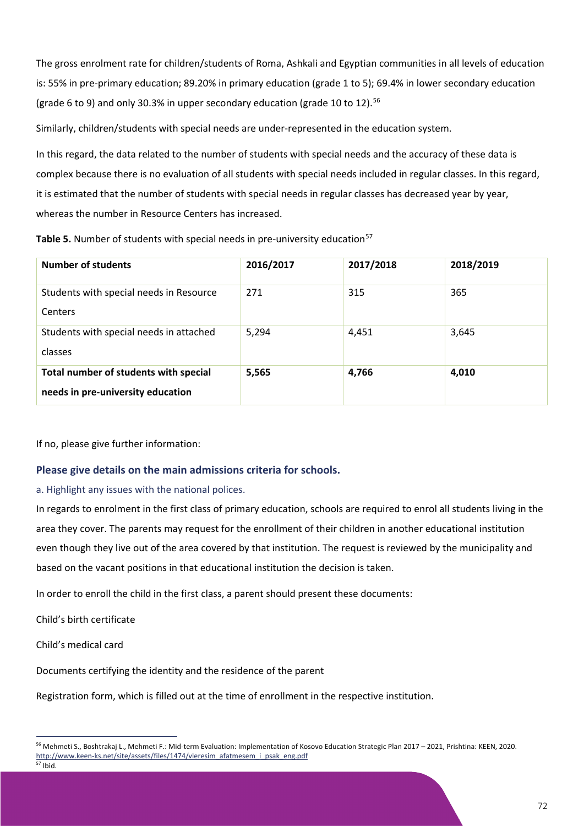The gross enrolment rate for children/students of Roma, Ashkali and Egyptian communities in all levels of education is: 55% in pre-primary education; 89.20% in primary education (grade 1 to 5); 69.4% in lower secondary education (grade 6 to 9) and only 30.3% in upper secondary education (grade 10 to 12).<sup>[56](#page-72-0)</sup>

Similarly, children/students with special needs are under-represented in the education system.

In this regard, the data related to the number of students with special needs and the accuracy of these data is complex because there is no evaluation of all students with special needs included in regular classes. In this regard, it is estimated that the number of students with special needs in regular classes has decreased year by year, whereas the number in Resource Centers has increased.

|  |  |  |  |  | Table 5. Number of students with special needs in pre-university education <sup>57</sup> |  |
|--|--|--|--|--|------------------------------------------------------------------------------------------|--|
|--|--|--|--|--|------------------------------------------------------------------------------------------|--|

| <b>Number of students</b>                                                  | 2016/2017 | 2017/2018 | 2018/2019 |
|----------------------------------------------------------------------------|-----------|-----------|-----------|
| Students with special needs in Resource<br>Centers                         | 271       | 315       | 365       |
| Students with special needs in attached<br>classes                         | 5,294     | 4,451     | 3,645     |
| Total number of students with special<br>needs in pre-university education | 5,565     | 4,766     | 4,010     |

If no, please give further information:

### **Please give details on the main admissions criteria for schools.**

### a. Highlight any issues with the national polices.

In regards to enrolment in the first class of primary education, schools are required to enrol all students living in the area they cover. The parents may request for the enrollment of their children in another educational institution even though they live out of the area covered by that institution. The request is reviewed by the municipality and based on the vacant positions in that educational institution the decision is taken.

In order to enroll the child in the first class, a parent should present these documents:

Child's birth certificate

Child's medical card

Documents certifying the identity and the residence of the parent

Registration form, which is filled out at the time of enrollment in the respective institution.

72

<span id="page-72-1"></span><span id="page-72-0"></span><sup>56</sup> Mehmeti S., Boshtrakaj L., Mehmeti F.: Mid-term Evaluation: Implementation of Kosovo Education Strategic Plan 2017 – 2021, Prishtina: KEEN, 2020. [http://www.keen-ks.net/site/assets/files/1474/vleresim\\_afatmesem\\_i\\_psak\\_eng.pdf](http://www.keen-ks.net/site/assets/files/1474/vleresim_afatmesem_i_psak_eng.pdf)  $57$  Ibid.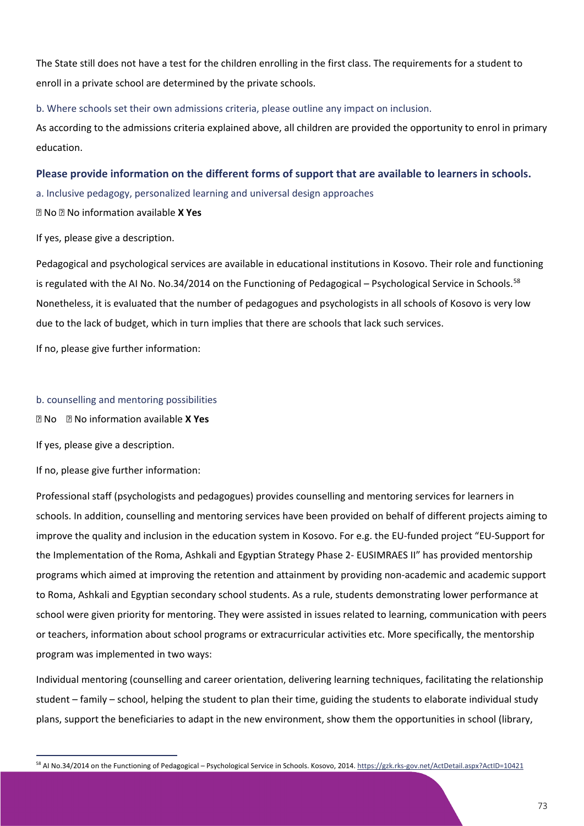The State still does not have a test for the children enrolling in the first class. The requirements for a student to enroll in a private school are determined by the private schools.

b. Where schools set their own admissions criteria, please outline any impact on inclusion.

As according to the admissions criteria explained above, all children are provided the opportunity to enrol in primary education.

### **Please provide information on the different forms of support that are available to learners in schools.**

a. Inclusive pedagogy, personalized learning and universal design approaches

No No information available **X Yes**

If yes, please give a description.

Pedagogical and psychological services are available in educational institutions in Kosovo. Their role and functioning is regulated with the AI No. No.34/2014 on the Functioning of Pedagogical – Psychological Service in Schools.<sup>[58](#page-73-0)</sup> Nonetheless, it is evaluated that the number of pedagogues and psychologists in all schools of Kosovo is very low due to the lack of budget, which in turn implies that there are schools that lack such services.

If no, please give further information:

#### b. counselling and mentoring possibilities

No No information available **X Yes**

If yes, please give a description.

If no, please give further information:

Professional staff (psychologists and pedagogues) provides counselling and mentoring services for learners in schools. In addition, counselling and mentoring services have been provided on behalf of different projects aiming to improve the quality and inclusion in the education system in Kosovo. For e.g. the EU-funded project "EU-Support for the Implementation of the Roma, Ashkali and Egyptian Strategy Phase 2- EUSIMRAES II" has provided mentorship programs which aimed at improving the retention and attainment by providing non-academic and academic support to Roma, Ashkali and Egyptian secondary school students. As a rule, students demonstrating lower performance at school were given priority for mentoring. They were assisted in issues related to learning, communication with peers or teachers, information about school programs or extracurricular activities etc. More specifically, the mentorship program was implemented in two ways:

Individual mentoring (counselling and career orientation, delivering learning techniques, facilitating the relationship student – family – school, helping the student to plan their time, guiding the students to elaborate individual study plans, support the beneficiaries to adapt in the new environment, show them the opportunities in school (library,

<span id="page-73-0"></span><sup>58</sup> AI No.34/2014 on the Functioning of Pedagogical – Psychological Service in Schools. Kosovo, 2014[. https://gzk.rks-gov.net/ActDetail.aspx?ActID=10421](https://gzk.rks-gov.net/ActDetail.aspx?ActID=10421)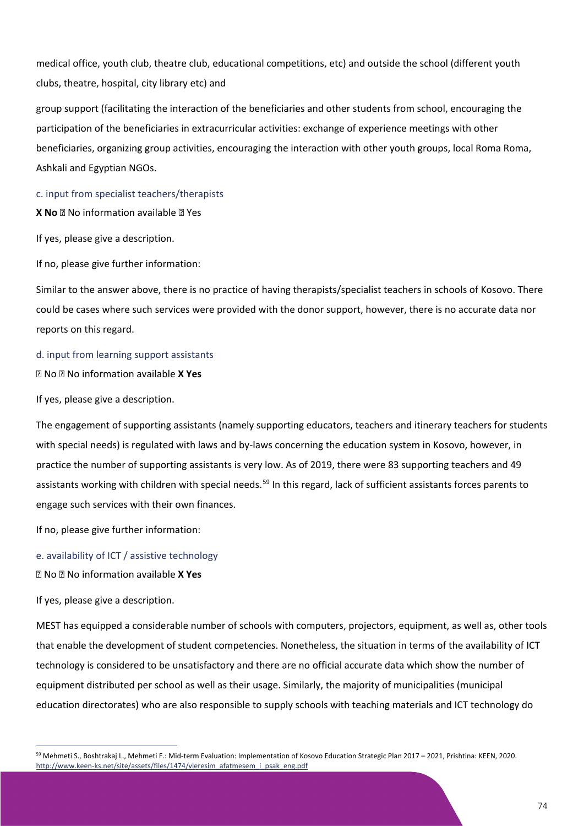medical office, youth club, theatre club, educational competitions, etc) and outside the school (different youth clubs, theatre, hospital, city library etc) and

group support (facilitating the interaction of the beneficiaries and other students from school, encouraging the participation of the beneficiaries in extracurricular activities: exchange of experience meetings with other beneficiaries, organizing group activities, encouraging the interaction with other youth groups, local Roma Roma, Ashkali and Egyptian NGOs.

c. input from specialist teachers/therapists

**X No No** information available **No** Yes

If yes, please give a description.

If no, please give further information:

Similar to the answer above, there is no practice of having therapists/specialist teachers in schools of Kosovo. There could be cases where such services were provided with the donor support, however, there is no accurate data nor reports on this regard.

#### d. input from learning support assistants

No No information available **X Yes**

If yes, please give a description.

The engagement of supporting assistants (namely supporting educators, teachers and itinerary teachers for students with special needs) is regulated with laws and by-laws concerning the education system in Kosovo, however, in practice the number of supporting assistants is very low. As of 2019, there were 83 supporting teachers and 49 assistants working with children with special needs.<sup>[59](#page-74-0)</sup> In this regard, lack of sufficient assistants forces parents to engage such services with their own finances.

If no, please give further information:

e. availability of ICT / assistive technology

No No information available **X Yes**

If yes, please give a description.

MEST has equipped a considerable number of schools with computers, projectors, equipment, as well as, other tools that enable the development of student competencies. Nonetheless, the situation in terms of the availability of ICT technology is considered to be unsatisfactory and there are no official accurate data which show the number of equipment distributed per school as well as their usage. Similarly, the majority of municipalities (municipal education directorates) who are also responsible to supply schools with teaching materials and ICT technology do

<span id="page-74-0"></span><sup>59</sup> Mehmeti S., Boshtrakaj L., Mehmeti F.: Mid-term Evaluation: Implementation of Kosovo Education Strategic Plan 2017 – 2021, Prishtina: KEEN, 2020. [http://www.keen-ks.net/site/assets/files/1474/vleresim\\_afatmesem\\_i\\_psak\\_eng.pdf](http://www.keen-ks.net/site/assets/files/1474/vleresim_afatmesem_i_psak_eng.pdf)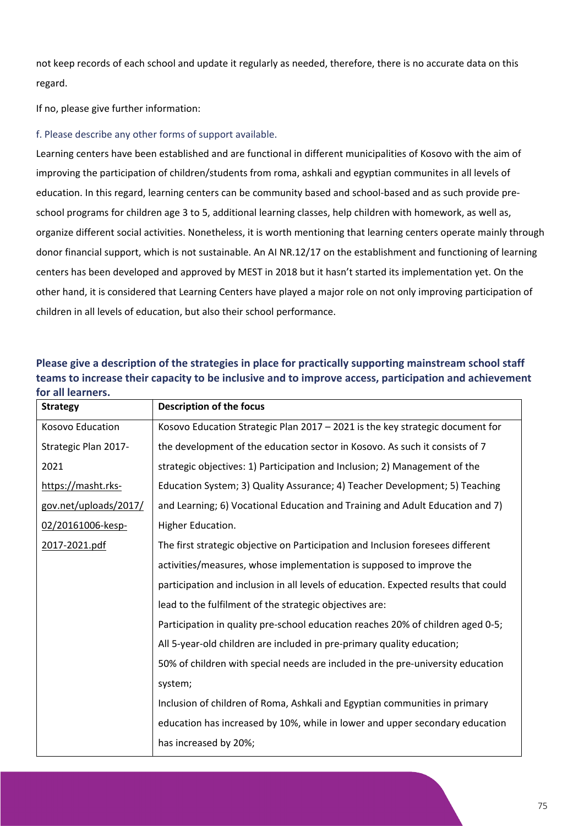not keep records of each school and update it regularly as needed, therefore, there is no accurate data on this regard.

If no, please give further information:

f. Please describe any other forms of support available.

Learning centers have been established and are functional in different municipalities of Kosovo with the aim of improving the participation of children/students from roma, ashkali and egyptian communites in all levels of education. In this regard, learning centers can be community based and school-based and as such provide preschool programs for children age 3 to 5, additional learning classes, help children with homework, as well as, organize different social activities. Nonetheless, it is worth mentioning that learning centers operate mainly through donor financial support, which is not sustainable. An AI NR.12/17 on the establishment and functioning of learning centers has been developed and approved by MEST in 2018 but it hasn't started its implementation yet. On the other hand, it is considered that Learning Centers have played a major role on not only improving participation of children in all levels of education, but also their school performance.

| <b>Strategy</b>       | <b>Description of the focus</b>                                                     |
|-----------------------|-------------------------------------------------------------------------------------|
| Kosovo Education      | Kosovo Education Strategic Plan 2017 - 2021 is the key strategic document for       |
| Strategic Plan 2017-  | the development of the education sector in Kosovo. As such it consists of 7         |
| 2021                  | strategic objectives: 1) Participation and Inclusion; 2) Management of the          |
| https://masht.rks-    | Education System; 3) Quality Assurance; 4) Teacher Development; 5) Teaching         |
| gov.net/uploads/2017/ | and Learning; 6) Vocational Education and Training and Adult Education and 7)       |
| 02/20161006-kesp-     | Higher Education.                                                                   |
| 2017-2021.pdf         | The first strategic objective on Participation and Inclusion foresees different     |
|                       | activities/measures, whose implementation is supposed to improve the                |
|                       | participation and inclusion in all levels of education. Expected results that could |
|                       | lead to the fulfilment of the strategic objectives are:                             |
|                       | Participation in quality pre-school education reaches 20% of children aged 0-5;     |
|                       | All 5-year-old children are included in pre-primary quality education;              |
|                       | 50% of children with special needs are included in the pre-university education     |
| system;               |                                                                                     |
|                       | Inclusion of children of Roma, Ashkali and Egyptian communities in primary          |
|                       | education has increased by 10%, while in lower and upper secondary education        |
|                       | has increased by 20%;                                                               |

**Please give a description of the strategies in place for practically supporting mainstream school staff teams to increase their capacity to be inclusive and to improve access, participation and achievement for all learners.**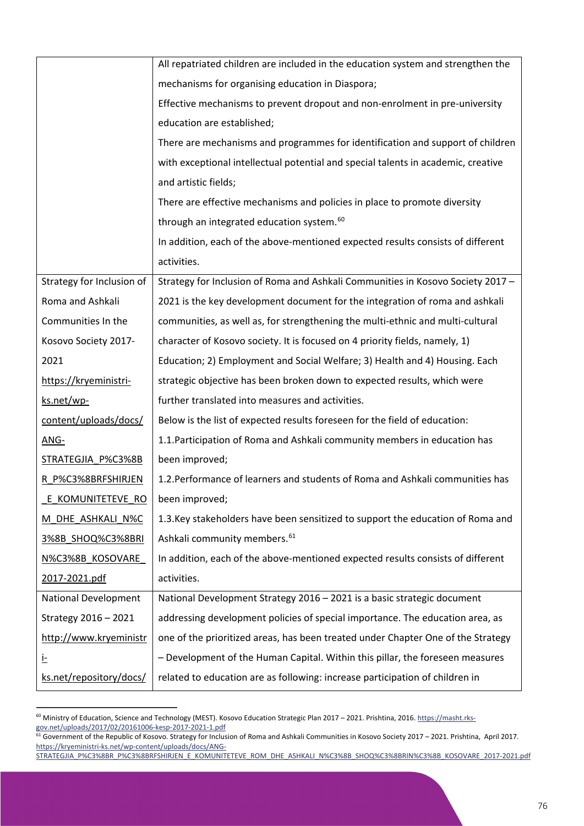|                           | All repatriated children are included in the education system and strengthen the  |  |  |
|---------------------------|-----------------------------------------------------------------------------------|--|--|
|                           | mechanisms for organising education in Diaspora;                                  |  |  |
|                           | Effective mechanisms to prevent dropout and non-enrolment in pre-university       |  |  |
|                           | education are established;                                                        |  |  |
|                           | There are mechanisms and programmes for identification and support of children    |  |  |
|                           | with exceptional intellectual potential and special talents in academic, creative |  |  |
|                           | and artistic fields;                                                              |  |  |
|                           | There are effective mechanisms and policies in place to promote diversity         |  |  |
|                           | through an integrated education system. <sup>60</sup>                             |  |  |
|                           | In addition, each of the above-mentioned expected results consists of different   |  |  |
|                           | activities.                                                                       |  |  |
| Strategy for Inclusion of | Strategy for Inclusion of Roma and Ashkali Communities in Kosovo Society 2017 -   |  |  |
| Roma and Ashkali          | 2021 is the key development document for the integration of roma and ashkali      |  |  |
| Communities In the        | communities, as well as, for strengthening the multi-ethnic and multi-cultural    |  |  |
| Kosovo Society 2017-      | character of Kosovo society. It is focused on 4 priority fields, namely, 1)       |  |  |
| 2021                      | Education; 2) Employment and Social Welfare; 3) Health and 4) Housing. Each       |  |  |
| https://kryeministri-     | strategic objective has been broken down to expected results, which were          |  |  |
| ks.net/wp-                | further translated into measures and activities.                                  |  |  |
| content/uploads/docs/     | Below is the list of expected results foreseen for the field of education:        |  |  |
| ANG-                      | 1.1. Participation of Roma and Ashkali community members in education has         |  |  |
| STRATEGJIA P%C3%8B        | been improved;                                                                    |  |  |
| R P%C3%8BRFSHIRJEN        | 1.2. Performance of learners and students of Roma and Ashkali communities has     |  |  |
| E KOMUNITETEVE RO         | been improved;                                                                    |  |  |
| <u>M_DHE_ASHKALI_N%C</u>  | 1.3. Key stakeholders have been sensitized to support the education of Roma and   |  |  |
| 3%8B SHOQ%C3%8BRI         | Ashkali community members. <sup>61</sup>                                          |  |  |
| N%C3%8B KOSOVARE          | In addition, each of the above-mentioned expected results consists of different   |  |  |
| 2017-2021.pdf             | activities.                                                                       |  |  |
| National Development      | National Development Strategy 2016 - 2021 is a basic strategic document           |  |  |
| Strategy 2016 - 2021      | addressing development policies of special importance. The education area, as     |  |  |
| http://www.kryeministr    | one of the prioritized areas, has been treated under Chapter One of the Strategy  |  |  |
| Ŀ                         | - Development of the Human Capital. Within this pillar, the foreseen measures     |  |  |
| ks.net/repository/docs/   | related to education are as following: increase participation of children in      |  |  |

<span id="page-76-0"></span><sup>&</sup>lt;sup>60</sup> Ministry of Education, Science and Technology (MEST). Kosovo Education Strategic Plan 2017 – 2021. Prishtina, 2016. [https://masht.rks](https://masht.rks-gov.net/uploads/2017/02/20161006-kesp-2017-2021-1.pdf)[gov.net/uploads/2017/02/20161006-kesp-2017-2021-1.pdf](https://masht.rks-gov.net/uploads/2017/02/20161006-kesp-2017-2021-1.pdf)

<span id="page-76-1"></span><sup>&</sup>lt;sup>61</sup> Government of the Republic of Kosovo. Strategy for Inclusion of Roma and Ashkali Communities in Kosovo Society 2017 – 2021. Prishtina, April 2017. [https://kryeministri-ks.net/wp-content/uploads/docs/ANG-](https://kryeministri-ks.net/wp-content/uploads/docs/ANG-STRATEGJIA_P%C3%8BR_P%C3%8BRFSHIRJEN_E_KOMUNITETEVE_ROM_DHE_ASHKALI_N%C3%8B_SHOQ%C3%8BRIN%C3%8B_KOSOVARE_2017-2021.pdf)

[STRATEGJIA\\_P%C3%8BR\\_P%C3%8BRFSHIRJEN\\_E\\_KOMUNITETEVE\\_ROM\\_DHE\\_ASHKALI\\_N%C3%8B\\_SHOQ%C3%8BRIN%C3%8B\\_KOSOVARE\\_2017-2021.pdf](https://kryeministri-ks.net/wp-content/uploads/docs/ANG-STRATEGJIA_P%C3%8BR_P%C3%8BRFSHIRJEN_E_KOMUNITETEVE_ROM_DHE_ASHKALI_N%C3%8B_SHOQ%C3%8BRIN%C3%8B_KOSOVARE_2017-2021.pdf)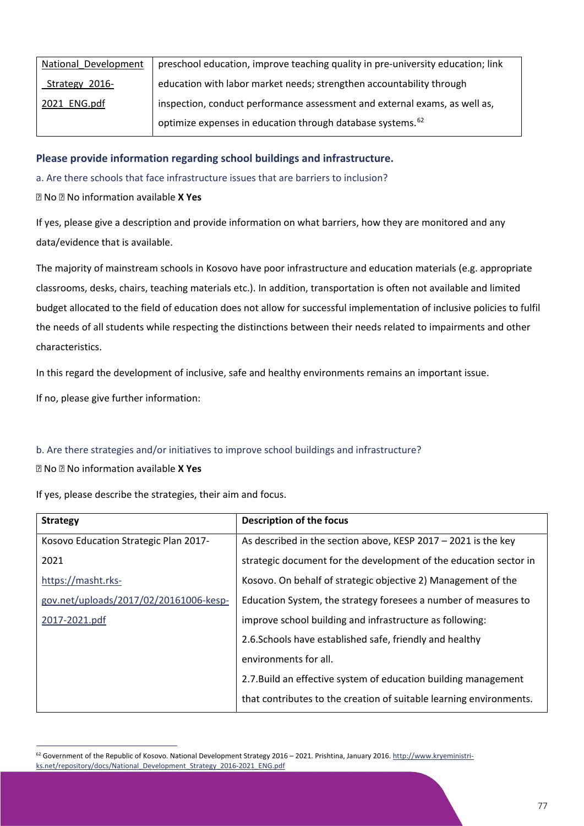| National Development | preschool education, improve teaching quality in pre-university education; link |
|----------------------|---------------------------------------------------------------------------------|
| Strategy 2016-       | education with labor market needs; strengthen accountability through            |
| 2021 ENG.pdf         | inspection, conduct performance assessment and external exams, as well as,      |
|                      | optimize expenses in education through database systems. <sup>62</sup>          |

### **Please provide information regarding school buildings and infrastructure.**

a. Are there schools that face infrastructure issues that are barriers to inclusion?

No No information available **X Yes**

If yes, please give a description and provide information on what barriers, how they are monitored and any data/evidence that is available.

The majority of mainstream schools in Kosovo have poor infrastructure and education materials (e.g. appropriate classrooms, desks, chairs, teaching materials etc.). In addition, transportation is often not available and limited budget allocated to the field of education does not allow for successful implementation of inclusive policies to fulfil the needs of all students while respecting the distinctions between their needs related to impairments and other characteristics.

In this regard the development of inclusive, safe and healthy environments remains an important issue.

If no, please give further information:

### b. Are there strategies and/or initiatives to improve school buildings and infrastructure?

No No information available **X Yes**

If yes, please describe the strategies, their aim and focus.

| <b>Strategy</b>                        | <b>Description of the focus</b>                                     |
|----------------------------------------|---------------------------------------------------------------------|
| Kosovo Education Strategic Plan 2017-  | As described in the section above, KESP $2017 - 2021$ is the key    |
| 2021                                   | strategic document for the development of the education sector in   |
| https://masht.rks-                     | Kosovo. On behalf of strategic objective 2) Management of the       |
| gov.net/uploads/2017/02/20161006-kesp- | Education System, the strategy foresees a number of measures to     |
| 2017-2021.pdf                          | improve school building and infrastructure as following:            |
|                                        | 2.6. Schools have established safe, friendly and healthy            |
|                                        | environments for all.                                               |
|                                        | 2.7. Build an effective system of education building management     |
|                                        | that contributes to the creation of suitable learning environments. |

<span id="page-77-0"></span><sup>&</sup>lt;sup>62</sup> Government of the Republic of Kosovo. National Development Strategy 2016 – 2021. Prishtina, January 2016[. http://www.kryeministri](http://www.kryeministri-ks.net/repository/docs/National_Development_Strategy_2016-2021_ENG.pdf)[ks.net/repository/docs/National\\_Development\\_Strategy\\_2016-2021\\_ENG.pdf](http://www.kryeministri-ks.net/repository/docs/National_Development_Strategy_2016-2021_ENG.pdf)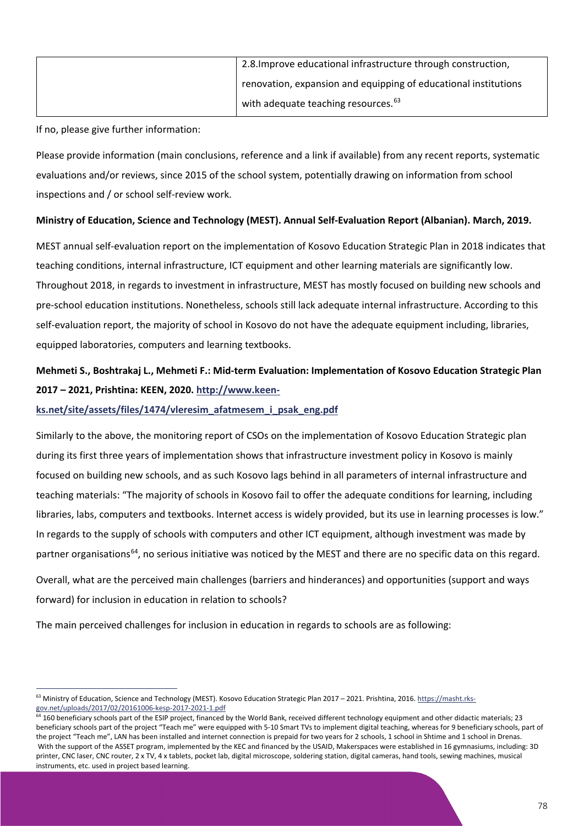| 2.8. Improve educational infrastructure through construction,   |
|-----------------------------------------------------------------|
| renovation, expansion and equipping of educational institutions |
| with adequate teaching resources. <sup>63</sup>                 |

If no, please give further information:

Please provide information (main conclusions, reference and a link if available) from any recent reports, systematic evaluations and/or reviews, since 2015 of the school system, potentially drawing on information from school inspections and / or school self-review work.

### **Ministry of Education, Science and Technology (MEST). Annual Self-Evaluation Report (Albanian). March, 2019.**

MEST annual self-evaluation report on the implementation of Kosovo Education Strategic Plan in 2018 indicates that teaching conditions, internal infrastructure, ICT equipment and other learning materials are significantly low. Throughout 2018, in regards to investment in infrastructure, MEST has mostly focused on building new schools and pre-school education institutions. Nonetheless, schools still lack adequate internal infrastructure. According to this self-evaluation report, the majority of school in Kosovo do not have the adequate equipment including, libraries, equipped laboratories, computers and learning textbooks.

# **Mehmeti S., Boshtrakaj L., Mehmeti F.: Mid-term Evaluation: Implementation of Kosovo Education Strategic Plan 2017 – 2021, Prishtina: KEEN, 2020. [http://www.keen-](http://www.keen-ks.net/site/assets/files/1474/vleresim_afatmesem_i_psak_eng.pdf)**

### **[ks.net/site/assets/files/1474/vleresim\\_afatmesem\\_i\\_psak\\_eng.pdf](http://www.keen-ks.net/site/assets/files/1474/vleresim_afatmesem_i_psak_eng.pdf)**

Similarly to the above, the monitoring report of CSOs on the implementation of Kosovo Education Strategic plan during its first three years of implementation shows that infrastructure investment policy in Kosovo is mainly focused on building new schools, and as such Kosovo lags behind in all parameters of internal infrastructure and teaching materials: "The majority of schools in Kosovo fail to offer the adequate conditions for learning, including libraries, labs, computers and textbooks. Internet access is widely provided, but its use in learning processes is low." In regards to the supply of schools with computers and other ICT equipment, although investment was made by partner organisations<sup>64</sup>, no serious initiative was noticed by the MEST and there are no specific data on this regard. Overall, what are the perceived main challenges (barriers and hinderances) and opportunities (support and ways

forward) for inclusion in education in relation to schools?

The main perceived challenges for inclusion in education in regards to schools are as following:

<span id="page-78-0"></span><sup>&</sup>lt;sup>63</sup> Ministry of Education, Science and Technology (MEST). Kosovo Education Strategic Plan 2017 - 2021. Prishtina, 2016. [https://masht.rks](https://masht.rks-gov.net/uploads/2017/02/20161006-kesp-2017-2021-1.pdf)[gov.net/uploads/2017/02/20161006-kesp-2017-2021-1.pdf](https://masht.rks-gov.net/uploads/2017/02/20161006-kesp-2017-2021-1.pdf)

<span id="page-78-1"></span> $64$  160 beneficiary schools part of the ESIP project, financed by the World Bank, received different technology equipment and other didactic materials; 23 beneficiary schools part of the project "Teach me" were equipped with 5-10 Smart TVs to implement digital teaching, whereas for 9 beneficiary schools, part of the project "Teach me", LAN has been installed and internet connection is prepaid for two years for 2 schools, 1 school in Shtime and 1 school in Drenas. With the support of the ASSET program, implemented by the KEC and financed by the USAID, Makerspaces were established in 16 gymnasiums, including: 3D printer, CNC laser, CNC router, 2 x TV, 4 x tablets, pocket lab, digital microscope, soldering station, digital cameras, hand tools, sewing machines, musical instruments, etc. used in project based learning.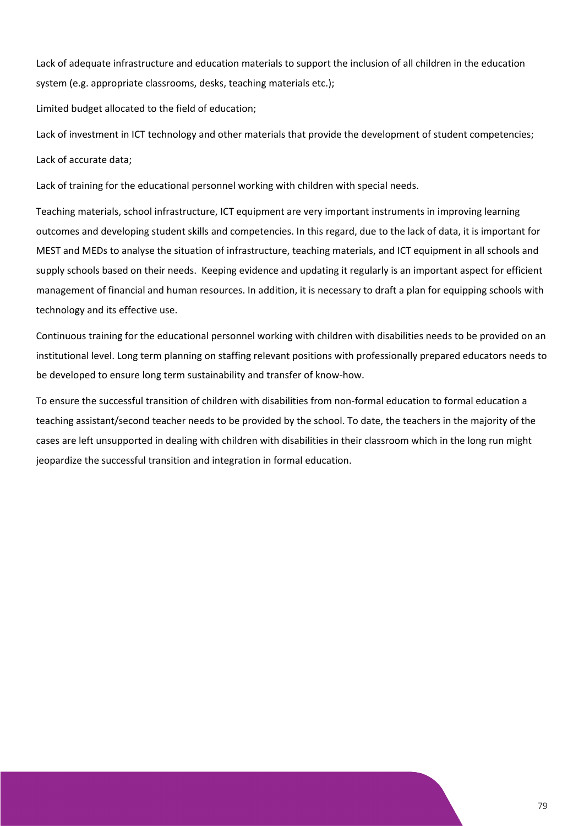Lack of adequate infrastructure and education materials to support the inclusion of all children in the education system (e.g. appropriate classrooms, desks, teaching materials etc.);

Limited budget allocated to the field of education;

Lack of investment in ICT technology and other materials that provide the development of student competencies; Lack of accurate data;

Lack of training for the educational personnel working with children with special needs.

Teaching materials, school infrastructure, ICT equipment are very important instruments in improving learning outcomes and developing student skills and competencies. In this regard, due to the lack of data, it is important for MEST and MEDs to analyse the situation of infrastructure, teaching materials, and ICT equipment in all schools and supply schools based on their needs. Keeping evidence and updating it regularly is an important aspect for efficient management of financial and human resources. In addition, it is necessary to draft a plan for equipping schools with technology and its effective use.

Continuous training for the educational personnel working with children with disabilities needs to be provided on an institutional level. Long term planning on staffing relevant positions with professionally prepared educators needs to be developed to ensure long term sustainability and transfer of know-how.

To ensure the successful transition of children with disabilities from non-formal education to formal education a teaching assistant/second teacher needs to be provided by the school. To date, the teachers in the majority of the cases are left unsupported in dealing with children with disabilities in their classroom which in the long run might jeopardize the successful transition and integration in formal education.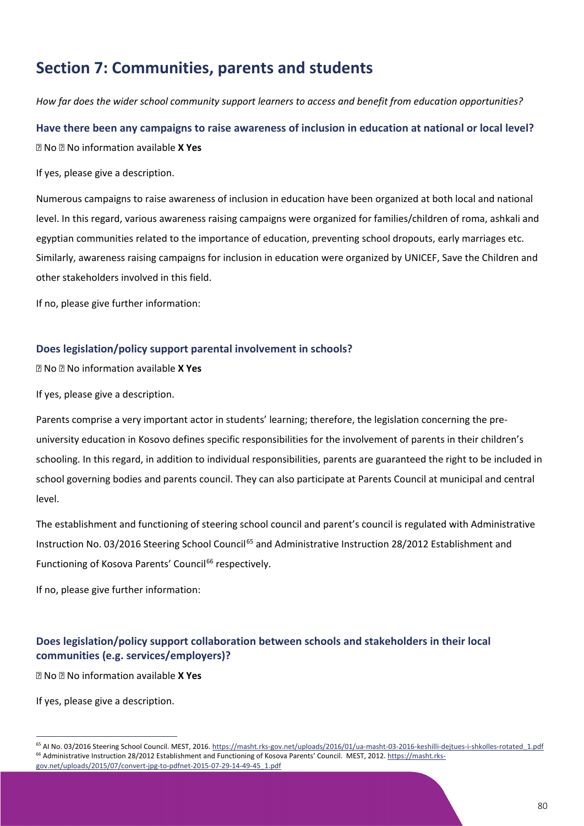# **Section 7: Communities, parents and students**

*How far does the wider school community support learners to access and benefit from education opportunities?*

**Have there been any campaigns to raise awareness of inclusion in education at national or local level?** No No information available **X Yes**

If yes, please give a description.

Numerous campaigns to raise awareness of inclusion in education have been organized at both local and national level. In this regard, various awareness raising campaigns were organized for families/children of roma, ashkali and egyptian communities related to the importance of education, preventing school dropouts, early marriages etc. Similarly, awareness raising campaigns for inclusion in education were organized by UNICEF, Save the Children and other stakeholders involved in this field.

If no, please give further information:

### **Does legislation/policy support parental involvement in schools?**

No No information available **X Yes**

If yes, please give a description.

Parents comprise a very important actor in students' learning; therefore, the legislation concerning the preuniversity education in Kosovo defines specific responsibilities for the involvement of parents in their children's schooling. In this regard, in addition to individual responsibilities, parents are guaranteed the right to be included in school governing bodies and parents council. They can also participate at Parents Council at municipal and central level.

The establishment and functioning of steering school council and parent's council is regulated with Administrative Instruction No. 03/2016 Steering School Council<sup>[65](#page-80-0)</sup> and Administrative Instruction 28/2012 Establishment and Functioning of Kosova Parents' Council<sup>[66](#page-80-1)</sup> respectively.

If no, please give further information:

## **Does legislation/policy support collaboration between schools and stakeholders in their local communities (e.g. services/employers)?**

No No information available **X Yes**

If yes, please give a description.

<span id="page-80-1"></span><span id="page-80-0"></span><sup>65</sup> AI No. 03/2016 Steering School Council. MEST, 2016[. https://masht.rks-gov.net/uploads/2016/01/ua-masht-03-2016-keshilli-dejtues-i-shkolles-rotated\\_1.pdf](https://masht.rks-gov.net/uploads/2016/01/ua-masht-03-2016-keshilli-dejtues-i-shkolles-rotated_1.pdf) <sup>66</sup> Administrative Instruction 28/2012 Establishment and Functioning of Kosova Parents' Council. MEST, 2012[. https://masht.rks](https://masht.rks-gov.net/uploads/2015/07/convert-jpg-to-pdfnet-2015-07-29-14-49-45_1.pdf)[gov.net/uploads/2015/07/convert-jpg-to-pdfnet-2015-07-29-14-49-45\\_1.pdf](https://masht.rks-gov.net/uploads/2015/07/convert-jpg-to-pdfnet-2015-07-29-14-49-45_1.pdf)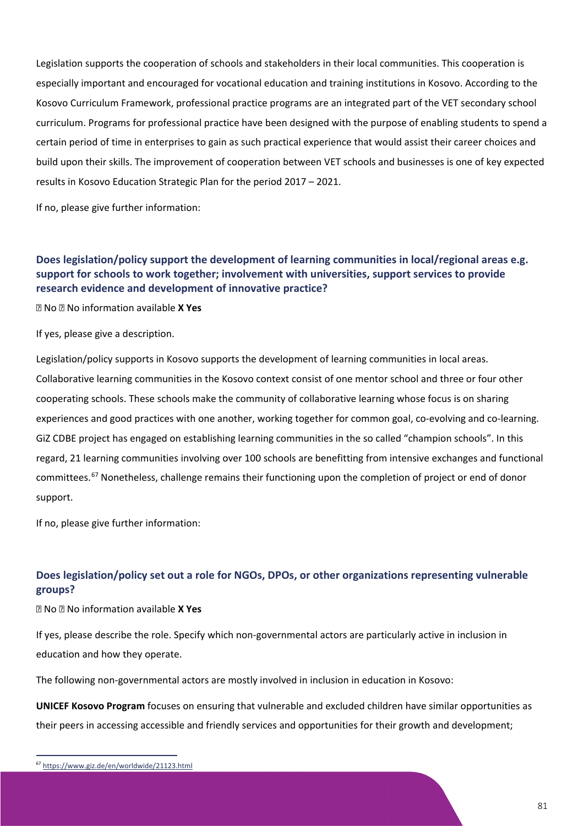Legislation supports the cooperation of schools and stakeholders in their local communities. This cooperation is especially important and encouraged for vocational education and training institutions in Kosovo. According to the Kosovo Curriculum Framework, professional practice programs are an integrated part of the VET secondary school curriculum. Programs for professional practice have been designed with the purpose of enabling students to spend a certain period of time in enterprises to gain as such practical experience that would assist their career choices and build upon their skills. The improvement of cooperation between VET schools and businesses is one of key expected results in Kosovo Education Strategic Plan for the period 2017 – 2021.

If no, please give further information:

## **Does legislation/policy support the development of learning communities in local/regional areas e.g. support for schools to work together; involvement with universities, support services to provide research evidence and development of innovative practice?**

No No information available **X Yes**

If yes, please give a description.

Legislation/policy supports in Kosovo supports the development of learning communities in local areas. Collaborative learning communities in the Kosovo context consist of one mentor school and three or four other cooperating schools. These schools make the community of collaborative learning whose focus is on sharing experiences and good practices with one another, working together for common goal, co-evolving and co-learning. GiZ CDBE project has engaged on establishing learning communities in the so called "champion schools". In this regard, 21 learning communities involving over 100 schools are benefitting from intensive exchanges and functional committees.[67](#page-81-0) Nonetheless, challenge remains their functioning upon the completion of project or end of donor support.

If no, please give further information:

## **Does legislation/policy set out a role for NGOs, DPOs, or other organizations representing vulnerable groups?**

No No information available **X Yes**

If yes, please describe the role. Specify which non-governmental actors are particularly active in inclusion in education and how they operate.

The following non-governmental actors are mostly involved in inclusion in education in Kosovo:

**UNICEF Kosovo Program** focuses on ensuring that vulnerable and excluded children have similar opportunities as their peers in accessing accessible and friendly services and opportunities for their growth and development;

<span id="page-81-0"></span><sup>67</sup> <https://www.giz.de/en/worldwide/21123.html>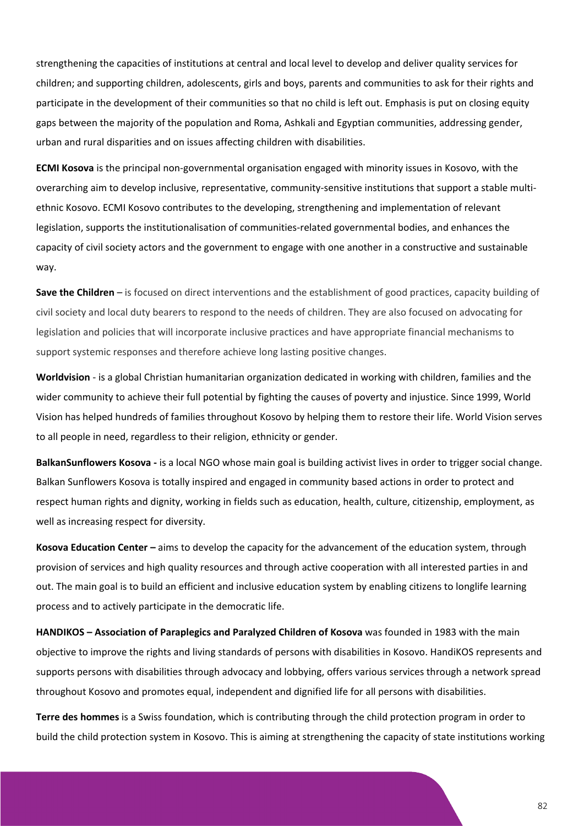strengthening the capacities of institutions at central and local level to develop and deliver quality services for children; and supporting children, adolescents, girls and boys, parents and communities to ask for their rights and participate in the development of their communities so that no child is left out. Emphasis is put on closing equity gaps between the majority of the population and Roma, Ashkali and Egyptian communities, addressing gender, urban and rural disparities and on issues affecting children with disabilities.

**ECMI Kosova** is the principal non-governmental organisation engaged with minority issues in Kosovo, with the overarching aim to develop inclusive, representative, community-sensitive institutions that support a stable multiethnic Kosovo. ECMI Kosovo contributes to the developing, strengthening and implementation of relevant legislation, supports the institutionalisation of communities-related governmental bodies, and enhances the capacity of civil society actors and the government to engage with one another in a constructive and sustainable way.

**Save the Children** – is focused on direct interventions and the establishment of good practices, capacity building of civil society and local duty bearers to respond to the needs of children. They are also focused on advocating for legislation and policies that will incorporate inclusive practices and have appropriate financial mechanisms to support systemic responses and therefore achieve long lasting positive changes.

**Worldvision** - is a global Christian humanitarian organization dedicated in working with children, families and the wider community to achieve their full potential by fighting the causes of poverty and injustice. Since 1999, World Vision has helped hundreds of families throughout Kosovo by helping them to restore their life. World Vision serves to all people in need, regardless to their religion, ethnicity or gender.

**BalkanSunflowers Kosova -** is a local NGO whose main goal is building activist lives in order to trigger social change. Balkan Sunflowers Kosova is totally inspired and engaged in community based actions in order to protect and respect human rights and dignity, working in fields such as education, health, culture, citizenship, employment, as well as increasing respect for diversity.

**Kosova Education Center –** aims to develop the capacity for the advancement of the education system, through provision of services and high quality resources and through active cooperation with all interested parties in and out. The main goal is to build an efficient and inclusive education system by enabling citizens to longlife learning process and to actively participate in the democratic life.

**HANDIKOS – Association of Paraplegics and Paralyzed Children of Kosova** was founded in 1983 with the main objective to improve the rights and living standards of persons with disabilities in Kosovo. HandiKOS represents and supports persons with disabilities through advocacy and lobbying, offers various services through a network spread throughout Kosovo and promotes equal, independent and dignified life for all persons with disabilities.

**Terre des hommes** is a Swiss foundation, which is contributing through the child protection program in order to build the child protection system in Kosovo. This is aiming at strengthening the capacity of state institutions working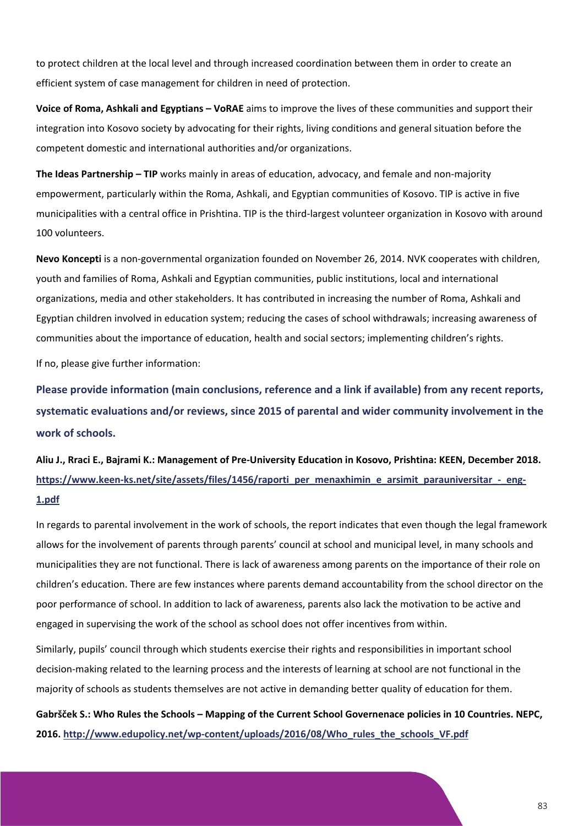to protect children at the local level and through increased coordination between them in order to create an efficient system of case management for children in need of protection.

**Voice of Roma, Ashkali and Egyptians – VoRAE** aims to improve the lives of these communities and support their integration into Kosovo society by advocating for their rights, living conditions and general situation before the competent domestic and international authorities and/or organizations.

**The Ideas Partnership – TIP** works mainly in areas of education, advocacy, and female and non-majority empowerment, particularly within the Roma, Ashkali, and Egyptian communities of Kosovo. TIP is active in five municipalities with a central office in Prishtina. TIP is the third-largest volunteer organization in Kosovo with around 100 volunteers.

**Nevo Koncepti** is a non-governmental organization founded on November 26, 2014. NVK cooperates with children, youth and families of Roma, Ashkali and Egyptian communities, public institutions, local and international organizations, media and other stakeholders. It has contributed in increasing the number of Roma, Ashkali and Egyptian children involved in education system; reducing the cases of school withdrawals; increasing awareness of communities about the importance of education, health and social sectors; implementing children's rights.

If no, please give further information:

**Please provide information (main conclusions, reference and a link if available) from any recent reports, systematic evaluations and/or reviews, since 2015 of parental and wider community involvement in the work of schools.**

**Aliu J., Rraci E., Bajrami K.: Management of Pre-University Education in Kosovo, Prishtina: KEEN, December 2018.**  https://www.keen-ks.net/site/assets/files/1456/raporti per menaxhimin e arsimit parauniversitar - eng-**[1.pdf](https://www.keen-ks.net/site/assets/files/1456/raporti_per_menaxhimin_e_arsimit_parauniversitar_-_eng-1.pdf)**

In regards to parental involvement in the work of schools, the report indicates that even though the legal framework allows for the involvement of parents through parents' council at school and municipal level, in many schools and municipalities they are not functional. There is lack of awareness among parents on the importance of their role on children's education. There are few instances where parents demand accountability from the school director on the poor performance of school. In addition to lack of awareness, parents also lack the motivation to be active and engaged in supervising the work of the school as school does not offer incentives from within.

Similarly, pupils' council through which students exercise their rights and responsibilities in important school decision-making related to the learning process and the interests of learning at school are not functional in the majority of schools as students themselves are not active in demanding better quality of education for them.

**Gabršček S.: Who Rules the Schools – Mapping of the Current School Governenace policies in 10 Countries. NEPC, 2016[. http://www.edupolicy.net/wp-content/uploads/2016/08/Who\\_rules\\_the\\_schools\\_VF.pdf](http://www.edupolicy.net/wp-content/uploads/2016/08/Who_rules_the_schools_VF.pdf)**